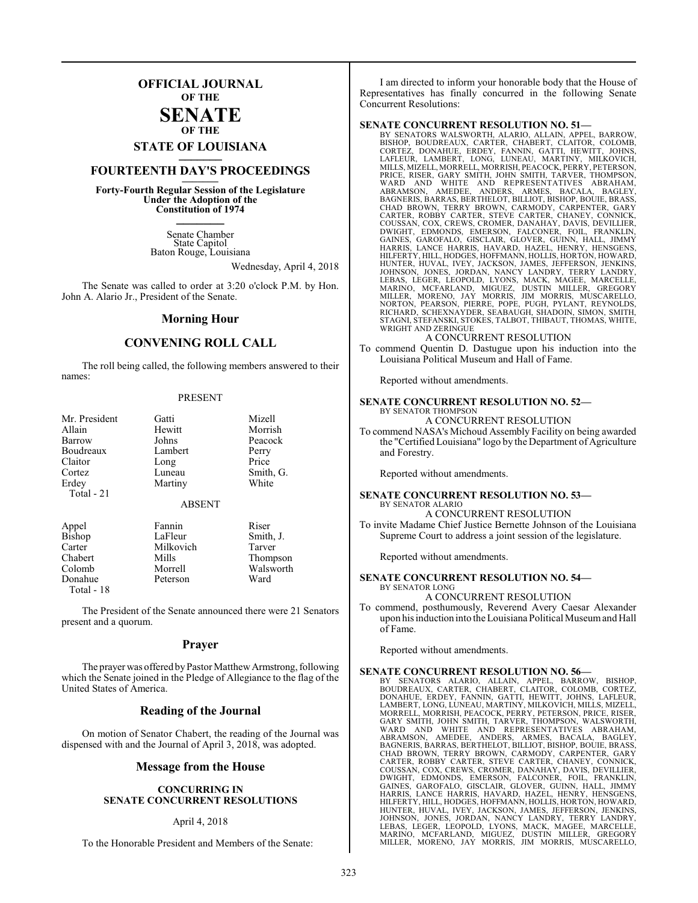## **OFFICIAL JOURNAL OF THE**

#### **SENATE OF THE**

# **STATE OF LOUISIANA \_\_\_\_\_\_\_**

## **FOURTEENTH DAY'S PROCEEDINGS \_\_\_\_\_\_\_**

**Forty-Fourth Regular Session of the Legislature Under the Adoption of the Constitution of 1974 \_\_\_\_\_\_\_**

> Senate Chamber State Capitol Baton Rouge, Louisiana

> > Wednesday, April 4, 2018

The Senate was called to order at 3:20 o'clock P.M. by Hon. John A. Alario Jr., President of the Senate.

#### **Morning Hour**

#### **CONVENING ROLL CALL**

The roll being called, the following members answered to their names:

#### PRESENT

| Gatti         | Mizell    |
|---------------|-----------|
| Hewitt        | Morrish   |
| Johns         | Peacock   |
| Lambert       | Perry     |
|               | Price     |
| Luneau        | Smith, G. |
| Martiny       | White     |
|               |           |
| <b>ABSENT</b> |           |
| Fannin        | Riser     |
| LaFleur       | Smith, J. |
|               | Long      |

Carter Milkovich Tarver<br>
Chabert Mills Thomas Chabert Mills Thompson Donahue Total - 18

Morrell Walsworth<br>Peterson Ward

The President of the Senate announced there were 21 Senators present and a quorum.

#### **Prayer**

The prayer was offered byPastor MatthewArmstrong, following which the Senate joined in the Pledge of Allegiance to the flag of the United States of America.

#### **Reading of the Journal**

On motion of Senator Chabert, the reading of the Journal was dispensed with and the Journal of April 3, 2018, was adopted.

#### **Message from the House**

#### **CONCURRING IN SENATE CONCURRENT RESOLUTIONS**

#### April 4, 2018

To the Honorable President and Members of the Senate:

I am directed to inform your honorable body that the House of Representatives has finally concurred in the following Senate Concurrent Resolutions:

#### **SENATE CONCURRENT RESOLUTION NO. 51—**

BY SENATORS WALSWORTH, ALARIO, ALLAIN, APPEL, BARROW,<br>BISHOP, BOUDREAUX, CARTER, CHABERT, CLAITOR, COLOMB,<br>CORTEZ, DONAHUE, ERDEY, FANNIN, GATTI, HEWITT, JOHNS,<br>LAFLEUR, LAMBERT, LONG, LUNEAU, MARTINY, MILKOVICH,<br>MILLS,MIZ CHAD BROWN, TERRY BROWN, CARMODY, CARPENTER, GARY<br>CARTER, ROBBY CARTER, STEVE CARTER, CHANEY, CONNICK,<br>COUSSAN, COX, CREWS, CROMER, DANAHAY, DAVIS, DEVILLIER,<br>DWIGHT, EDMONDS, EMERSON, FALCONER, FOIL, FRANKLIN,<br>GAINES, GAR HUNTER, HUVAL, IVEY, JACKSON, JAMES, JEFFERSON, JENKINS,<br>JOHNSON, JONES, JORDAN, NANCY LANDRY, TERRY LANDRY,<br>LEBAS, LEGER, LEOPOLD, LYONS, MACK, MAGEE, MARCELLE,<br>MARINO, MCFARLAND, MIGUEZ, DUSTIN MILLER, GREGORY<br>MILLER, MO RICHARD, SCHEXNAYDER, SEABAUGH, SHADOIN, SIMON, SMITH, STAGNI, STEFANSKI, STOKES, TALBOT, THIBAUT, THOMAS, WHITE, WRIGHT AND ZERINGUE

A CONCURRENT RESOLUTION

To commend Quentin D. Dastugue upon his induction into the Louisiana Political Museum and Hall of Fame.

Reported without amendments.

#### **SENATE CONCURRENT RESOLUTION NO. 52—** BY SENATOR THOMPSON

A CONCURRENT RESOLUTION

To commend NASA's Michoud Assembly Facility on being awarded the "Certified Louisiana" logo by the Department of Agriculture and Forestry.

Reported without amendments.

#### **SENATE CONCURRENT RESOLUTION NO. 53—** BY SENATOR ALARIO A CONCURRENT RESOLUTION

To invite Madame Chief Justice Bernette Johnson of the Louisiana Supreme Court to address a joint session of the legislature.

Reported without amendments.

#### **SENATE CONCURRENT RESOLUTION NO. 54—** BY SENATOR LONG

A CONCURRENT RESOLUTION

To commend, posthumously, Reverend Avery Caesar Alexander upon his induction into the Louisiana Political Museum and Hall of Fame.

Reported without amendments.

#### **SENATE CONCURRENT RESOLUTION NO. 56—**

BY SENATORS ALARIO, ALLAIN, APPEL, BARROW, BISHOP,<br>BOUDREAUX, CARTER, CHABERT, CLAITOR, COLOMB, CORTEZ,<br>DONAHUE, ERDEY, FANNIN, GATTI, HEWITT, JOHNS, LAFLEUR,<br>LAMBERT, LONG,LUNEAU,MARTINY,MILKOVICH,MILLS,MIZELL, MORRELL, MORRISH, PEACOCK, PERRY, PETERSON, PRICE, RISER, GARY SMITH, JOHN SMITH, TARVER, THOMPSON, WALSWORTH,<br>WARD AND WHITE AND REPRESENTATIVES ABRAHAM,<br>WARD AND WHITE AND REPRESENTATIVES ABRAHAM,<br>ABRAMSON, AMEDEE, ANDER DWIGHT, EDMONDS, EMERSON, FALCONER, FOIL, FRANKLIN, GAINES, GAROFALO, GISCLAIR, GLOVER, GUINN, HALL, JIMMY HARRIS, LANCE HARRIS, HAVARD, HAZEL, HENRY, HENSGENS,<br>HILFERTY,HILL,HODGES,HOFFMANN,HOLLIS,HORTON,HOWARD,<br>HUNTER, HUVAL, IVEY, JACKSON, JAMES, JEFFERSON, JENKINS,<br>JOHNSON, JONES, JORDAN, NANCY LANDRY, TERRY LANDRY,<br>LEBAS,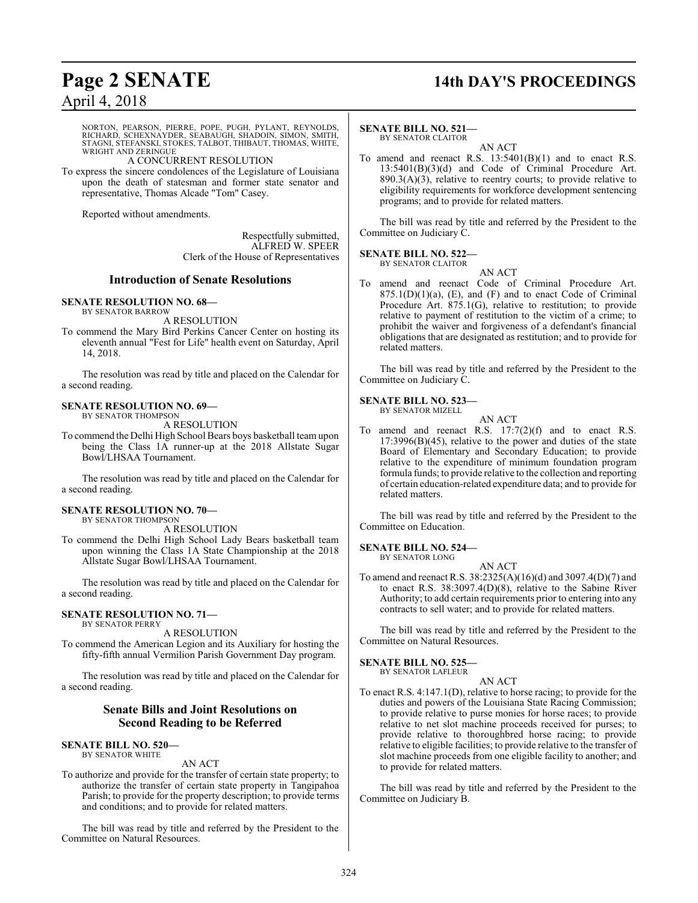## **Page 2 SENATE 14th DAY'S PROCEEDINGS**

## April 4, 2018

NORTON, PEARSON, PIERRE, POPE, PUGH, PYLANT, REYNOLDS, RICHARD, SCHEXNAYDER, SEABAUGH, SHADOIN, SIMON, SMITH, STAGNI, STEFANSKI, STOKES, TALBOT, THIBAUT, THOMAS, WHITE, WRIGHT AND ZERINGUE

#### A CONCURRENT RESOLUTION

To express the sincere condolences of the Legislature of Louisiana upon the death of statesman and former state senator and representative, Thomas Alcade "Tom" Casey.

Reported without amendments.

Respectfully submitted, ALFRED W. SPEER Clerk of the House of Representatives

### **Introduction of Senate Resolutions**

#### **SENATE RESOLUTION NO. 68—**

BY SENATOR BARROW

A RESOLUTION To commend the Mary Bird Perkins Cancer Center on hosting its eleventh annual "Fest for Life" health event on Saturday, April 14, 2018.

The resolution was read by title and placed on the Calendar for a second reading.

## **SENATE RESOLUTION NO. 69—**

BY SENATOR THOMPSON A RESOLUTION

To commend the Delhi High School Bears boys basketball teamupon being the Class 1A runner-up at the 2018 Allstate Sugar Bowl/LHSAA Tournament.

The resolution was read by title and placed on the Calendar for a second reading.

#### **SENATE RESOLUTION NO. 70—**

BY SENATOR THOMPSON A RESOLUTION

To commend the Delhi High School Lady Bears basketball team upon winning the Class 1A State Championship at the 2018 Allstate Sugar Bowl/LHSAA Tournament.

The resolution was read by title and placed on the Calendar for a second reading.

#### **SENATE RESOLUTION NO. 71—** BY SENATOR PERRY

A RESOLUTION To commend the American Legion and its Auxiliary for hosting the fifty-fifth annual Vermilion Parish Government Day program.

The resolution was read by title and placed on the Calendar for a second reading.

## **Senate Bills and Joint Resolutions on Second Reading to be Referred**

#### **SENATE BILL NO. 520—** BY SENATOR WHITE

#### AN ACT

To authorize and provide for the transfer of certain state property; to authorize the transfer of certain state property in Tangipahoa Parish; to provide for the property description; to provide terms and conditions; and to provide for related matters.

The bill was read by title and referred by the President to the Committee on Natural Resources.

#### **SENATE BILL NO. 521—**

BY SENATOR CLAITOR AN ACT

To amend and reenact R.S. 13:5401(B)(1) and to enact R.S. 13:5401(B)(3)(d) and Code of Criminal Procedure Art.  $890.3(A)(3)$ , relative to reentry courts; to provide relative to eligibility requirements for workforce development sentencing programs; and to provide for related matters.

The bill was read by title and referred by the President to the Committee on Judiciary C.

#### **SENATE BILL NO. 522—** BY SENATOR CLAITOR

AN ACT

To amend and reenact Code of Criminal Procedure Art.  $875.1(D)(1)(a)$ , (E), and (F) and to enact Code of Criminal Procedure Art. 875.1(G), relative to restitution; to provide relative to payment of restitution to the victim of a crime; to prohibit the waiver and forgiveness of a defendant's financial obligations that are designated as restitution; and to provide for related matters.

The bill was read by title and referred by the President to the Committee on Judiciary C.

#### **SENATE BILL NO. 523—** BY SENATOR MIZELL



To amend and reenact R.S. 17:7(2)(f) and to enact R.S. 17:3996(B)(45), relative to the power and duties of the state Board of Elementary and Secondary Education; to provide relative to the expenditure of minimum foundation program formula funds; to provide relative to the collection and reporting of certain education-related expenditure data; and to provide for related matters.

The bill was read by title and referred by the President to the Committee on Education.

#### **SENATE BILL NO. 524—** BY SENATOR LONG

AN ACT

To amend and reenact R.S. 38:2325(A)(16)(d) and 3097.4(D)(7) and to enact R.S. 38:3097.4(D)(8), relative to the Sabine River Authority; to add certain requirements prior to entering into any contracts to sell water; and to provide for related matters.

The bill was read by title and referred by the President to the Committee on Natural Resources.

### **SENATE BILL NO. 525—**

BY SENATOR LAFLEUR

### AN ACT

To enact R.S. 4:147.1(D), relative to horse racing; to provide for the duties and powers of the Louisiana State Racing Commission; to provide relative to purse monies for horse races; to provide relative to net slot machine proceeds received for purses; to provide relative to thoroughbred horse racing; to provide relative to eligible facilities; to provide relative to the transfer of slot machine proceeds from one eligible facility to another; and to provide for related matters.

The bill was read by title and referred by the President to the Committee on Judiciary B.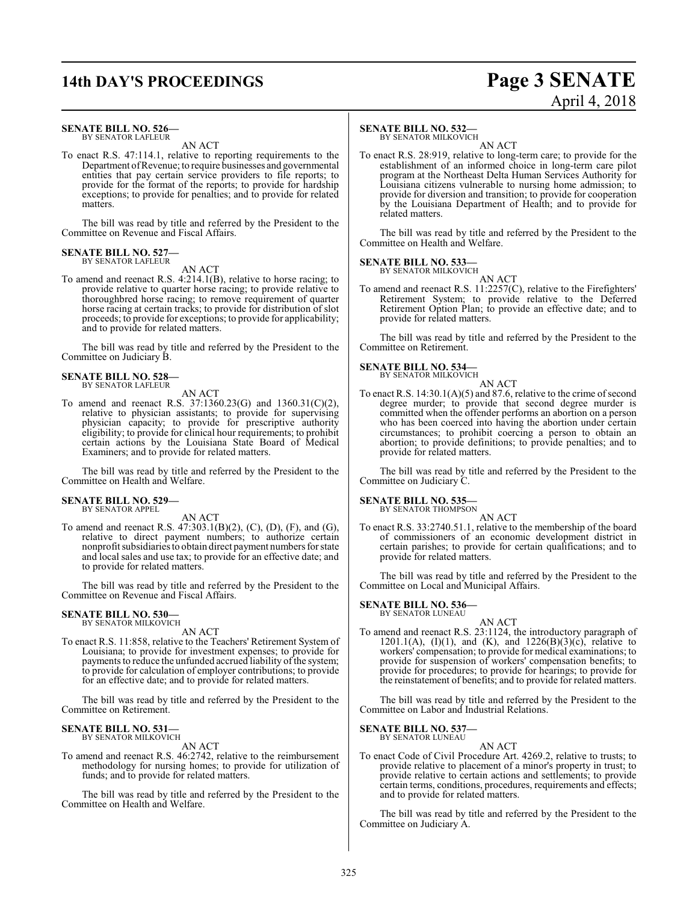# **14th DAY'S PROCEEDINGS Page 3 SENATE**

# April 4, 2018

#### **SENATE BILL NO. 526—** BY SENATOR LAFLEUR

AN ACT

To enact R.S. 47:114.1, relative to reporting requirements to the Department ofRevenue; to require businesses and governmental entities that pay certain service providers to file reports; to provide for the format of the reports; to provide for hardship exceptions; to provide for penalties; and to provide for related matters.

The bill was read by title and referred by the President to the Committee on Revenue and Fiscal Affairs.

#### **SENATE BILL NO. 527** BY SENATOR LAFLEUR

### AN ACT

To amend and reenact R.S. 4:214.1(B), relative to horse racing; to provide relative to quarter horse racing; to provide relative to thoroughbred horse racing; to remove requirement of quarter horse racing at certain tracks; to provide for distribution of slot proceeds; to provide for exceptions; to provide for applicability; and to provide for related matters.

The bill was read by title and referred by the President to the Committee on Judiciary B.

#### **SENATE BILL NO. 528—** BY SENATOR LAFLEUR

AN ACT

To amend and reenact R.S. 37:1360.23(G) and 1360.31(C)(2), relative to physician assistants; to provide for supervising physician capacity; to provide for prescriptive authority eligibility; to provide for clinical hour requirements; to prohibit certain actions by the Louisiana State Board of Medical Examiners; and to provide for related matters.

The bill was read by title and referred by the President to the Committee on Health and Welfare.

## **SENATE BILL NO. 529—** BY SENATOR APPEL

AN ACT

To amend and reenact R.S. 47:303.1(B)(2), (C), (D), (F), and (G), relative to direct payment numbers; to authorize certain nonprofit subsidiaries to obtain direct payment numbers for state and local sales and use tax; to provide for an effective date; and to provide for related matters.

The bill was read by title and referred by the President to the Committee on Revenue and Fiscal Affairs.

## **SENATE BILL NO. 530—** BY SENATOR MILKOVICH

AN ACT

To enact R.S. 11:858, relative to the Teachers' Retirement System of Louisiana; to provide for investment expenses; to provide for payments to reduce the unfunded accrued liability of the system; to provide for calculation of employer contributions; to provide for an effective date; and to provide for related matters.

The bill was read by title and referred by the President to the Committee on Retirement.

#### **SENATE BILL NO. 531—** BY SENATOR MILKOVICH

AN ACT

To amend and reenact R.S. 46:2742, relative to the reimbursement methodology for nursing homes; to provide for utilization of funds; and to provide for related matters.

The bill was read by title and referred by the President to the Committee on Health and Welfare.

#### **SENATE BILL NO. 532—**

BY SENATOR MILKOVICH

AN ACT To enact R.S. 28:919, relative to long-term care; to provide for the establishment of an informed choice in long-term care pilot program at the Northeast Delta Human Services Authority for Louisiana citizens vulnerable to nursing home admission; to provide for diversion and transition; to provide for cooperation by the Louisiana Department of Health; and to provide for related matters.

The bill was read by title and referred by the President to the Committee on Health and Welfare.

#### **SENATE BILL NO. 533—** BY SENATOR MILKOVICH

AN ACT

To amend and reenact R.S. 11:2257(C), relative to the Firefighters' Retirement System; to provide relative to the Deferred Retirement Option Plan; to provide an effective date; and to provide for related matters.

The bill was read by title and referred by the President to the Committee on Retirement.

#### **SENATE BILL NO. 534—** BY SENATOR MILKOVICH



To enact R.S.  $14:30.1(A)(5)$  and 87.6, relative to the crime of second degree murder; to provide that second degree murder is committed when the offender performs an abortion on a person who has been coerced into having the abortion under certain circumstances; to prohibit coercing a person to obtain an abortion; to provide definitions; to provide penalties; and to provide for related matters.

The bill was read by title and referred by the President to the Committee on Judiciary C.

## **SENATE BILL NO. 535**<br>BY SENATOR THOMPSON

AN ACT

To enact R.S. 33:2740.51.1, relative to the membership of the board of commissioners of an economic development district in certain parishes; to provide for certain qualifications; and to provide for related matters.

The bill was read by title and referred by the President to the Committee on Local and Municipal Affairs.

#### **SENATE BILL NO. 536—** BY SENATOR LUNEAU

AN ACT

To amend and reenact R.S. 23:1124, the introductory paragraph of 1201.1(A), (I)(1), and (K), and 1226(B)(3)(c), relative to workers' compensation; to provide for medical examinations; to provide for suspension of workers' compensation benefits; to provide for procedures; to provide for hearings; to provide for the reinstatement of benefits; and to provide for related matters.

The bill was read by title and referred by the President to the Committee on Labor and Industrial Relations.

#### **SENATE BILL NO. 537—** BY SENATOR LUNEAU

AN ACT

To enact Code of Civil Procedure Art. 4269.2, relative to trusts; to provide relative to placement of a minor's property in trust; to provide relative to certain actions and settlements; to provide certain terms, conditions, procedures, requirements and effects; and to provide for related matters.

The bill was read by title and referred by the President to the Committee on Judiciary A.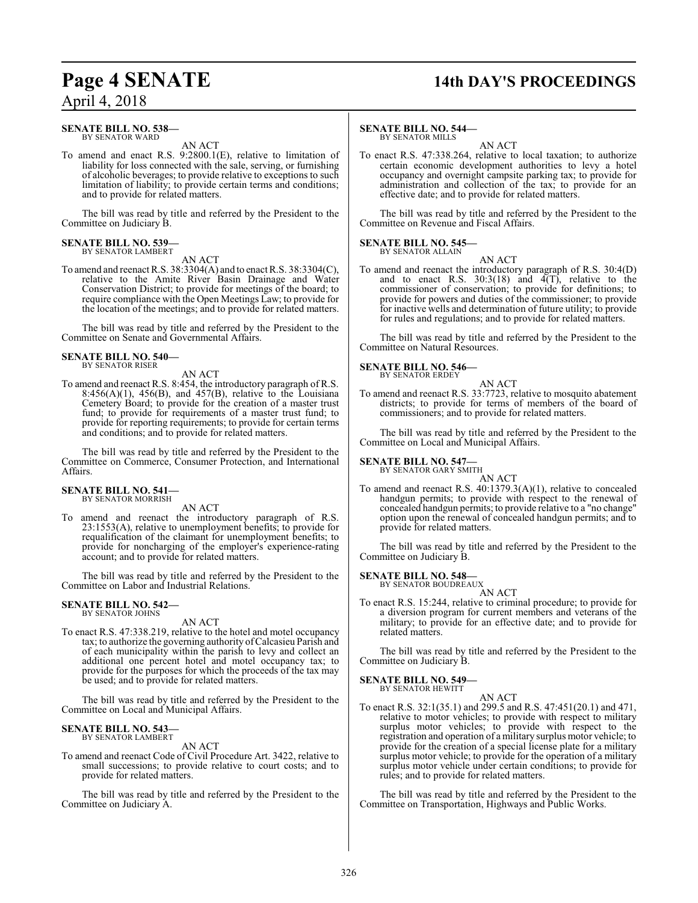# **Page 4 SENATE 14th DAY'S PROCEEDINGS**

## April 4, 2018

#### **SENATE BILL NO. 538—** BY SENATOR WARD

AN ACT

To amend and enact R.S. 9:2800.1(E), relative to limitation of liability for loss connected with the sale, serving, or furnishing of alcoholic beverages; to provide relative to exceptions to such limitation of liability; to provide certain terms and conditions; and to provide for related matters.

The bill was read by title and referred by the President to the Committee on Judiciary B.

#### **SENATE BILL NO. 539—** BY SENATOR LAMBERT

AN ACT

To amend and reenact R.S. 38:3304(A) and to enact R.S. 38:3304(C), relative to the Amite River Basin Drainage and Water Conservation District; to provide for meetings of the board; to require compliance with the Open Meetings Law; to provide for the location of the meetings; and to provide for related matters.

The bill was read by title and referred by the President to the Committee on Senate and Governmental Affairs.

#### **SENATE BILL NO. 540—** BY SENATOR RISER

AN ACT

To amend and reenact R.S. 8:454, the introductory paragraph of R.S.  $8:456(A)(1)$ ,  $456(B)$ , and  $457(B)$ , relative to the Louisiana Cemetery Board; to provide for the creation of a master trust fund; to provide for requirements of a master trust fund; to provide for reporting requirements; to provide for certain terms and conditions; and to provide for related matters.

The bill was read by title and referred by the President to the Committee on Commerce, Consumer Protection, and International Affairs.

#### **SENATE BILL NO. 541—** BY SENATOR MORRISH

AN ACT

To amend and reenact the introductory paragraph of R.S. 23:1553(A), relative to unemployment benefits; to provide for requalification of the claimant for unemployment benefits; to provide for noncharging of the employer's experience-rating account; and to provide for related matters.

The bill was read by title and referred by the President to the Committee on Labor and Industrial Relations.

#### **SENATE BILL NO. 542—** BY SENATOR JOHNS

AN ACT

To enact R.S. 47:338.219, relative to the hotel and motel occupancy tax; to authorize the governing authority ofCalcasieu Parish and of each municipality within the parish to levy and collect an additional one percent hotel and motel occupancy tax; to provide for the purposes for which the proceeds of the tax may be used; and to provide for related matters.

The bill was read by title and referred by the President to the Committee on Local and Municipal Affairs.

#### **SENATE BILL NO. 543—** BY SENATOR LAMBERT

AN ACT

To amend and reenact Code of Civil Procedure Art. 3422, relative to small successions; to provide relative to court costs; and to provide for related matters.

The bill was read by title and referred by the President to the Committee on Judiciary A.

#### **SENATE BILL NO. 544—** BY SENATOR MILLS

AN ACT

To enact R.S. 47:338.264, relative to local taxation; to authorize certain economic development authorities to levy a hotel occupancy and overnight campsite parking tax; to provide for administration and collection of the tax; to provide for an effective date; and to provide for related matters.

The bill was read by title and referred by the President to the Committee on Revenue and Fiscal Affairs.

#### **SENATE BILL NO. 545—** BY SENATOR ALLAIN

AN ACT

To amend and reenact the introductory paragraph of R.S. 30:4(D) and to enact R.S.  $30:3(18)$  and  $4(T)$ , relative to the commissioner of conservation; to provide for definitions; to provide for powers and duties of the commissioner; to provide for inactive wells and determination of future utility; to provide for rules and regulations; and to provide for related matters.

The bill was read by title and referred by the President to the Committee on Natural Resources.

#### **SENATE BILL NO. 546—** BY SENATOR ERDEY

AN ACT To amend and reenact R.S. 33:7723, relative to mosquito abatement districts; to provide for terms of members of the board of commissioners; and to provide for related matters.

The bill was read by title and referred by the President to the Committee on Local and Municipal Affairs.

## **SENATE BILL NO. 547—**<br>BY SENATOR GARY SMITH

AN ACT

To amend and reenact R.S. 40:1379.3(A)(1), relative to concealed handgun permits; to provide with respect to the renewal of concealed handgun permits; to provide relative to a "no change" option upon the renewal of concealed handgun permits; and to provide for related matters.

The bill was read by title and referred by the President to the Committee on Judiciary B.

#### **SENATE BILL NO. 548—**

BY SENATOR BOUDREAUX AN ACT

To enact R.S. 15:244, relative to criminal procedure; to provide for a diversion program for current members and veterans of the military; to provide for an effective date; and to provide for related matters.

The bill was read by title and referred by the President to the Committee on Judiciary B.

#### **SENATE BILL NO. 549—** BY SENATOR HEWITT

AN ACT

To enact R.S. 32:1(35.1) and 299.5 and R.S. 47:451(20.1) and 471, relative to motor vehicles; to provide with respect to military surplus motor vehicles; to provide with respect to the registration and operation of a military surplus motor vehicle; to provide for the creation of a special license plate for a military surplus motor vehicle; to provide for the operation of a military surplus motor vehicle under certain conditions; to provide for rules; and to provide for related matters.

The bill was read by title and referred by the President to the Committee on Transportation, Highways and Public Works.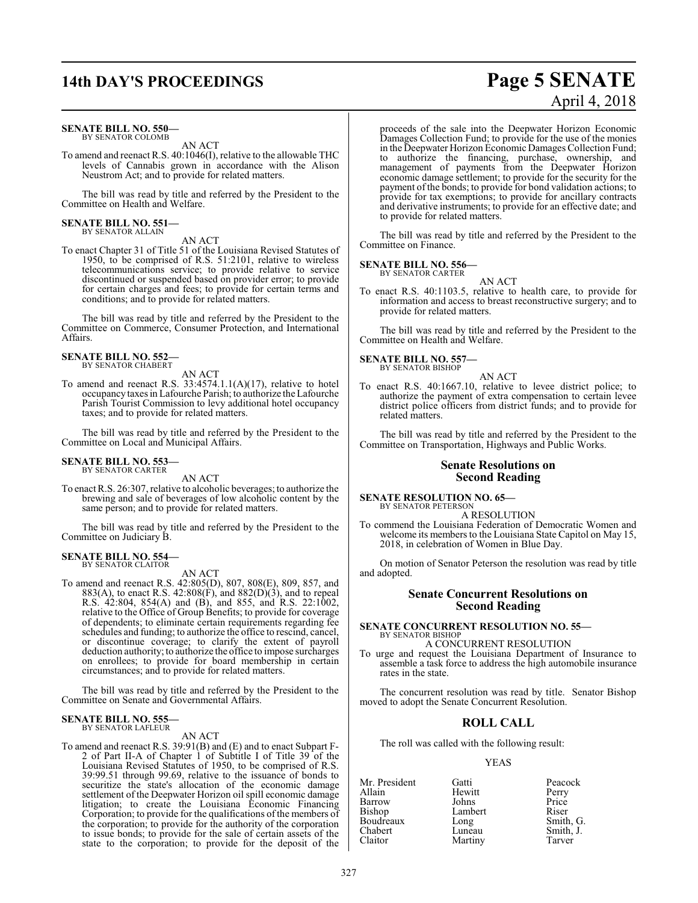# **14th DAY'S PROCEEDINGS Page 5 SENATE**

#### **SENATE BILL NO. 550—** BY SENATOR COLOMB

AN ACT

To amend and reenact R.S. 40:1046(I), relative to the allowable THC levels of Cannabis grown in accordance with the Alison Neustrom Act; and to provide for related matters.

The bill was read by title and referred by the President to the Committee on Health and Welfare.

## **SENATE BILL NO. 551—** BY SENATOR ALLAIN

AN ACT

To enact Chapter 31 of Title 51 of the Louisiana Revised Statutes of 1950, to be comprised of R.S. 51:2101, relative to wireless telecommunications service; to provide relative to service discontinued or suspended based on provider error; to provide for certain charges and fees; to provide for certain terms and conditions; and to provide for related matters.

The bill was read by title and referred by the President to the Committee on Commerce, Consumer Protection, and International Affairs.

#### **SENATE BILL NO. 552—** BY SENATOR CHABERT

AN ACT To amend and reenact R.S. 33:4574.1.1(A)(17), relative to hotel occupancy taxes in Lafourche Parish; to authorize the Lafourche Parish Tourist Commission to levy additional hotel occupancy taxes; and to provide for related matters.

The bill was read by title and referred by the President to the Committee on Local and Municipal Affairs.

## **SENATE BILL NO. 553—** BY SENATOR CARTER

AN ACT

To enact R.S. 26:307, relative to alcoholic beverages; to authorize the brewing and sale of beverages of low alcoholic content by the same person; and to provide for related matters.

The bill was read by title and referred by the President to the Committee on Judiciary B.

#### **SENATE BILL NO. 554** BY SENATOR CLAITOR

AN ACT To amend and reenact R.S. 42:805(D), 807, 808(E), 809, 857, and 883(A), to enact R.S. 42:808(F), and  $882(D)(3)$ , and to repeal R.S. 42:804, 854(A) and (B), and 855, and R.S. 22:1002, relative to the Office of Group Benefits; to provide for coverage of dependents; to eliminate certain requirements regarding fee schedules and funding; to authorize the office to rescind, cancel, or discontinue coverage; to clarify the extent of payroll deduction authority; to authorize the office to impose surcharges on enrollees; to provide for board membership in certain circumstances; and to provide for related matters.

The bill was read by title and referred by the President to the Committee on Senate and Governmental Affairs.

#### **SENATE BILL NO. 555** BY SENATOR LAFLEUR

#### AN ACT

To amend and reenact R.S. 39:91(B) and (E) and to enact Subpart F-2 of Part II-A of Chapter 1 of Subtitle I of Title 39 of the Louisiana Revised Statutes of 1950, to be comprised of R.S. 39:99.51 through 99.69, relative to the issuance of bonds to securitize the state's allocation of the economic damage settlement of the Deepwater Horizon oil spill economic damage litigation; to create the Louisiana Economic Financing Corporation; to provide for the qualifications of the members of the corporation; to provide for the authority of the corporation to issue bonds; to provide for the sale of certain assets of the state to the corporation; to provide for the deposit of the

April 4, 2018 proceeds of the sale into the Deepwater Horizon Economic

Damages Collection Fund; to provide for the use of the monies in the Deepwater Horizon Economic Damages Collection Fund; to authorize the financing, purchase, ownership, and management of payments from the Deepwater Horizon economic damage settlement; to provide for the security for the payment of the bonds; to provide for bond validation actions; to provide for tax exemptions; to provide for ancillary contracts and derivative instruments; to provide for an effective date; and to provide for related matters.

The bill was read by title and referred by the President to the Committee on Finance.

#### **SENATE BILL NO. 556—** BY SENATOR CARTER

AN ACT

To enact R.S. 40:1103.5, relative to health care, to provide for information and access to breast reconstructive surgery; and to provide for related matters.

The bill was read by title and referred by the President to the Committee on Health and Welfare.

**SENATE BILL NO. 557—** BY SENATOR BISHOP

AN ACT

To enact R.S. 40:1667.10, relative to levee district police; to authorize the payment of extra compensation to certain levee district police officers from district funds; and to provide for related matters.

The bill was read by title and referred by the President to the Committee on Transportation, Highways and Public Works.

#### **Senate Resolutions on Second Reading**

**SENATE RESOLUTION NO. 65—**<br>BY SENATOR PETERSON

A RESOLUTION

To commend the Louisiana Federation of Democratic Women and welcome its members to the Louisiana State Capitol on May 15, 2018, in celebration of Women in Blue Day.

On motion of Senator Peterson the resolution was read by title and adopted.

## **Senate Concurrent Resolutions on Second Reading**

**SENATE CONCURRENT RESOLUTION NO. 55—** BY SENATOR BISHOP A CONCURRENT RESOLUTION

To urge and request the Louisiana Department of Insurance to assemble a task force to address the high automobile insurance rates in the state.

The concurrent resolution was read by title. Senator Bishop moved to adopt the Senate Concurrent Resolution.

#### **ROLL CALL**

The roll was called with the following result:

#### YEAS

Mr. President Gatti Peacock Hewitt Perry<br>Johns Price Barrow Johns Price<br>Bishop Lambert Riser Lambert Riser<br>
Long Smith, G. Boudreaux Long<br>Chabert Luneau Chabert Luneau Smith, J. Martiny Tarver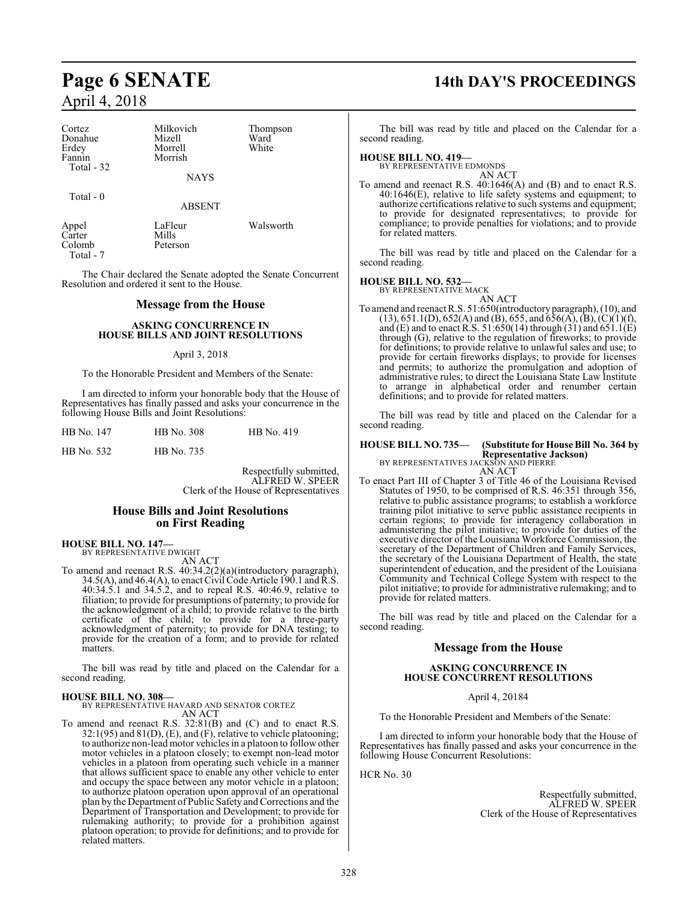| Cortez     | Milkovich   | Thompson |
|------------|-------------|----------|
| Donahue    | Mizell      | Ward     |
| Erdey      | Morrell     | White    |
| Fannin     | Morrish     |          |
| Total - 32 | <b>NAYS</b> |          |
| Total - 0  | ARSENT      |          |

Appel LaFleur Walsworth<br>Carter Mills Carter Mills<br>Colomb Peterson Colomb Total - 7

The Chair declared the Senate adopted the Senate Concurrent Resolution and ordered it sent to the House.

#### **Message from the House**

#### **ASKING CONCURRENCE IN HOUSE BILLS AND JOINT RESOLUTIONS**

#### April 3, 2018

To the Honorable President and Members of the Senate:

I am directed to inform your honorable body that the House of Representatives has finally passed and asks your concurrence in the following House Bills and Joint Resolutions:

| HB No. 147 | <b>HB</b> No. 308 | HB No. 419 |
|------------|-------------------|------------|
|            |                   |            |

HB No. 532 HB No. 735

Respectfully submitted, ALFRED W. SPEER Clerk of the House of Representatives

#### **House Bills and Joint Resolutions on First Reading**

## **HOUSE BILL NO. 147—** BY REPRESENTATIVE DWIGHT

AN ACT To amend and reenact R.S. 40:34.2(2)(a)(introductory paragraph),  $34.5(A)$ , and  $46.4(A)$ , to enact Civil Code Article 190.1 and R.S. 40:34.5.1 and 34.5.2, and to repeal R.S. 40:46.9, relative to filiation; to provide for presumptions of paternity; to provide for the acknowledgment of a child; to provide relative to the birth certificate of the child; to provide for a three-party acknowledgment of paternity; to provide for DNA testing; to provide for the creation of a form; and to provide for related matters.

The bill was read by title and placed on the Calendar for a second reading.

#### **HOUSE BILL NO. 308—**

BY REPRESENTATIVE HAVARD AND SENATOR CORTEZ AN ACT

To amend and reenact R.S. 32:81(B) and (C) and to enact R.S.  $32:1(95)$  and  $81(D)$ , (E), and (F), relative to vehicle platooning; to authorize non-lead motor vehicles in a platoon to follow other motor vehicles in a platoon closely; to exempt non-lead motor vehicles in a platoon from operating such vehicle in a manner that allows sufficient space to enable any other vehicle to enter and occupy the space between any motor vehicle in a platoon; to authorize platoon operation upon approval of an operational plan by the Department of Public Safety and Corrections and the Department of Transportation and Development; to provide for rulemaking authority; to provide for a prohibition against platoon operation; to provide for definitions; and to provide for related matters.

## **Page 6 SENATE 14th DAY'S PROCEEDINGS**

The bill was read by title and placed on the Calendar for a second reading.

#### **HOUSE BILL NO. 419—**

BY REPRESENTATIVE EDMONDS AN ACT

To amend and reenact R.S. 40:1646(A) and (B) and to enact R.S. 40:1646(E), relative to life safety systems and equipment; to authorize certifications relative to such systems and equipment; to provide for designated representatives; to provide for compliance; to provide penalties for violations; and to provide for related matters.

The bill was read by title and placed on the Calendar for a second reading.

**HOUSE BILL NO. 532—** BY REPRESENTATIVE MACK AN ACT

To amend and reenact R.S. 51:650(introductory paragraph), (10), and  $(13)$ ,  $651.1(D)$ ,  $652(A)$  and  $(B)$ ,  $655$ , and  $656(A)$ ,  $(B)$ ,  $(C)(1)(f)$ , and (E) and to enact R.S. 51:650(14) through (31) and 651.1(E) through (G), relative to the regulation of fireworks; to provide for definitions; to provide relative to unlawful sales and use; to provide for certain fireworks displays; to provide for licenses and permits; to authorize the promulgation and adoption of administrative rules; to direct the Louisiana State Law Institute to arrange in alphabetical order and renumber certain definitions; and to provide for related matters.

The bill was read by title and placed on the Calendar for a second reading.

**HOUSE BILL NO. 735— (Substitute for House Bill No. 364 by Representative Jackson)** BY REPRESENTATIVES JACKSON AND PIERRE

AN ACT

To enact Part III of Chapter 3 of Title 46 of the Louisiana Revised Statutes of 1950, to be comprised of R.S. 46:351 through 356, relative to public assistance programs; to establish a workforce training pilot initiative to serve public assistance recipients in certain regions; to provide for interagency collaboration in administering the pilot initiative; to provide for duties of the executive director of the Louisiana Workforce Commission, the secretary of the Department of Children and Family Services, the secretary of the Louisiana Department of Health, the state superintendent of education, and the president of the Louisiana Community and Technical College System with respect to the pilot initiative; to provide for administrative rulemaking; and to provide for related matters.

The bill was read by title and placed on the Calendar for a second reading.

#### **Message from the House**

#### **ASKING CONCURRENCE IN HOUSE CONCURRENT RESOLUTIONS**

April 4, 20184

To the Honorable President and Members of the Senate:

I am directed to inform your honorable body that the House of Representatives has finally passed and asks your concurrence in the following House Concurrent Resolutions:

HCR No. 30

Respectfully submitted, ALFRED W. SPEER Clerk of the House of Representatives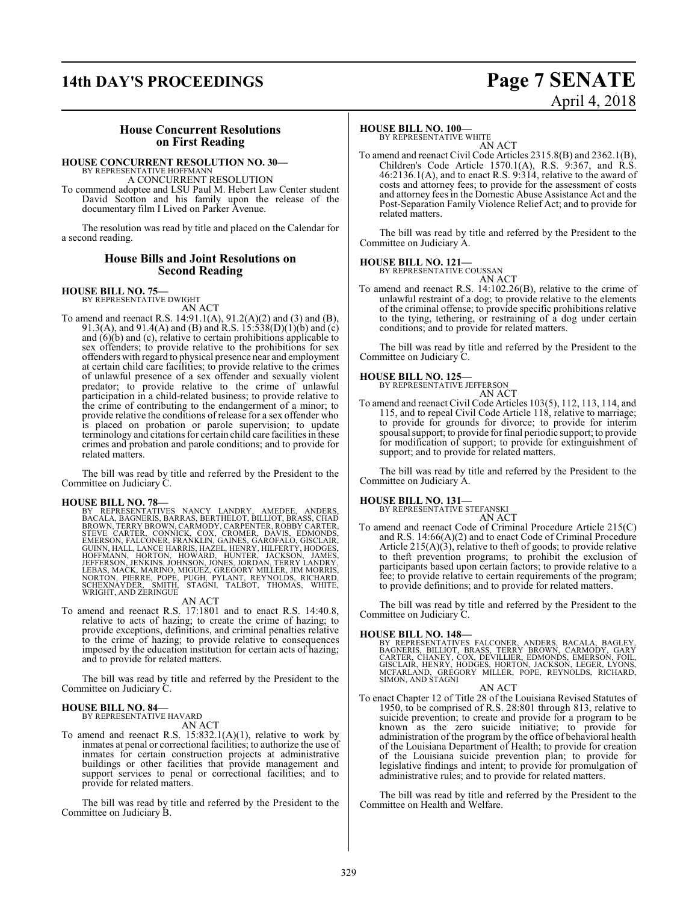# **14th DAY'S PROCEEDINGS Page 7 SENATE**

# April 4, 2018

#### **House Concurrent Resolutions on First Reading**

#### **HOUSE CONCURRENT RESOLUTION NO. 30—**

BY REPRESENTATIVE HOFFMANN A CONCURRENT RESOLUTION

To commend adoptee and LSU Paul M. Hebert Law Center student David Scotton and his family upon the release of the documentary film I Lived on Parker Avenue.

The resolution was read by title and placed on the Calendar for a second reading.

#### **House Bills and Joint Resolutions on Second Reading**

#### **HOUSE BILL NO. 75—** BY REPRESENTATIVE DWIGHT

AN ACT

To amend and reenact R.S. 14:91.1(A), 91.2(A)(2) and (3) and (B), 91.3(A), and 91.4(A) and (B) and R.S. 15:538(D)(1)(b) and (c) and (6)(b) and (c), relative to certain prohibitions applicable to sex offenders; to provide relative to the prohibitions for sex offenders with regard to physical presence near and employment at certain child care facilities; to provide relative to the crimes of unlawful presence of a sex offender and sexually violent predator; to provide relative to the crime of unlawful participation in a child-related business; to provide relative to the crime of contributing to the endangerment of a minor; to provide relative the conditions of release for a sex offender who is placed on probation or parole supervision; to update terminology and citations for certain child care facilities in these crimes and probation and parole conditions; and to provide for related matters.

The bill was read by title and referred by the President to the Committee on Judiciary C.

HOUSE BILL NO. 78—<br>BY REPRESENTATIVES NANCY LANDRY, AMEDEE, ANDERS, BACALA, BAGNERIS, BARRAS, BERTHELOT, BILLIOT, BRASS, CHAD<br>BROWN, TERRY BROWN, CARMODY, CARPENTER, RÓBBY CARTER,<br>STEVE CARTER, CONNICK, COX, CROMER, DAVIS,

AN ACT

To amend and reenact R.S. 17:1801 and to enact R.S. 14:40.8, relative to acts of hazing; to create the crime of hazing; to provide exceptions, definitions, and criminal penalties relative to the crime of hazing; to provide relative to consequences imposed by the education institution for certain acts of hazing; and to provide for related matters.

The bill was read by title and referred by the President to the Committee on Judiciary C.

#### **HOUSE BILL NO. 84—**

BY REPRESENTATIVE HAVARD AN ACT

To amend and reenact R.S. 15:832.1(A)(1), relative to work by inmates at penal or correctional facilities; to authorize the use of inmates for certain construction projects at administrative buildings or other facilities that provide management and support services to penal or correctional facilities; and to provide for related matters.

The bill was read by title and referred by the President to the Committee on Judiciary B.

#### **HOUSE BILL NO. 100—**

BY REPRESENTATIVE WHITE AN ACT

To amend and reenact Civil Code Articles 2315.8(B) and 2362.1(B), Children's Code Article 1570.1(A), R.S.  $9:367$ , and R.S. 46:2136.1(A), and to enact R.S. 9:314, relative to the award of costs and attorney fees; to provide for the assessment of costs and attorney fees in the Domestic Abuse Assistance Act and the Post-Separation Family Violence Relief Act; and to provide for related matters.

The bill was read by title and referred by the President to the Committee on Judiciary A.

**HOUSE BILL NO. 121—**

BY REPRESENTATIVE COUSSAN AN ACT

To amend and reenact R.S. 14:102.26(B), relative to the crime of unlawful restraint of a dog; to provide relative to the elements of the criminal offense; to provide specific prohibitions relative to the tying, tethering, or restraining of a dog under certain conditions; and to provide for related matters.

The bill was read by title and referred by the President to the Committee on Judiciary C.

#### **HOUSE BILL NO. 125—**

BY REPRESENTATIVE JEFFERSON

- AN ACT
- To amend and reenact Civil Code Articles 103(5), 112, 113, 114, and 115, and to repeal Civil Code Article 118, relative to marriage; to provide for grounds for divorce; to provide for interim spousal support; to provide for final periodic support; to provide for modification of support; to provide for extinguishment of support; and to provide for related matters.

The bill was read by title and referred by the President to the Committee on Judiciary A.

## **HOUSE BILL NO. 131—** BY REPRESENTATIVE STEFANSKI

AN ACT

To amend and reenact Code of Criminal Procedure Article 215(C) and R.S. 14:66(A)(2) and to enact Code of Criminal Procedure Article 215(A)(3), relative to theft of goods; to provide relative to theft prevention programs; to prohibit the exclusion of participants based upon certain factors; to provide relative to a fee; to provide relative to certain requirements of the program; to provide definitions; and to provide for related matters.

The bill was read by title and referred by the President to the Committee on Judiciary C.

**HOUSE BILL NO. 148**<br>BY REPRESENTATIVES FALCONER, ANDERS, BACALA, BAGLEY,<br>BAGNERIS, BILLIOT, BRASS, TERRY BROWN, CARMODY, GARY<br>CARTER, CHANEY, COX, DEVILLIER, EDMONDS, EMERSON, FOIL,<br>GISCLAIR, HENRY, HODGES, HORTON, JACKSO SIMON, AND STAGNI

AN ACT To enact Chapter 12 of Title 28 of the Louisiana Revised Statutes of 1950, to be comprised of R.S. 28:801 through 813, relative to suicide prevention; to create and provide for a program to be known as the zero suicide initiative; to provide for administration of the program by the office of behavioral health of the Louisiana Department of Health; to provide for creation of the Louisiana suicide prevention plan; to provide for legislative findings and intent; to provide for promulgation of administrative rules; and to provide for related matters.

The bill was read by title and referred by the President to the Committee on Health and Welfare.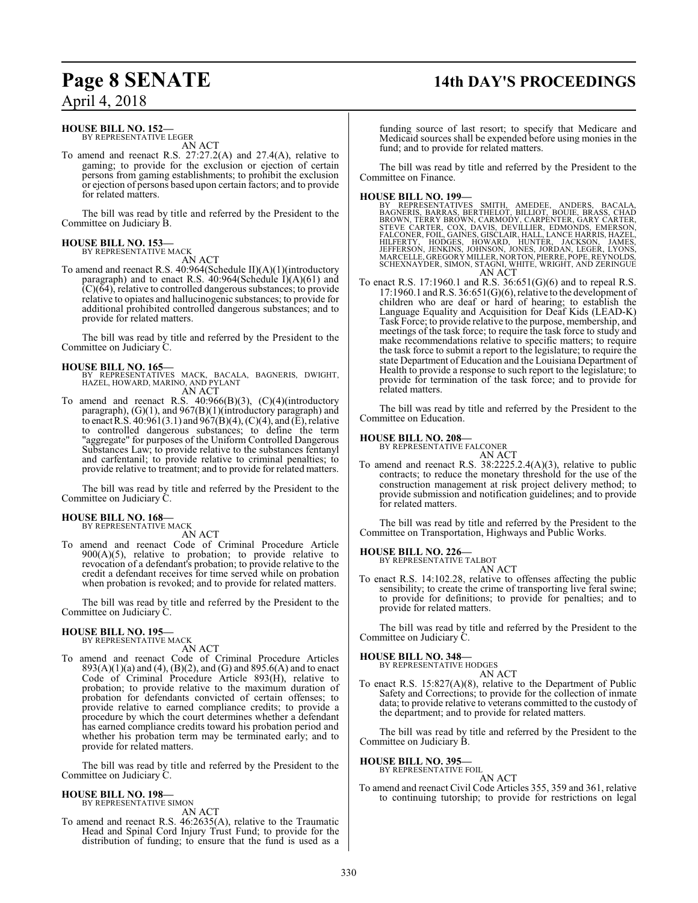## **Page 8 SENATE 14th DAY'S PROCEEDINGS**

April 4, 2018

#### **HOUSE BILL NO. 152—**

BY REPRESENTATIVE LEGER AN ACT

To amend and reenact R.S. 27:27.2(A) and 27.4(A), relative to gaming; to provide for the exclusion or ejection of certain persons from gaming establishments; to prohibit the exclusion or ejection of persons based upon certain factors; and to provide for related matters.

The bill was read by title and referred by the President to the Committee on Judiciary B.

#### **HOUSE BILL NO. 153—** BY REPRESENTATIVE MACK

AN ACT

To amend and reenact R.S. 40:964(Schedule II)(A)(1)(introductory paragraph) and to enact R.S. 40:964(Schedule I)(A)(61) and  $(C)(64)$ , relative to controlled dangerous substances; to provide relative to opiates and hallucinogenic substances; to provide for additional prohibited controlled dangerous substances; and to provide for related matters.

The bill was read by title and referred by the President to the Committee on Judiciary C.

#### **HOUSE BILL NO. 165—**

BY REPRESENTATIVES MACK, BACALA, BAGNERIS, DWIGHT, HAZEL, HOWARD, MARINO, AND PYLANT AN ACT

To amend and reenact R.S. 40:966(B)(3), (C)(4)(introductory paragraph), (G)(1), and 967(B)(1)(introductory paragraph) and to enact R.S.  $40:961(3.1)$  and  $967(B)(4)$ , (C)(4), and (E), relative to controlled dangerous substances; to define the term "aggregate" for purposes of the Uniform Controlled Dangerous Substances Law; to provide relative to the substances fentanyl and carfentanil; to provide relative to criminal penalties; to provide relative to treatment; and to provide for related matters.

The bill was read by title and referred by the President to the Committee on Judiciary C.

#### **HOUSE BILL NO. 168—** BY REPRESENTATIVE MACK

AN ACT

To amend and reenact Code of Criminal Procedure Article 900(A)(5), relative to probation; to provide relative to revocation of a defendant's probation; to provide relative to the credit a defendant receives for time served while on probation when probation is revoked; and to provide for related matters.

The bill was read by title and referred by the President to the Committee on Judiciary C.

#### **HOUSE BILL NO. 195—** BY REPRESENTATIVE MACK

AN ACT

To amend and reenact Code of Criminal Procedure Articles 893(A)(1)(a) and (4), (B)(2), and (G) and 895.6(A) and to enact Code of Criminal Procedure Article 893(H), relative to probation; to provide relative to the maximum duration of probation for defendants convicted of certain offenses; to provide relative to earned compliance credits; to provide a procedure by which the court determines whether a defendant has earned compliance credits toward his probation period and whether his probation term may be terminated early; and to provide for related matters.

The bill was read by title and referred by the President to the Committee on Judiciary C.

#### **HOUSE BILL NO. 198—** BY REPRESENTATIVE SIMON

AN ACT

To amend and reenact R.S. 46:2635(A), relative to the Traumatic Head and Spinal Cord Injury Trust Fund; to provide for the distribution of funding; to ensure that the fund is used as a

funding source of last resort; to specify that Medicare and Medicaid sources shall be expended before using monies in the fund; and to provide for related matters.

The bill was read by title and referred by the President to the Committee on Finance.

**HOUSE BILL NO. 199—**<br>BY REPRESENTATIVES SMITH, AMEDEE, ANDERS, BACALA,<br>BAGNERIS, BARRAS, BERTHELOT, BILLIOT, BOUIE, BRASS, CHAD<br>BROWN, TERRY BROWN, CARMODY, CARPENTER, GARY CARTER,<br>STEVE CARTER, COX, DAVIS, DEVILLIER, EDM AN ACT

To enact R.S. 17:1960.1 and R.S. 36:651(G)(6) and to repeal R.S. 17:1960.1 andR.S. 36:651(G)(6), relative to the development of children who are deaf or hard of hearing; to establish the Language Equality and Acquisition for Deaf Kids (LEAD-K) Task Force; to provide relative to the purpose, membership, and meetings of the task force; to require the task force to study and make recommendations relative to specific matters; to require the task force to submit a report to the legislature; to require the state Department of Education and the Louisiana Department of Health to provide a response to such report to the legislature; to provide for termination of the task force; and to provide for related matters.

The bill was read by title and referred by the President to the Committee on Education.

**HOUSE BILL NO. 208—** BY REPRESENTATIVE FALCONER

AN ACT To amend and reenact R.S. 38:2225.2.4(A)(3), relative to public contracts; to reduce the monetary threshold for the use of the construction management at risk project delivery method; to provide submission and notification guidelines; and to provide for related matters.

The bill was read by title and referred by the President to the Committee on Transportation, Highways and Public Works.

**HOUSE BILL NO. 226—** BY REPRESENTATIVE TALBOT

AN ACT

To enact R.S. 14:102.28, relative to offenses affecting the public sensibility; to create the crime of transporting live feral swine; to provide for definitions; to provide for penalties; and to provide for related matters.

The bill was read by title and referred by the President to the Committee on Judiciary C.

**HOUSE BILL NO. 348—** BY REPRESENTATIVE HODGES AN ACT

To enact R.S. 15:827(A)(8), relative to the Department of Public Safety and Corrections; to provide for the collection of inmate data; to provide relative to veterans committed to the custody of the department; and to provide for related matters.

The bill was read by title and referred by the President to the Committee on Judiciary B.

#### **HOUSE BILL NO. 395—**

BY REPRESENTATIVE FOIL AN ACT

To amend and reenact Civil Code Articles 355, 359 and 361, relative to continuing tutorship; to provide for restrictions on legal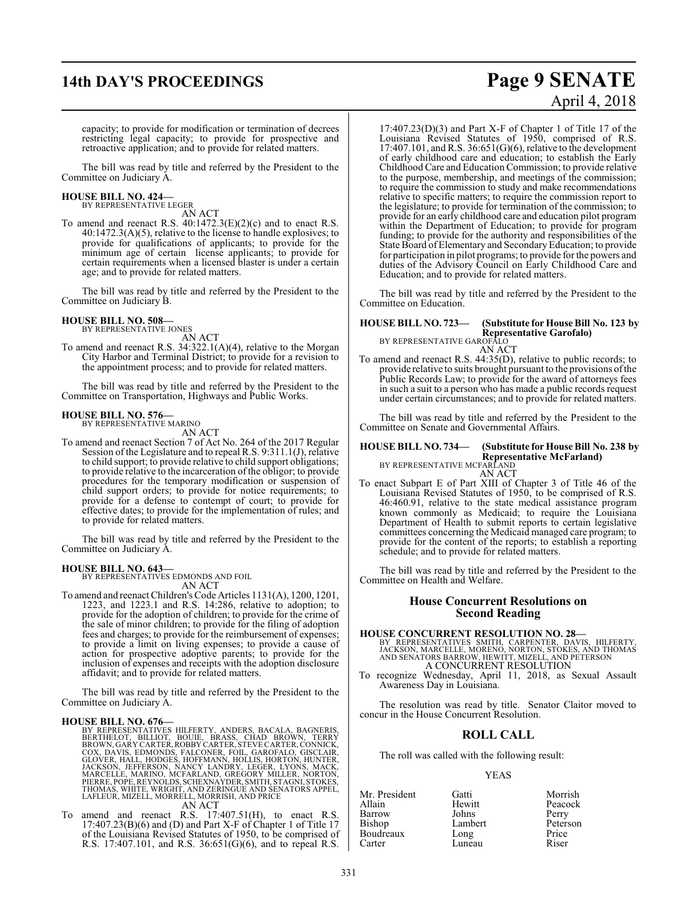# **14th DAY'S PROCEEDINGS Page 9 SENATE**

capacity; to provide for modification or termination of decrees restricting legal capacity; to provide for prospective and retroactive application; and to provide for related matters.

The bill was read by title and referred by the President to the Committee on Judiciary A.

#### **HOUSE BILL NO. 424—** BY REPRESENTATIVE LEGER

AN ACT

To amend and reenact R.S. 40:1472.3(E)(2)(c) and to enact R.S. 40:1472.3(A)(5), relative to the license to handle explosives; to provide for qualifications of applicants; to provide for the minimum age of certain license applicants; to provide for certain requirements when a licensed blaster is under a certain age; and to provide for related matters.

The bill was read by title and referred by the President to the Committee on Judiciary B.

## **HOUSE BILL NO. 508—** BY REPRESENTATIVE JONES

AN ACT To amend and reenact R.S. 34:322.1(A)(4), relative to the Morgan City Harbor and Terminal District; to provide for a revision to the appointment process; and to provide for related matters.

The bill was read by title and referred by the President to the Committee on Transportation, Highways and Public Works.

#### **HOUSE BILL NO. 576—**

BY REPRESENTATIVE MARINO AN ACT

To amend and reenact Section 7 of Act No. 264 of the 2017 Regular Session of the Legislature and to repeal R.S. 9:311.1(J), relative to child support; to provide relative to child support obligations; to provide relative to the incarceration of the obligor; to provide procedures for the temporary modification or suspension of child support orders; to provide for notice requirements; to provide for a defense to contempt of court; to provide for effective dates; to provide for the implementation of rules; and to provide for related matters.

The bill was read by title and referred by the President to the Committee on Judiciary A.

#### **HOUSE BILL NO. 643—**

BY REPRESENTATIVES EDMONDS AND FOIL

affidavit; and to provide for related matters.

AN ACT To amend and reenact Children's Code Articles 1131(A), 1200, 1201, 1223, and 1223.1 and R.S. 14:286, relative to adoption; to provide for the adoption of children; to provide for the crime of the sale of minor children; to provide for the filing of adoption fees and charges; to provide for the reimbursement of expenses; to provide a limit on living expenses; to provide a cause of action for prospective adoptive parents; to provide for the inclusion of expenses and receipts with the adoption disclosure

The bill was read by title and referred by the President to the Committee on Judiciary A.

#### **HOUSE BILL NO. 676—**

BY REPRESENTATIVES HILFERTY, ANDERS, BACALA, BAGNERIS,<br>BERTHELOT, BILLIOT, BOUIE, BRASS, CHAD BROWN, TERRY<br>BROWN, GARY CARTER,ROBBY CARTER,STEVE CARTER,CONNICK,<br>COX, DAVIS, EDMONDS, FALCONER, FOIL, GAROFALO, GISCLAIR,<br>GLOV

#### AN ACT

To amend and reenact R.S. 17:407.51(H), to enact R.S.  $17:407.23(B)(6)$  and (D) and Part X-F of Chapter 1 of Title 17 of the Louisiana Revised Statutes of 1950, to be comprised of R.S. 17:407.101, and R.S. 36:651(G)(6), and to repeal R.S.

17:407.23(D)(3) and Part X-F of Chapter 1 of Title 17 of the Louisiana Revised Statutes of 1950, comprised of R.S.  $17:407.101$ , and R.S.  $36:651(G)(6)$ , relative to the development of early childhood care and education; to establish the Early Childhood Care and Education Commission; to provide relative to the purpose, membership, and meetings of the commission; to require the commission to study and make recommendations relative to specific matters; to require the commission report to the legislature; to provide for termination of the commission; to provide for an early childhood care and education pilot program within the Department of Education; to provide for program funding; to provide for the authority and responsibilities of the State Board ofElementary and SecondaryEducation; to provide for participation in pilot programs; to provide for the powers and duties of the Advisory Council on Early Childhood Care and Education; and to provide for related matters.

The bill was read by title and referred by the President to the Committee on Education.

## **HOUSE BILL NO. 723— (Substitute for House Bill No. 123 by Representative Garofalo)** BY REPRESENTATIVE GAROFALO

AN ACT

To amend and reenact R.S. 44:35(D), relative to public records; to provide relative to suits brought pursuant to the provisions ofthe Public Records Law; to provide for the award of attorneys fees in such a suit to a person who has made a public records request under certain circumstances; and to provide for related matters.

The bill was read by title and referred by the President to the Committee on Senate and Governmental Affairs.

## **HOUSE BILL NO. 734— (Substitute for House Bill No. 238 by** Representative McFarland)<br>BY REPRESENTATIVE MCFARLAND

AN ACT

To enact Subpart E of Part XIII of Chapter 3 of Title 46 of the Louisiana Revised Statutes of 1950, to be comprised of R.S. 46:460.91, relative to the state medical assistance program known commonly as Medicaid; to require the Louisiana Department of Health to submit reports to certain legislative committees concerning the Medicaid managed care program; to provide for the content of the reports; to establish a reporting schedule; and to provide for related matters.

The bill was read by title and referred by the President to the Committee on Health and Welfare.

#### **House Concurrent Resolutions on Second Reading**

**HOUSE CONCURRENT RESOLUTION NO. 28—**<br>BY REPRESENTATIVES SMITH, CARPENTER, DAVIS, HILFERTY,<br>JACKSON, MARCELLE, MORENO, NORTON, STOKES, AND THOMAS<br>AND SENATORS BARROW, HEWITT, MIZELL, AND PETERSON<br>A CONCURRENT RESOLUTION

To recognize Wednesday, April 11, 2018, as Sexual Assault Awareness Day in Louisiana.

The resolution was read by title. Senator Claitor moved to concur in the House Concurrent Resolution.

#### **ROLL CALL**

The roll was called with the following result:

#### YEAS

| Mr. President | Gatti   | Morrish  |
|---------------|---------|----------|
| Allain        | Hewitt  | Peacock  |
| Barrow        | Johns   | Perry    |
| <b>Bishop</b> | Lambert | Peterson |
| Boudreaux     | Long    | Price    |
| Carter        | Luneau  | Riser    |

# April 4, 2018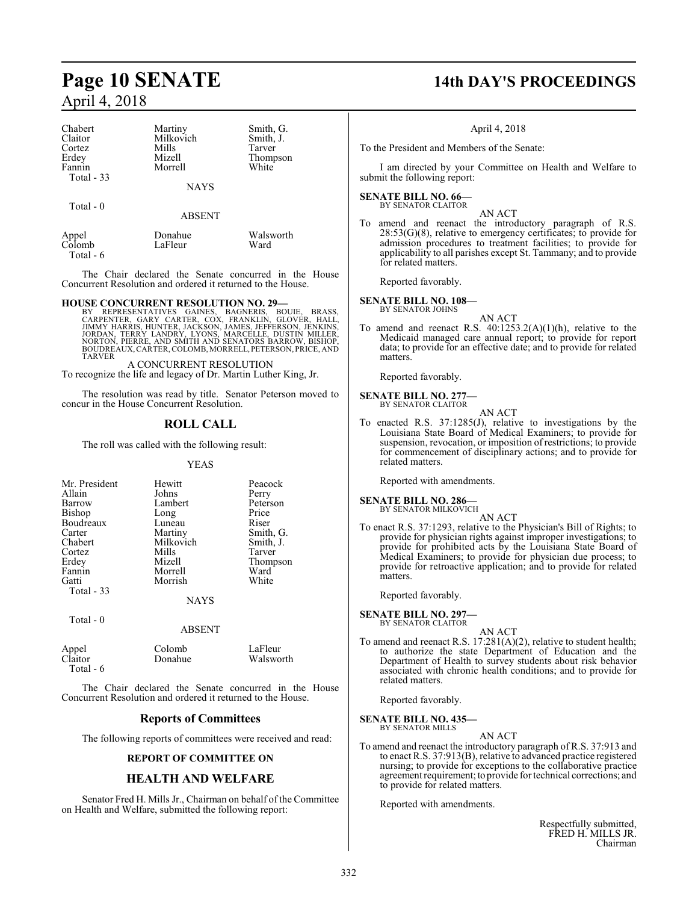| Chabert     | Martiny     | Smith, G. |
|-------------|-------------|-----------|
| Claitor     | Milkovich   | Smith, J. |
| Cortez      | Mills       | Tarver    |
| Erdey       | Mizell      | Thompson  |
| Fannin      | Morrell     | White     |
| Total $-33$ |             |           |
|             | <b>NAYS</b> |           |

Total - 0

ABSENT Appel Donahue Walsworth<br>
Colomb LaFleur Ward

Colomb Total - 6

The Chair declared the Senate concurred in the House Concurrent Resolution and ordered it returned to the House.

#### **HOUSE CONCURRENT RESOLUTION NO. 29—**

BY REPRESENTATIVES GAINES, BAGNERIS, BOUIE, BRASS,<br>CARPENTER, GARY CARTER, COX, FRANKLIN, GLOVER, HALL,<br>JIMMY HARRIS,HUNTER,JACKSON,JAMES,JEFFERSON,JENKINS,<br>JORDAN,TERRY LANDRY,LYONS,MARCELLE,DUSTIN MILLER,<br>NORTON,PIERRE,A TARVER

A CONCURRENT RESOLUTION To recognize the life and legacy of Dr. Martin Luther King, Jr.

The resolution was read by title. Senator Peterson moved to concur in the House Concurrent Resolution.

## **ROLL CALL**

The roll was called with the following result:

#### YEAS

| Mr. President<br>Allain<br>Barrow<br>Bishop<br>Boudreaux<br>Carter<br>Chabert<br>Cortez<br>Erdey<br>Fannin<br>Gatti | Hewitt<br>Johns<br>Lambert<br>Long<br>Luneau<br>Martiny<br>Milkovich<br>Mills<br>Mizell<br>Morrell<br>Morrish | Peacock<br>Perry<br>Peterson<br>Price<br>Riser<br>Smith, G.<br>Smith, J.<br>Tarver<br>Thompson<br>Ward<br>White |
|---------------------------------------------------------------------------------------------------------------------|---------------------------------------------------------------------------------------------------------------|-----------------------------------------------------------------------------------------------------------------|
| Total - 33                                                                                                          | <b>NAYS</b>                                                                                                   |                                                                                                                 |
| Total - 0                                                                                                           | ABSENT                                                                                                        |                                                                                                                 |

|                  | Colomb  | LaFleur   |
|------------------|---------|-----------|
| Appel<br>Claitor | Donahue | Walsworth |
| Total $-6$       |         |           |

The Chair declared the Senate concurred in the House Concurrent Resolution and ordered it returned to the House.

### **Reports of Committees**

The following reports of committees were received and read:

#### **REPORT OF COMMITTEE ON**

#### **HEALTH AND WELFARE**

Senator Fred H. Mills Jr., Chairman on behalf of the Committee on Health and Welfare, submitted the following report:

## **Page 10 SENATE 14th DAY'S PROCEEDINGS**

#### April 4, 2018

To the President and Members of the Senate:

I am directed by your Committee on Health and Welfare to submit the following report:

## **SENATE BILL NO. 66—** BY SENATOR CLAITOR

AN ACT

To amend and reenact the introductory paragraph of R.S.  $28:53(G)(8)$ , relative to emergency certificates; to provide for admission procedures to treatment facilities; to provide for applicability to all parishes except St. Tammany; and to provide for related matters.

Reported favorably.

**SENATE BILL NO. 108—** BY SENATOR JOHNS

AN ACT

To amend and reenact R.S.  $40:1253.2(A)(1)(h)$ , relative to the Medicaid managed care annual report; to provide for report data; to provide for an effective date; and to provide for related matters.

Reported favorably.

#### **SENATE BILL NO. 277—** BY SENATOR CLAITOR

AN ACT

To enacted R.S. 37:1285(J), relative to investigations by the Louisiana State Board of Medical Examiners; to provide for suspension, revocation, or imposition of restrictions; to provide for commencement of disciplinary actions; and to provide for related matters.

Reported with amendments.

## **SENATE BILL NO. 286—**<br>BY SENATOR MILKOVICH

AN ACT

To enact R.S. 37:1293, relative to the Physician's Bill of Rights; to provide for physician rights against improper investigations; to provide for prohibited acts by the Louisiana State Board of Medical Examiners; to provide for physician due process; to provide for retroactive application; and to provide for related **matters** 

Reported favorably.

**SENATE BILL NO. 297—** BY SENATOR CLAITOR

AN ACT

To amend and reenact R.S. 17:281(A)(2), relative to student health; to authorize the state Department of Education and the Department of Health to survey students about risk behavior associated with chronic health conditions; and to provide for related matters.

Reported favorably.

**SENATE BILL NO. 435—** BY SENATOR MILLS

#### AN ACT

To amend and reenact the introductory paragraph of R.S. 37:913 and to enact R.S. 37:913(B), relative to advanced practice registered nursing; to provide for exceptions to the collaborative practice agreement requirement; to provide for technical corrections; and to provide for related matters.

Reported with amendments.

Respectfully submitted, FRED H. MILLS JR. Chairman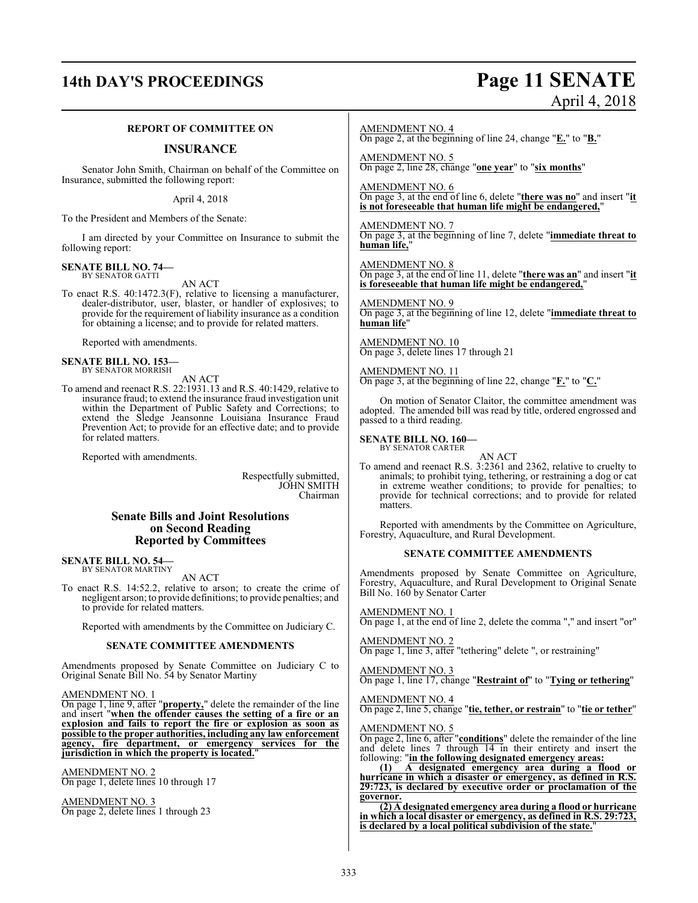## **14th DAY'S PROCEEDINGS Page 11 SENATE** April 4, 2018

#### **REPORT OF COMMITTEE ON**

#### **INSURANCE**

Senator John Smith, Chairman on behalf of the Committee on Insurance, submitted the following report:

April 4, 2018

To the President and Members of the Senate:

I am directed by your Committee on Insurance to submit the following report:

#### **SENATE BILL NO. 74—** BY SENATOR GATTI

AN ACT

To enact R.S. 40:1472.3(F), relative to licensing a manufacturer, dealer-distributor, user, blaster, or handler of explosives; to provide for the requirement of liability insurance as a condition for obtaining a license; and to provide for related matters.

Reported with amendments.

## **SENATE BILL NO. 153—** BY SENATOR MORRISH

#### AN ACT

To amend and reenact R.S. 22:1931.13 and R.S. 40:1429, relative to insurance fraud; to extend the insurance fraud investigation unit within the Department of Public Safety and Corrections; to extend the Sledge Jeansonne Louisiana Insurance Fraud Prevention Act; to provide for an effective date; and to provide for related matters.

Reported with amendments.

Respectfully submitted, JOHN SMITH Chairman

#### **Senate Bills and Joint Resolutions on Second Reading Reported by Committees**

## **SENATE BILL NO. 54—** BY SENATOR MARTINY

AN ACT

To enact R.S. 14:52.2, relative to arson; to create the crime of negligent arson; to provide definitions; to provide penalties; and to provide for related matters.

Reported with amendments by the Committee on Judiciary C.

#### **SENATE COMMITTEE AMENDMENTS**

Amendments proposed by Senate Committee on Judiciary C to Original Senate Bill No. 54 by Senator Martiny

#### AMENDMENT NO. 1

On page 1, line 9, after "**property,**" delete the remainder of the line and insert "**when the offender causes the setting of a fire or an explosion and fails to report the fire or explosion as soon as possible to the proper authorities, including any law enforcement agency, fire department, or emergency services for the jurisdiction in which the property is located.**"

AMENDMENT NO. 2 On page 1, delete lines 10 through 17

AMENDMENT NO. 3 On page 2, delete lines 1 through 23

#### AMENDMENT NO. 4

On page 2, at the beginning of line 24, change "**E.**" to "**B.**"

AMENDMENT NO. 5 On page 2, line 28, change "**one year**" to "**six months**"

AMENDMENT NO. 6 On page 3, at the end of line 6, delete "**there was no**" and insert "**it is not foreseeable that human life might be endangered,**"

AMENDMENT NO. 7 On page 3, at the beginning of line 7, delete "**immediate threat to human life,**"

#### AMENDMENT NO. 8 On page 3, at the end of line 11, delete "**there was an**" and insert "**it is foreseeable that human life might be endangered,**"

AMENDMENT NO. 9 On page 3, at the beginning of line 12, delete "**immediate threat to human life**"

AMENDMENT NO. 10 On page 3, delete lines 17 through 21

AMENDMENT NO. 11 On page 3, at the beginning of line 22, change "**F.**" to "**C.**"

On motion of Senator Claitor, the committee amendment was adopted. The amended bill was read by title, ordered engrossed and passed to a third reading.

#### **SENATE BILL NO. 160—** BY SENATOR CARTER

AN ACT

To amend and reenact R.S. 3:2361 and 2362, relative to cruelty to animals; to prohibit tying, tethering, or restraining a dog or cat in extreme weather conditions; to provide for penalties; to provide for technical corrections; and to provide for related matters.

Reported with amendments by the Committee on Agriculture, Forestry, Aquaculture, and Rural Development.

#### **SENATE COMMITTEE AMENDMENTS**

Amendments proposed by Senate Committee on Agriculture, Forestry, Aquaculture, and Rural Development to Original Senate Bill No. 160 by Senator Carter

AMENDMENT NO. 1

On page 1, at the end of line 2, delete the comma "," and insert "or"

AMENDMENT NO. 2 On page 1, line 3, after "tethering" delete ", or restraining"

#### AMENDMENT NO. 3

On page 1, line 17, change "**Restraint of**" to "**Tying or tethering**"

AMENDMENT NO. 4

On page 2, line 5, change "**tie, tether, or restrain**" to "**tie or tether**"

#### AMENDMENT NO. 5

On page 2, line 6, after "**conditions**" delete the remainder of the line and delete lines 7 through 14 in their entirety and insert the following: "**in the following designated emergency areas:**

**(1) A designated emergency area during a flood or hurricane in which a disaster or emergency, as defined in R.S. 29:723, is declared by executive order or proclamation of the governor.**

**(2) A designated emergency area during a flood or hurricane in which a local disaster or emergency, as defined in R.S. 29:723,** is declared by a local political subdivision of the state.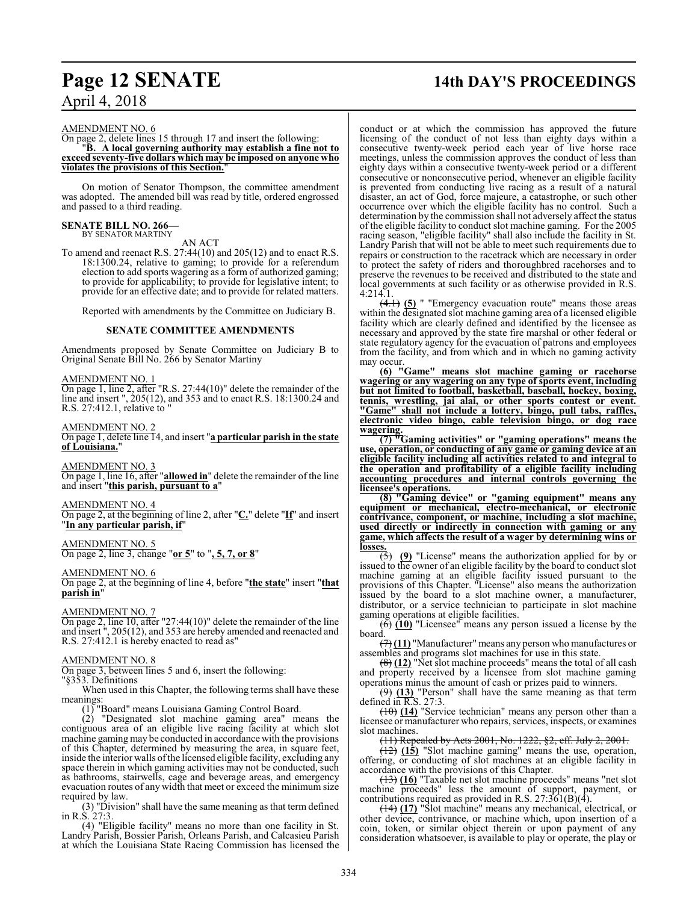#### AMENDMENT NO. 6

#### On page 2, delete lines 15 through 17 and insert the following: "**B. A local governing authority may establish a fine not to exceed seventy-five dollars which may be imposed on anyone who violates the provisions of this Section.**"

On motion of Senator Thompson, the committee amendment was adopted. The amended bill was read by title, ordered engrossed and passed to a third reading.

#### **SENATE BILL NO. 266—** BY SENATOR MARTINY

AN ACT

To amend and reenact R.S. 27:44(10) and 205(12) and to enact R.S. 18:1300.24, relative to gaming; to provide for a referendum election to add sports wagering as a form of authorized gaming; to provide for applicability; to provide for legislative intent; to provide for an effective date; and to provide for related matters.

Reported with amendments by the Committee on Judiciary B.

#### **SENATE COMMITTEE AMENDMENTS**

Amendments proposed by Senate Committee on Judiciary B to Original Senate Bill No. 266 by Senator Martiny

#### AMENDMENT NO. 1

On page 1, line 2, after "R.S. 27:44(10)" delete the remainder of the line and insert", 205(12), and 353 and to enact R.S. 18:1300.24 and R.S. 27:412.1, relative to "

#### AMENDMENT NO. 2

On page 1, delete line 14, and insert "**a particular parish in the state of Louisiana.**"

AMENDMENT NO. 3 On page 1, line 16, after "**allowed in**" delete the remainder of the line and insert "**this parish, pursuant to a**"

AMENDMENT NO. 4

On page 2, at the beginning of line 2, after "**C.**" delete "**If**" and insert "**In any particular parish, if**"

#### AMENDMENT NO. 5

On page 2, line 3, change "**or 5**" to "**, 5, 7, or 8**"

#### AMENDMENT NO. 6

On page 2, at the beginning of line 4, before "**the state**" insert "**that parish in**"

#### AMENDMENT NO. 7

On page 2, line 10, after "27:44(10)" delete the remainder of the line and insert ", 205(12), and 353 are hereby amended and reenacted and R.S. 27:412.1 is hereby enacted to read as"

#### AMENDMENT NO. 8

On page 3, between lines 5 and 6, insert the following:

"§353. Definitions

When used in this Chapter, the following terms shall have these meanings:

(1) "Board" means Louisiana Gaming Control Board.

(2) "Designated slot machine gaming area" means the contiguous area of an eligible live racing facility at which slot machine gaming may be conducted in accordance with the provisions of this Chapter, determined by measuring the area, in square feet, inside the interior walls ofthe licensed eligible facility, excluding any space therein in which gaming activities may not be conducted, such as bathrooms, stairwells, cage and beverage areas, and emergency evacuation routes of any width that meet or exceed the minimum size required by law.

(3) "Division" shall have the same meaning as that term defined in R.S. 27:3.

(4) "Eligible facility" means no more than one facility in St. Landry Parish, Bossier Parish, Orleans Parish, and Calcasieu Parish at which the Louisiana State Racing Commission has licensed the

## **Page 12 SENATE 14th DAY'S PROCEEDINGS**

conduct or at which the commission has approved the future licensing of the conduct of not less than eighty days within a consecutive twenty-week period each year of live horse race meetings, unless the commission approves the conduct of less than eighty days within a consecutive twenty-week period or a different consecutive or nonconsecutive period, whenever an eligible facility is prevented from conducting live racing as a result of a natural disaster, an act of God, force majeure, a catastrophe, or such other occurrence over which the eligible facility has no control. Such a determination by the commission shall not adversely affect the status of the eligible facility to conduct slot machine gaming. For the 2005 racing season, "eligible facility" shall also include the facility in St. Landry Parish that will not be able to meet such requirements due to repairs or construction to the racetrack which are necessary in order to protect the safety of riders and thoroughbred racehorses and to preserve the revenues to be received and distributed to the state and local governments at such facility or as otherwise provided in R.S. 4:214.1.

(4.1) **(5)** " "Emergency evacuation route" means those areas within the designated slot machine gaming area of a licensed eligible facility which are clearly defined and identified by the licensee as necessary and approved by the state fire marshal or other federal or state regulatory agency for the evacuation of patrons and employees from the facility, and from which and in which no gaming activity may occur.

**(6) "Game" means slot machine gaming or racehorse wagering or any wagering on any type of sports event, including but not limited to football, basketball, baseball, hockey, boxing, tennis, wrestling, jai alai, or other sports contest or event. "Game" shall not include a lottery, bingo, pull tabs, raffles, electronic video bingo, cable television bingo, or dog race wagering.**

**(7) "Gaming activities" or "gaming operations" means the use, operation, or conducting of any game or gaming device at an eligible facility including all activities related to and integral to the operation and profitability of a eligible facility including accounting procedures and internal controls governing the licensee's operations.**

**(8) "Gaming device" or "gaming equipment" means any equipment or mechanical, electro-mechanical, or electronic contrivance, component, or machine, including a slot machine, used directly or indirectly in connection with gaming or any game, which affects the result of a wager by determining wins or losses.**

(5) **(9)** "License" means the authorization applied for by or issued to the owner of an eligible facility by the board to conduct slot machine gaming at an eligible facility issued pursuant to the provisions of this Chapter. "License" also means the authorization issued by the board to a slot machine owner, a manufacturer, distributor, or a service technician to participate in slot machine gaming operations at eligible facilities.

(6) **(10)** "Licensee" means any person issued a license by the board.

(7) **(11)** "Manufacturer" means any person who manufactures or assembles and programs slot machines for use in this state.

(8) **(12)** "Net slot machine proceeds" means the total of all cash and property received by a licensee from slot machine gaming operations minus the amount of cash or prizes paid to winners.

(9) **(13)** "Person" shall have the same meaning as that term defined in R.S. 27:3.

(10) **(14)** "Service technician" means any person other than a licensee or manufacturer who repairs, services, inspects, or examines slot machines.

(11) Repealed by Acts 2001, No. 1222, §2, eff. July 2, 2001.

(12) **(15)** "Slot machine gaming" means the use, operation, offering, or conducting of slot machines at an eligible facility in accordance with the provisions of this Chapter.

(13) **(16)** "Taxable net slot machine proceeds" means "net slot machine proceeds" less the amount of support, payment, or contributions required as provided in R.S.  $27:361(B)(4)$ .

(14) **(17)** "Slot machine" means any mechanical, electrical, or other device, contrivance, or machine which, upon insertion of a coin, token, or similar object therein or upon payment of any consideration whatsoever, is available to play or operate, the play or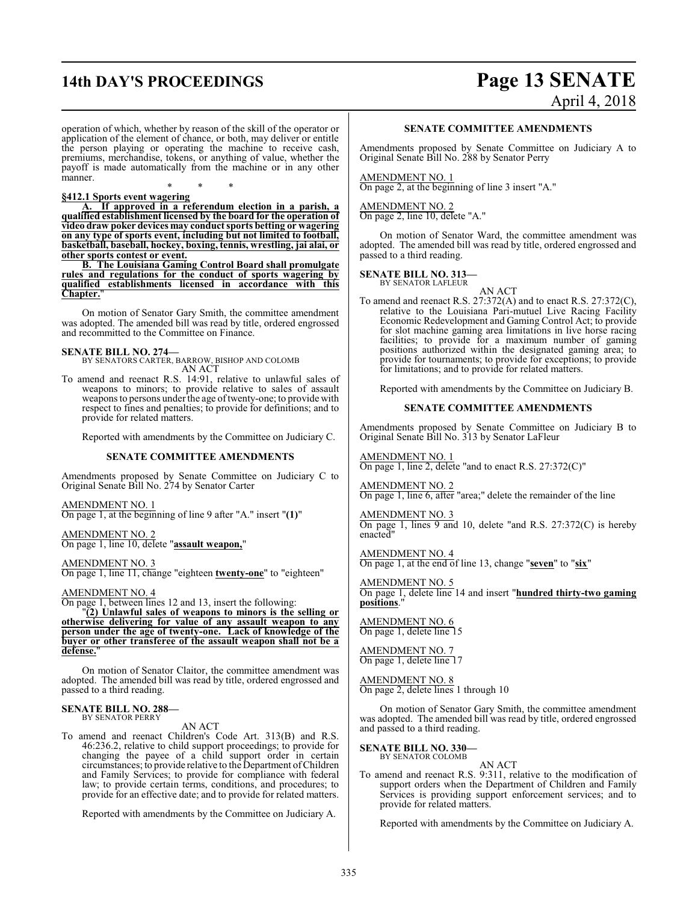## **14th DAY'S PROCEEDINGS Page 13 SENATE**

# April 4, 2018

operation of which, whether by reason of the skill of the operator or application of the element of chance, or both, may deliver or entitle the person playing or operating the machine to receive cash, premiums, merchandise, tokens, or anything of value, whether the payoff is made automatically from the machine or in any other manner.

\* \* \* **§412.1 Sports event wagering**

**A. If approved in a referendum election in a parish, a qualified establishment licensed by the board for the operation of video draw poker devices may conduct sports betting or wagering on any type of sports event, including but not limited to football, basketball, baseball, hockey, boxing, tennis, wrestling, jai alai, or other sports contest or event.**

**B. The Louisiana Gaming Control Board shall promulgate rules and regulations for the conduct of sports wagering by qualified establishments licensed in accordance with this Chapter.**"

On motion of Senator Gary Smith, the committee amendment was adopted. The amended bill was read by title, ordered engrossed and recommitted to the Committee on Finance.

#### **SENATE BILL NO. 274—**

BY SENATORS CARTER, BARROW, BISHOP AND COLOMB AN ACT

To amend and reenact R.S. 14:91, relative to unlawful sales of weapons to minors; to provide relative to sales of assault weapons to persons under the age of twenty-one; to provide with respect to fines and penalties; to provide for definitions; and to provide for related matters.

Reported with amendments by the Committee on Judiciary C.

#### **SENATE COMMITTEE AMENDMENTS**

Amendments proposed by Senate Committee on Judiciary C to Original Senate Bill No. 274 by Senator Carter

AMENDMENT NO. 1 On page 1, at the beginning of line 9 after "A." insert "**(1)**"

AMENDMENT NO. 2 On page 1, line 10, delete "**assault weapon,**"

AMENDMENT NO. 3 On page 1, line 11, change "eighteen **twenty-one**" to "eighteen"

AMENDMENT NO. 4

On page 1, between lines 12 and 13, insert the following:

"**(2) Unlawful sales of weapons to minors is the selling or otherwise delivering for value of any assault weapon to any person under the age of twenty-one. Lack of knowledge of the buyer or other transferee of the assault weapon shall not be a** defense.

On motion of Senator Claitor, the committee amendment was adopted. The amended bill was read by title, ordered engrossed and passed to a third reading.

## **SENATE BILL NO. 288—** BY SENATOR PERRY

AN ACT

To amend and reenact Children's Code Art. 313(B) and R.S. 46:236.2, relative to child support proceedings; to provide for changing the payee of a child support order in certain circumstances; to provide relative to the Department ofChildren and Family Services; to provide for compliance with federal law; to provide certain terms, conditions, and procedures; to provide for an effective date; and to provide for related matters.

Reported with amendments by the Committee on Judiciary A.

#### **SENATE COMMITTEE AMENDMENTS**

Amendments proposed by Senate Committee on Judiciary A to Original Senate Bill No. 288 by Senator Perry

AMENDMENT NO. 1 On page 2, at the beginning of line 3 insert "A."

AMENDMENT NO. 2 On page 2, line 10, delete "A."

On motion of Senator Ward, the committee amendment was adopted. The amended bill was read by title, ordered engrossed and passed to a third reading.

## **SENATE BILL NO. 313—** BY SENATOR LAFLEUR

AN ACT To amend and reenact R.S. 27:372(A) and to enact R.S. 27:372(C), relative to the Louisiana Pari-mutuel Live Racing Facility Economic Redevelopment and Gaming Control Act; to provide for slot machine gaming area limitations in live horse racing facilities; to provide for a maximum number of gaming positions authorized within the designated gaming area; to provide for tournaments; to provide for exceptions; to provide for limitations; and to provide for related matters.

Reported with amendments by the Committee on Judiciary B.

#### **SENATE COMMITTEE AMENDMENTS**

Amendments proposed by Senate Committee on Judiciary B to Original Senate Bill No. 313 by Senator LaFleur

AMENDMENT NO. 1 On page 1, line 2, delete "and to enact R.S. 27:372(C)"

AMENDMENT NO. 2 On page 1, line 6, after "area;" delete the remainder of the line

AMENDMENT NO. 3 On page 1, lines 9 and 10, delete "and R.S. 27:372(C) is hereby enacted"

AMENDMENT NO. 4 On page 1, at the end of line 13, change "**seven**" to "**six**"

AMENDMENT NO. 5 On page 1, delete line 14 and insert "**hundred thirty-two gaming positions**."

AMENDMENT NO. 6 On page 1, delete line 15

AMENDMENT NO. 7 On page 1, delete line 17

AMENDMENT NO. 8 On page 2, delete lines 1 through 10

On motion of Senator Gary Smith, the committee amendment was adopted. The amended bill was read by title, ordered engrossed and passed to a third reading.

## **SENATE BILL NO. 330—** BY SENATOR COLOMB

AN ACT

To amend and reenact R.S. 9:311, relative to the modification of support orders when the Department of Children and Family Services is providing support enforcement services; and to provide for related matters.

Reported with amendments by the Committee on Judiciary A.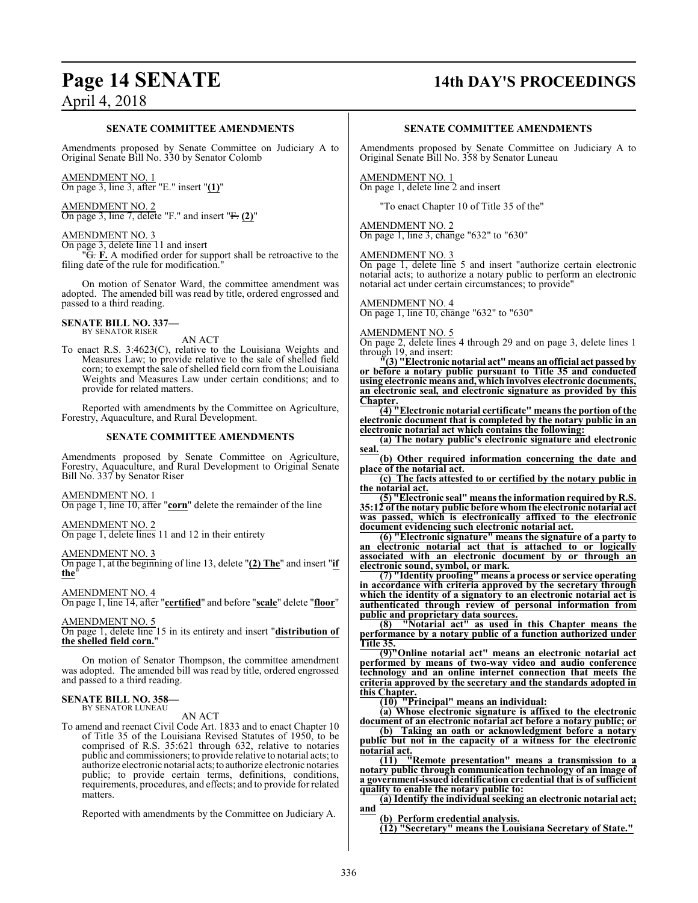## **Page 14 SENATE 14th DAY'S PROCEEDINGS**

#### **SENATE COMMITTEE AMENDMENTS**

Amendments proposed by Senate Committee on Judiciary A to Original Senate Bill No. 330 by Senator Colomb

## AMENDMENT NO. 1

On page 3, line 3, after "E." insert "**(1)**"

#### AMENDMENT NO. 2 On page 3, line 7, delete "F." and insert "F. **(2)**"

#### AMENDMENT NO. 3

On page 3, delete line 11 and insert

"G. **F.** A modified order for support shall be retroactive to the filing date of the rule for modification."

On motion of Senator Ward, the committee amendment was adopted. The amended bill was read by title, ordered engrossed and passed to a third reading.

## **SENATE BILL NO. 337—** BY SENATOR RISER

AN ACT

To enact R.S. 3:4623(C), relative to the Louisiana Weights and Measures Law; to provide relative to the sale of shelled field corn; to exempt the sale of shelled field corn from the Louisiana Weights and Measures Law under certain conditions; and to provide for related matters.

Reported with amendments by the Committee on Agriculture, Forestry, Aquaculture, and Rural Development.

#### **SENATE COMMITTEE AMENDMENTS**

Amendments proposed by Senate Committee on Agriculture, Forestry, Aquaculture, and Rural Development to Original Senate Bill No. 337 by Senator Riser

#### AMENDMENT NO. 1

On page 1, line 10, after "**corn**" delete the remainder of the line

## AMENDMENT NO. 2

On page 1, delete lines 11 and 12 in their entirety

#### AMENDMENT NO. 3

On page 1, at the beginning of line 13, delete "**(2) The**" and insert "**if the**"

#### AMENDMENT NO. 4

On page 1, line 14, after "**certified**" and before "**scale**" delete "**floor**"

#### AMENDMENT NO. 5

On page 1, delete line 15 in its entirety and insert "**distribution of the shelled field corn.**"

On motion of Senator Thompson, the committee amendment was adopted. The amended bill was read by title, ordered engrossed and passed to a third reading.

## **SENATE BILL NO. 358—** BY SENATOR LUNEAU

AN ACT

To amend and reenact Civil Code Art. 1833 and to enact Chapter 10 of Title 35 of the Louisiana Revised Statutes of 1950, to be comprised of R.S. 35:621 through 632, relative to notaries public and commissioners; to provide relative to notarial acts; to authorize electronic notarial acts; to authorize electronic notaries public; to provide certain terms, definitions, conditions, requirements, procedures, and effects; and to provide for related matters.

Reported with amendments by the Committee on Judiciary A.

#### **SENATE COMMITTEE AMENDMENTS**

Amendments proposed by Senate Committee on Judiciary A to Original Senate Bill No. 358 by Senator Luneau

#### AMENDMENT NO. 1 On page 1, delete line 2 and insert

"To enact Chapter 10 of Title 35 of the"

#### AMENDMENT NO. 2

On page 1, line 3, change "632" to "630"

#### AMENDMENT NO. 3

On page 1, delete line 5 and insert "authorize certain electronic notarial acts; to authorize a notary public to perform an electronic notarial act under certain circumstances; to provide"

## AMENDMENT NO. 4

On page 1, line 10, change "632" to "630"

#### AMENDMENT NO. 5

On page 2, delete lines 4 through 29 and on page 3, delete lines 1 through 19, and insert:

**"(3) "Electronic notarial act" means anofficial act passed by or before a notary public pursuant to Title 35 and conducted using electronic means and, which involves electronic documents, an electronic seal, and electronic signature as provided by this Chapter.**

**(4) "Electronic notarial certificate" means the portion of the electronic document that is completed by the notary public in an electronic notarial act which contains the following:**

**(a) The notary public's electronic signature and electronic seal.**

**(b) Other required information concerning the date and place of the notarial act.**

**(c) The facts attested to or certified by the notary public in the notarial act.**

**(5) "Electronic seal" means the information requiredby R.S. 35:12 of the notary public before whomthe electronic notarial act was passed, which is electronically affixed to the electronic document evidencing such electronic notarial act.**

**(6) "Electronic signature" means the signature of a party to an electronic notarial act that is attached to or logically associated with an electronic document by or through an electronic sound, symbol, or mark.**

**(7) "Identity proofing" means a process or service operating in accordance with criteria approved by the secretary through which the identity of a signatory to an electronic notarial act is authenticated through review of personal information from public and proprietary data sources.**

**(8) "Notarial act" as used in this Chapter means the performance by a notary public of a function authorized under Title 35.**

**(9)"Online notarial act" means an electronic notarial act performed by means of two-way video and audio conference technology and an online internet connection that meets the criteria approved by the secretary and the standards adopted in this Chapter.**

**(10) "Principal" means an individual:**

**(a) Whose electronic signature is affixed to the electronic document of an electronic notarial act before a notary public; or**

**(b) Taking an oath or acknowledgment before a notary public but not in the capacity of a witness for the electronic notarial act.**

**(11) "Remote presentation" means a transmission to a notary public through communication technology of an image of a government-issued identification credential that is of sufficient quality to enable the notary public to:**

**(a) Identify the individual seeking an electronic notarial act; and**

**(b) Perform credential analysis.**

**(12) "Secretary" means the Louisiana Secretary of State."**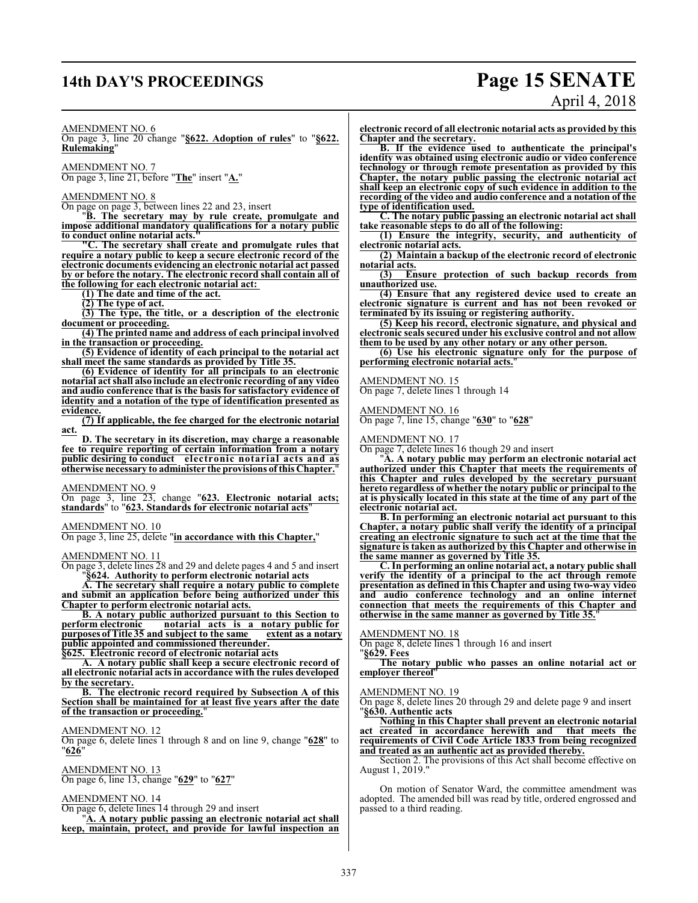## **14th DAY'S PROCEEDINGS Page 15 SENATE**

# April 4, 2018

AMENDMENT NO. 6

On page 3, line 20 change "**§622. Adoption of rules**" to "**§622. Rulemaking**"

AMENDMENT NO. 7 On page 3, line 21, before "**The**" insert "**A.**"

AMENDMENT NO. 8

On page on page 3, between lines 22 and 23, insert

"**B. The secretary may by rule create, promulgate and impose additional mandatory qualifications for a notary public to conduct online notarial acts."**

**"C. The secretary shall create and promulgate rules that require a notary public to keep a secure electronic record of the electronic documents evidencing an electronic notarial act passed by or before the notary. The electronic record shall contain all of the following for each electronic notarial act:** 

**(1) The date and time of the act.**

**(2) The type of act.**

**(3) The type, the title, or a description of the electronic document or proceeding.**

**(4) The printed name and address of each principal involved in the transaction or proceeding.**

**(5) Evidence of identity of each principal to the notarial act shall meet the same standards as provided by Title 35.**

**(6) Evidence of identity for all principals to an electronic notarial act shall also include an electronic recording of any video and audio conference that is the basis for satisfactory evidence of identity and a notation of the type of identification presented as evidence.**

**(7) If applicable, the fee charged for the electronic notarial act.**

**D. The secretary in its discretion, may charge a reasonable fee to require reporting of certain information from a notary public desiring to conduct electronic notarial acts and as otherwise necessary to administer the provisions of this Chapter.**"

AMENDMENT NO. 9

On page 3, line 23, change "**623. Electronic notarial acts; standards**" to "**623. Standards for electronic notarial acts**"

AMENDMENT NO. 10

On page 3, line 25, delete "**in accordance with this Chapter,**"

## AMENDMENT NO. 11

On page 3, delete lines 28 and 29 and delete pages 4 and 5 and insert "**§624. Authority to perform electronic notarial acts**

**A. The secretary shall require a notary public to complete and submit an application before being authorized under this Chapter to perform electronic notarial acts.**

**B. A notary public authorized pursuant to this Section to perform electronic notarial acts is a notary public for purposes ofTitle 35 and subject to the same extent as a notary public appointed and commissioned thereunder.**

**§625. Electronic record of electronic notarial acts**

**A. A notary public shall keep a secure electronic record of all electronic notarial acts in accordance with the rules developed by the secretary.**

**B. The electronic record required by Subsection A of this Section shall be maintained for at least five years after the date of the transaction or proceeding.** 

#### AMENDMENT NO. 12

On page 6, delete lines 1 through 8 and on line 9, change "**628**" to "**626**"

AMENDMENT NO. 13

On page 6, line 13, change "**629**" to "**627**"

AMENDMENT NO. 14

On page 6, delete lines 14 through 29 and insert

"**A. A notary public passing an electronic notarial act shall keep, maintain, protect, and provide for lawful inspection an** **electronic record of all electronic notarial acts as provided by this Chapter and the secretary.**

**B. If the evidence used to authenticate the principal's identity was obtained using electronic audio or video conference technology or through remote presentation as provided by this Chapter, the notary public passing the electronic notarial act shall keep an electronic copy of such evidence in addition to the recording of the video and audio conference and a notation of the type of identification used.**

**C. The notary public passing an electronic notarial act shall take reasonable steps to do all of the following:**

**(1) Ensure the integrity, security, and authenticity of electronic notarial acts.**

**(2) Maintain a backup of the electronic record of electronic notarial acts.**

**(3) Ensure protection of such backup records from unauthorized use.**

**(4) Ensure that any registered device used to create an electronic signature is current and has not been revoked or terminated by its issuing or registering authority.**

**(5) Keep his record, electronic signature, and physical and electronic seals secured under his exclusive control and not allow them to be used by any other notary or any other person.**

**(6) Use his electronic signature only for the purpose of performing electronic notarial acts.**"

AMENDMENT NO. 15 On page 7, delete lines 1 through 14

#### AMENDMENT NO. 16

On page 7, line 15, change "**630**" to "**628**"

#### AMENDMENT NO. 17

On page 7, delete lines 16 though 29 and insert

"**A. A notary public may perform an electronic notarial act authorized under this Chapter that meets the requirements of this Chapter and rules developed by the secretary pursuant hereto regardless of whether the notary public or principal to the at is physically located in this state at the time of any part of the electronic notarial act.**

**B. In performing an electronic notarial act pursuant to this Chapter, a notary public shall verify the identity of a principal creating an electronic signature to such act at the time that the signature is taken as authorized by this Chapter and otherwise in the same manner as governed by Title 35.**

**C. In performing an online notarial act, a notary public shall verify the identity of a principal to the act through remote presentation as defined in this Chapter and using two-way video and audio conference technology and an online internet connection that meets the requirements of this Chapter and otherwise in the same manner as governed by Title 35.**"

#### AMENDMENT NO. 18

On page 8, delete lines 1 through 16 and insert

"**§629. Fees**

**The notary public who passes an online notarial act or employer thereof**"

#### AMENDMENT NO. 19

On page 8, delete lines 20 through 29 and delete page 9 and insert "**§630. Authentic acts**

**Nothing in this Chapter shall prevent an electronic notarial act created in accordance herewith and that meets the requirements of Civil Code Article 1833 from being recognized and treated as an authentic act as provided thereby.**

Section 2. The provisions of this Act shall become effective on August 1, 2019."

On motion of Senator Ward, the committee amendment was adopted. The amended bill was read by title, ordered engrossed and passed to a third reading.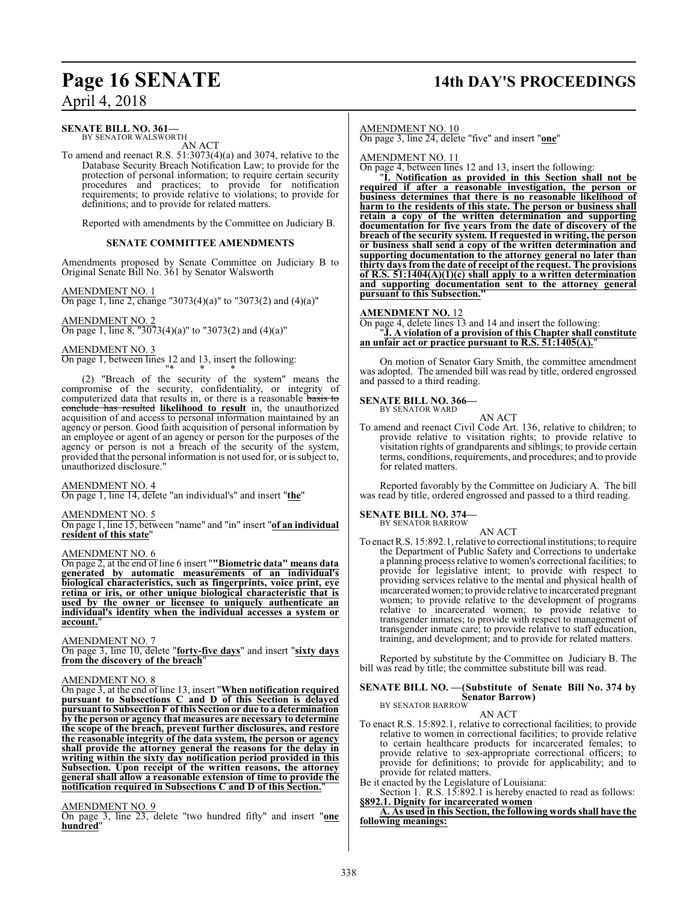## **Page 16 SENATE 14th DAY'S PROCEEDINGS**

April 4, 2018

#### **SENATE BILL NO. 361—**

BY SENATOR WALSWORTH AN ACT

To amend and reenact R.S. 51:3073(4)(a) and 3074, relative to the Database Security Breach Notification Law; to provide for the protection of personal information; to require certain security procedures and practices; to provide for notification requirements; to provide relative to violations; to provide for definitions; and to provide for related matters.

Reported with amendments by the Committee on Judiciary B.

#### **SENATE COMMITTEE AMENDMENTS**

Amendments proposed by Senate Committee on Judiciary B to Original Senate Bill No. 361 by Senator Walsworth

AMENDMENT NO. 1

On page 1, line 2, change "3073(4)(a)" to "3073(2) and (4)(a)"

AMENDMENT NO. 2 On page 1, line 8, "3073(4)(a)" to "3073(2) and (4)(a)"

#### AMENDMENT NO. 3

On page 1, between lines 12 and 13, insert the following:

"\* \* \* (2) "Breach of the security of the system" means the compromise of the security, confidentiality, or integrity of computerized data that results in, or there is a reasonable basis to conclude has resulted **likelihood to result** in, the unauthorized acquisition of and access to personal information maintained by an agency or person. Good faith acquisition of personal information by an employee or agent of an agency or person for the purposes of the agency or person is not a breach of the security of the system, provided that the personal information is not used for, or is subject to, unauthorized disclosure."

#### AMENDMENT NO. 4

On page 1, line 14, delete "an individual's" and insert "**the**"

#### AMENDMENT NO. 5

On page 1, line 15, between "name" and "in" insert "**of an individual resident of this state**"

#### AMENDMENT NO. 6

On page 2, at the end of line 6 insert "**"Biometric data" means data generated by automatic measurements of an individual's biological characteristics, such as fingerprints, voice print, eye retina or iris, or other unique biological characteristic that is used by the owner or licensee to uniquely authenticate an individual's identity when the individual accesses a system or account.**"

#### AMENDMENT NO. 7

On page 3, line 10, delete "**forty-five days**" and insert "**sixty days from the discovery of the breach**"

#### AMENDMENT NO. 8

On page 3, at the end of line 13, insert "**When notification required pursuant to Subsections C and D of this Section is delayed pursuant to Subsection F of this Section or due to a determination by the person or agency that measures are necessary to determine the scope of the breach, prevent further disclosures, and restore the reasonable integrity of the data system, the person or agency shall provide the attorney general the reasons for the delay in writing within the sixty day notification period provided in this Subsection. Upon receipt of the written reasons, the attorney general shall allow a reasonable extension of time to provide the notification required in Subsections C and D of this Section.**"

#### AMENDMENT NO. 9

On page 3, line 23, delete "two hundred fifty" and insert "**one hundred**"

#### AMENDMENT NO. 10

On page 3, line 24, delete "five" and insert "**one**"

AMENDMENT NO. 11

On page 4, between lines 12 and 13, insert the following:

"**I. Notification as provided in this Section shall not be required if after a reasonable investigation, the person or business determines that there is no reasonable likelihood of harm to the residents of this state. The person or business shall retain a copy of the written determination and supporting documentation for five years from the date of discovery of the breach of the security system. If requested in writing, the person or business shall send a copy of the written determination and supporting documentation to the attorney general no later than thirty days from the date of receipt of the request. The provisions of R.S. 51:1404(A)(1)(c) shall apply to a written determination and supporting documentation sent to the attorney general pursuant to this Subsection."**

#### **AMENDMENT NO.** 12

On page 4, delete lines 13 and 14 and insert the following: "**J. A violation of a provision of this Chapter shall constitute an unfair act or practice pursuant to R.S. 51:1405(A).**"

On motion of Senator Gary Smith, the committee amendment was adopted. The amended bill was read by title, ordered engrossed and passed to a third reading.

**SENATE BILL NO. 366—** BY SENATOR WARD

AN ACT

To amend and reenact Civil Code Art. 136, relative to children; to provide relative to visitation rights; to provide relative to visitation rights of grandparents and siblings; to provide certain terms, conditions, requirements, and procedures; and to provide for related matters.

Reported favorably by the Committee on Judiciary A. The bill was read by title, ordered engrossed and passed to a third reading.

#### **SENATE BILL NO. 374—** BY SENATOR BARROW

AN ACT

To enact R.S. 15:892.1, relative to correctional institutions; to require the Department of Public Safety and Corrections to undertake a planning process relative to women's correctional facilities; to provide for legislative intent; to provide with respect to providing services relative to the mental and physical health of incarcerated women; to provide relative to incarcerated pregnant women; to provide relative to the development of programs relative to incarcerated women; to provide relative to transgender inmates; to provide with respect to management of transgender inmate care; to provide relative to staff education, training, and development; and to provide for related matters.

Reported by substitute by the Committee on Judiciary B. The bill was read by title; the committee substitute bill was read.

#### **SENATE BILL NO. —(Substitute of Senate Bill No. 374 by Senator Barrow)** BY SENATOR BARROW

AN ACT

- To enact R.S. 15:892.1, relative to correctional facilities; to provide relative to women in correctional facilities; to provide relative to certain healthcare products for incarcerated females; to provide relative to sex-appropriate correctional officers; to provide for definitions; to provide for applicability; and to provide for related matters.
- Be it enacted by the Legislature of Louisiana:

Section 1. R.S. 15:892.1 is hereby enacted to read as follows: **§892.1. Dignity for incarcerated women**

**A. As used in this Section, the following words shall have the following meanings:**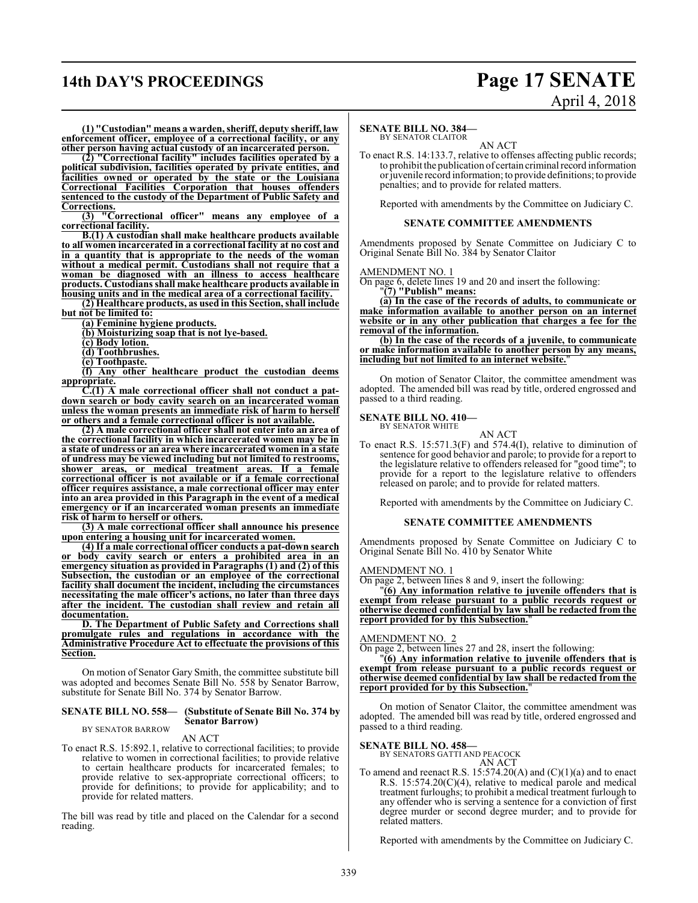## **14th DAY'S PROCEEDINGS Page 17 SENATE**

# April 4, 2018

**(1) "Custodian" means a warden, sheriff, deputy sheriff, law enforcement officer, employee of a correctional facility, or any other person having actual custody of an incarcerated person.**

**(2) "Correctional facility" includes facilities operated by a political subdivision, facilities operated by private entities, and facilities owned or operated by the state or the Louisiana Correctional Facilities Corporation that houses offenders sentenced to the custody of the Department of Public Safety and Corrections.**

**(3) "Correctional officer" means any employee of a correctional facility.**

**B.(1) A custodian shall make healthcare products available to all women incarcerated in a correctional facility at no cost and in a quantity that is appropriate to the needs of the woman without a medical permit. Custodians shall not require that a woman be diagnosed with an illness to access healthcare products. Custodians shall make healthcare products available in housing units and in the medical area of a correctional facility.**

**(2) Healthcare products, as used in this Section, shall include but not be limited to:**

**(a) Feminine hygiene products.**

**(b) Moisturizing soap that is not lye-based.**

**(c) Body lotion.**

**(d) Toothbrushes.**

**(e) Toothpaste.**

**(f) Any other healthcare product the custodian deems appropriate.**

**C.(1) A male correctional officer shall not conduct a patdown search or body cavity search on an incarcerated woman unless the woman presents an immediate risk of harm to herself or others and a female correctional officer is not available.**

**(2) A male correctional officer shall not enter into an area of the correctional facility in which incarcerated women may be in a state of undress or an area where incarcerated women in a state of undress may be viewed including but not limited to restrooms, shower areas, or medical treatment areas. If a female correctional officer is not available or if a female correctional officer requires assistance, a male correctional officer may enter into an area provided in this Paragraph in the event of a medical emergency or if an incarcerated woman presents an immediate risk of harm to herself or others.**

**(3) A male correctional officer shall announce his presence upon entering a housing unit for incarcerated women.**

**(4) If a male correctional officer conducts a pat-down search or body cavity search or enters a prohibited area in an emergency situation as provided in Paragraphs (1) and (2) of this Subsection, the custodian or an employee of the correctional facility shall document the incident, including the circumstances necessitating the male officer's actions, no later than three days after the incident. The custodian shall review and retain all documentation.**

**D. The Department of Public Safety and Corrections shall promulgate rules and regulations in accordance with the Administrative Procedure Act to effectuate the provisions of this Section.**

On motion of Senator Gary Smith, the committee substitute bill was adopted and becomes Senate Bill No. 558 by Senator Barrow, substitute for Senate Bill No. 374 by Senator Barrow.

#### **SENATE BILL NO. 558— (Substitute of Senate Bill No. 374 by Senator Barrow)** BY SENATOR BARROW

#### AN ACT

To enact R.S. 15:892.1, relative to correctional facilities; to provide relative to women in correctional facilities; to provide relative to certain healthcare products for incarcerated females; to provide relative to sex-appropriate correctional officers; to provide for definitions; to provide for applicability; and to provide for related matters.

The bill was read by title and placed on the Calendar for a second reading.

#### **SENATE BILL NO. 384—**

BY SENATOR CLAITOR AN ACT

To enact R.S. 14:133.7, relative to offenses affecting public records; to prohibit the publication of certain criminal record information or juvenile record information; to provide definitions; to provide penalties; and to provide for related matters.

Reported with amendments by the Committee on Judiciary C.

#### **SENATE COMMITTEE AMENDMENTS**

Amendments proposed by Senate Committee on Judiciary C to Original Senate Bill No. 384 by Senator Claitor

AMENDMENT NO. 1

On page 6, delete lines 19 and 20 and insert the following:

"**(7) "Publish" means:**

**(a) In the case of the records of adults, to communicate or make information available to another person on an internet website or in any other publication that charges a fee for the removal of the information.**

**(b) In the case of the records of a juvenile, to communicate or make information available to another person by any means, including but not limited to an internet website.**"

On motion of Senator Claitor, the committee amendment was adopted. The amended bill was read by title, ordered engrossed and passed to a third reading.

**SENATE BILL NO. 410—** BY SENATOR WHITE

AN ACT

To enact R.S. 15:571.3(F) and 574.4(I), relative to diminution of sentence for good behavior and parole; to provide for a report to the legislature relative to offenders released for "good time"; to provide for a report to the legislature relative to offenders released on parole; and to provide for related matters.

Reported with amendments by the Committee on Judiciary C.

#### **SENATE COMMITTEE AMENDMENTS**

Amendments proposed by Senate Committee on Judiciary C to Original Senate Bill No. 410 by Senator White

#### AMENDMENT NO. 1

On page 2, between lines 8 and 9, insert the following:

"**(6) Any information relative to juvenile offenders that is exempt from release pursuant to a public records request or otherwise deemed confidential by law shall be redacted from the report provided for by this Subsection.**"

#### AMENDMENT NO. 2

On page 2, between lines 27 and 28, insert the following:

"**(6) Any information relative to juvenile offenders that is exempt from release pursuant to a public records request or otherwise deemed confidential by law shall be redacted from the report provided for by this Subsection.**"

On motion of Senator Claitor, the committee amendment was adopted. The amended bill was read by title, ordered engrossed and passed to a third reading.

## **SENATE BILL NO. 458—** BY SENATORS GATTI AND PEACOCK

AN ACT

To amend and reenact R.S.  $15:574.20(A)$  and  $(C)(1)(a)$  and to enact R.S. 15:574.20(C)(4), relative to medical parole and medical treatment furloughs; to prohibit a medical treatment furlough to any offender who is serving a sentence for a conviction of first degree murder or second degree murder; and to provide for related matters.

Reported with amendments by the Committee on Judiciary C.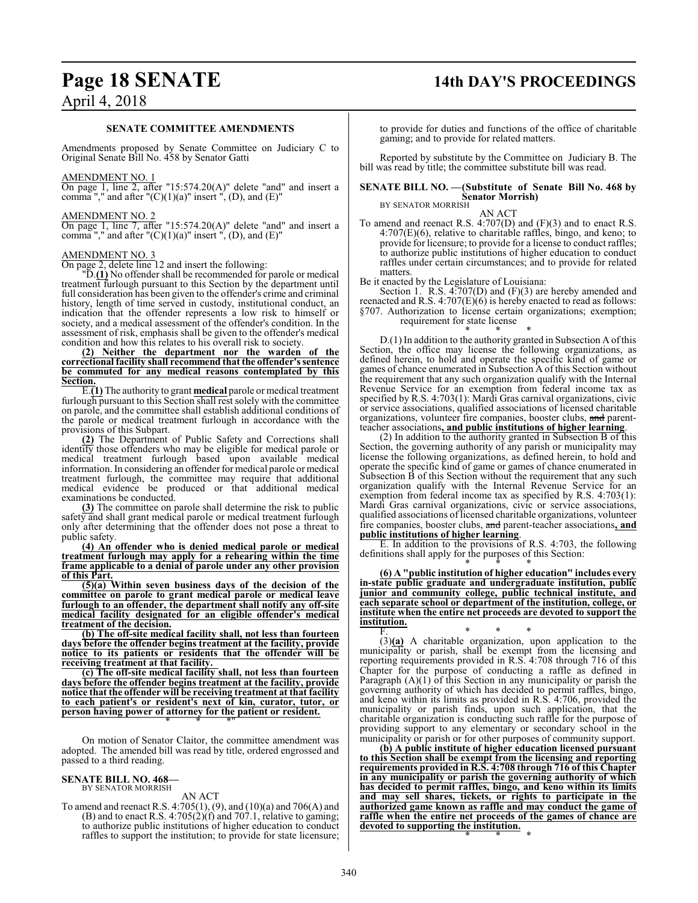## **Page 18 SENATE 14th DAY'S PROCEEDINGS**

## April 4, 2018

#### **SENATE COMMITTEE AMENDMENTS**

Amendments proposed by Senate Committee on Judiciary C to Original Senate Bill No. 458 by Senator Gatti

#### AMENDMENT NO. 1

On page 1, line 2, after "15:574.20(A)" delete "and" and insert a comma "," and after " $(C)(1)(a)$ " insert ",  $(D)$ , and  $(E)$ "

#### AMENDMENT NO. 2

On page 1, line 7, after "15:574.20(A)" delete "and" and insert a comma "," and after " $(C)(1)(a)$ " insert ",  $(D)$ , and  $(E)$ "

#### AMENDMENT NO. 3

On page 2, delete line 12 and insert the following:

"D.**(1)** No offender shall be recommended for parole or medical treatment furlough pursuant to this Section by the department until full consideration has been given to the offender's crime and criminal history, length of time served in custody, institutional conduct, an indication that the offender represents a low risk to himself or society, and a medical assessment of the offender's condition. In the assessment of risk, emphasis shall be given to the offender's medical condition and how this relates to his overall risk to society.

**(2) Neither the department nor the warden of the correctional facility shall recommend that the offender's sentence be commuted for any medical reasons contemplated by this Section.**

E.**(1)** The authority to grant **medical** parole or medical treatment furlough pursuant to this Section shall rest solely with the committee on parole, and the committee shall establish additional conditions of the parole or medical treatment furlough in accordance with the provisions of this Subpart.

**(2)** The Department of Public Safety and Corrections shall identify those offenders who may be eligible for medical parole or medical treatment furlough based upon available medical information. In considering an offender for medical parole or medical treatment furlough, the committee may require that additional medical evidence be produced or that additional medical examinations be conducted.

**(3)** The committee on parole shall determine the risk to public safety and shall grant medical parole or medical treatment furlough only after determining that the offender does not pose a threat to public safety.

**(4) An offender who is denied medical parole or medical treatment furlough may apply for a rehearing within the time frame applicable to a denial of parole under any other provision of this Part.**

**(5)(a) Within seven business days of the decision of the committee on parole to grant medical parole or medical leave furlough to an offender, the department shall notify any off-site medical facility designated for an eligible offender's medical treatment of the decision.**

**(b) The off-site medical facility shall, not less than fourteen days before the offender begins treatment at the facility, provide notice to its patients or residents that the offender will be receiving treatment at that facility.** 

**(c) The off-site medical facility shall, not less than fourteen days before the offender begins treatment at the facility, provide notice that the offender will be receiving treatment at that facility to each patient's or resident's next of kin, curator, tutor, or person having power of attorney for the patient or resident.** \* \* \*"

On motion of Senator Claitor, the committee amendment was adopted. The amended bill was read by title, ordered engrossed and passed to a third reading.

#### **SENATE BILL NO. 468—** BY SENATOR MORRISH

### AN ACT

To amend and reenact R.S. 4:705(1), (9), and (10)(a) and 706(A) and  $(B)$  and to enact R.S. 4:705 $(2)(f)$  and 707.1, relative to gaming; to authorize public institutions of higher education to conduct raffles to support the institution; to provide for state licensure;

to provide for duties and functions of the office of charitable gaming; and to provide for related matters.

Reported by substitute by the Committee on Judiciary B. The bill was read by title; the committee substitute bill was read.

#### **SENATE BILL NO. —(Substitute of Senate Bill No. 468 by Senator Morrish)** BY SENATOR MORRISH

AN ACT

To amend and reenact R.S. 4:707(D) and (F)(3) and to enact R.S.  $4:707(E)(6)$ , relative to charitable raffles, bingo, and keno; to provide for licensure; to provide for a license to conduct raffles; to authorize public institutions of higher education to conduct raffles under certain circumstances; and to provide for related matters

Be it enacted by the Legislature of Louisiana:

Section 1. R.S. 4:707(D) and (F)(3) are hereby amended and reenacted and R.S. 4:707(E)(6) is hereby enacted to read as follows: §707. Authorization to license certain organizations; exemption; requirement for state license

\* \* \* D.(1) In addition to the authority granted in Subsection A ofthis Section, the office may license the following organizations, as defined herein, to hold and operate the specific kind of game or games of chance enumerated in Subsection A of this Section without the requirement that any such organization qualify with the Internal Revenue Service for an exemption from federal income tax as specified by R.S. 4:703(1): Mardi Gras carnival organizations, civic or service associations, qualified associations of licensed charitable organizations, volunteer fire companies, booster clubs, and parentteacher associations**, and public institutions of higher learning**.

(2) In addition to the authority granted in Subsection B of this Section, the governing authority of any parish or municipality may license the following organizations, as defined herein, to hold and operate the specific kind of game or games of chance enumerated in Subsection B of this Section without the requirement that any such organization qualify with the Internal Revenue Service for an exemption from federal income tax as specified by R.S. 4:703(1): Mardi Gras carnival organizations, civic or service associations, qualified associations of licensed charitable organizations, volunteer fire companies, booster clubs, and parent-teacher associations**, and public institutions of higher learning**.

E. In addition to the provisions of R.S. 4:703, the following definitions shall apply for the purposes of this Section:

\* \* \* **(6) A "public institution of higher education" includes every in-state public graduate and undergraduate institution, public junior and community college, public technical institute, and each separate school or department of the institution, college, or institute when the entire net proceeds are devoted to support the institution.**

F. \* \* \* (3)**(a)** A charitable organization, upon application to the municipality or parish, shall be exempt from the licensing and reporting requirements provided in R.S. 4:708 through 716 of this Chapter for the purpose of conducting a raffle as defined in Paragraph  $(A)(1)$  of this Section in any municipality or parish the governing authority of which has decided to permit raffles, bingo, and keno within its limits as provided in R.S. 4:706, provided the municipality or parish finds, upon such application, that the charitable organization is conducting such raffle for the purpose of providing support to any elementary or secondary school in the municipality or parish or for other purposes of community support.

**(b) A public institute of higher education licensed pursuant to this Section shall be exempt from the licensing and reporting requirements provided in R.S. 4:708 through 716 of this Chapter in any municipality or parish the governing authority of which has decided to permit raffles, bingo, and keno within its limits and may sell shares, tickets, or rights to participate in the authorized game known as raffle and may conduct the game of raffle when the entire net proceeds of the games of chance are devoted to supporting the institution.** \* \* \*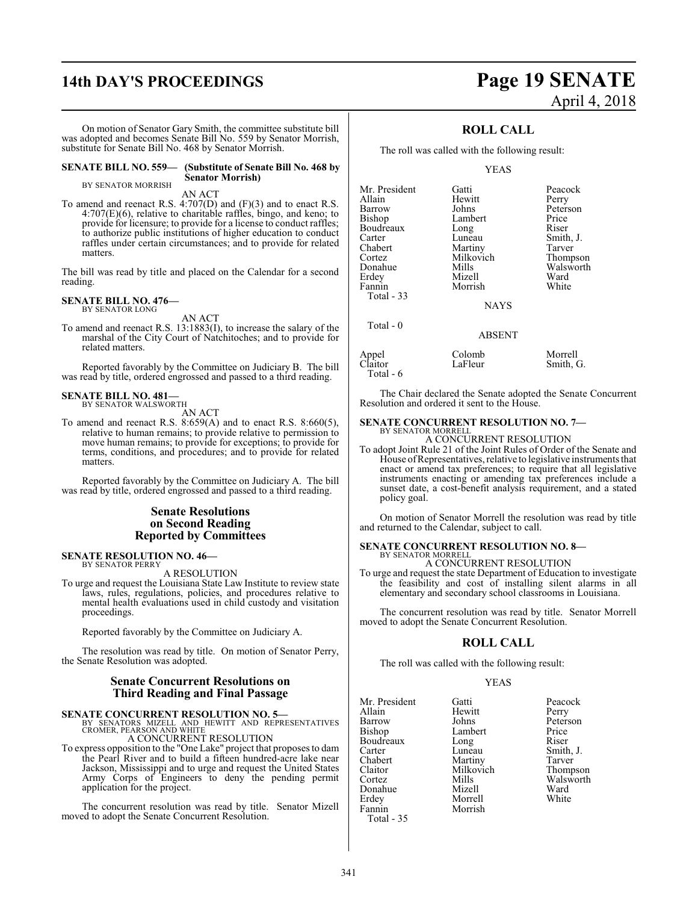## **14th DAY'S PROCEEDINGS Page 19 SENATE**

On motion of Senator Gary Smith, the committee substitute bill was adopted and becomes Senate Bill No. 559 by Senator Morrish, substitute for Senate Bill No. 468 by Senator Morrish.

**SENATE BILL NO. 559— (Substitute of Senate Bill No. 468 by Senator Morrish)**

BY SENATOR MORRISH

AN ACT

To amend and reenact R.S. 4:707(D) and (F)(3) and to enact R.S. 4:707(E)(6), relative to charitable raffles, bingo, and keno; to provide for licensure; to provide for a license to conduct raffles; to authorize public institutions of higher education to conduct raffles under certain circumstances; and to provide for related matters.

The bill was read by title and placed on the Calendar for a second reading.

#### **SENATE BILL NO. 476—** BY SENATOR LONG

AN ACT

To amend and reenact R.S. 13:1883(I), to increase the salary of the marshal of the City Court of Natchitoches; and to provide for related matters.

Reported favorably by the Committee on Judiciary B. The bill was read by title, ordered engrossed and passed to a third reading.

## **SENATE BILL NO. 481—** BY SENATOR WALSWORTH

AN ACT

To amend and reenact R.S.  $8:659(A)$  and to enact R.S.  $8:660(5)$ , relative to human remains; to provide relative to permission to move human remains; to provide for exceptions; to provide for terms, conditions, and procedures; and to provide for related matters.

Reported favorably by the Committee on Judiciary A. The bill was read by title, ordered engrossed and passed to a third reading.

#### **Senate Resolutions on Second Reading Reported by Committees**

#### **SENATE RESOLUTION NO. 46—** BY SENATOR PERRY

A RESOLUTION

To urge and request the Louisiana State Law Institute to review state laws, rules, regulations, policies, and procedures relative to mental health evaluations used in child custody and visitation proceedings.

Reported favorably by the Committee on Judiciary A.

The resolution was read by title. On motion of Senator Perry, the Senate Resolution was adopted.

### **Senate Concurrent Resolutions on Third Reading and Final Passage**

**SENATE CONCURRENT RESOLUTION NO. 5—**<br>BY SENATORS MIZELL AND HEWITT AND REPRESENTATIVES<br>CROMER, PEARSON AND WHITE

A CONCURRENT RESOLUTION

To express opposition to the "One Lake" project that proposes to dam the Pearl River and to build a fifteen hundred-acre lake near Jackson, Mississippi and to urge and request the United States Army Corps of Engineers to deny the pending permit application for the project.

The concurrent resolution was read by title. Senator Mizell moved to adopt the Senate Concurrent Resolution.

### **ROLL CALL**

The roll was called with the following result:

YEAS

| Mr. President | Gatti         | Peacock   |
|---------------|---------------|-----------|
| Allain        | Hewitt        | Perry     |
| Barrow        | Johns         | Peterson  |
| Bishop        | Lambert       | Price     |
| Boudreaux     | Long          | Riser     |
| Carter        | Luneau        | Smith, J. |
| Chabert       | Martiny       | Tarver    |
| Cortez        | Milkovich     | Thompson  |
| Donahue       | Mills         | Walsworth |
| Erdey         | Mizell        | Ward      |
| Fannin        | Morrish       | White     |
| Total - 33    | <b>NAYS</b>   |           |
| Total $-0$    | <b>ABSENT</b> |           |
| Appel         | Colomb        | Morrell   |
| Claitor       | LaFleur       | Smith, G. |

The Chair declared the Senate adopted the Senate Concurrent Resolution and ordered it sent to the House.

## **SENATE CONCURRENT RESOLUTION NO. 7—** BY SENATOR MORRELL

A CONCURRENT RESOLUTION

To adopt Joint Rule 21 of the Joint Rules of Order of the Senate and House ofRepresentatives, relative to legislative instruments that enact or amend tax preferences; to require that all legislative instruments enacting or amending tax preferences include a sunset date, a cost-benefit analysis requirement, and a stated policy goal.

On motion of Senator Morrell the resolution was read by title and returned to the Calendar, subject to call.

#### **SENATE CONCURRENT RESOLUTION NO. 8—** BY SENATOR MORRELL

A CONCURRENT RESOLUTION

To urge and request the state Department of Education to investigate the feasibility and cost of installing silent alarms in all elementary and secondary school classrooms in Louisiana.

The concurrent resolution was read by title. Senator Morrell moved to adopt the Senate Concurrent Resolution.

### **ROLL CALL**

The roll was called with the following result:

Morrish

#### YEAS

Mr. President Gatti Beacock<br>
Allain Hewitt Perry Allain Hewitt<br>Barrow Johns Barrow Johns Peterson<br>Bishop Lambert Price Boudreaux Long<br>Carter Luneau Carter Luneau Smith, J.<br>
Chabert Martiny Tarver Chabert Martiny<br>Claitor Milkovich Claitor Milkovich Thompson Donahue Mizell Ward Erdey Morrell<br>Fannin Morrish Total - 35

Total - 6

Lambert Price<br>
Long Riser Mills Walsworth<br>
Mizell Ward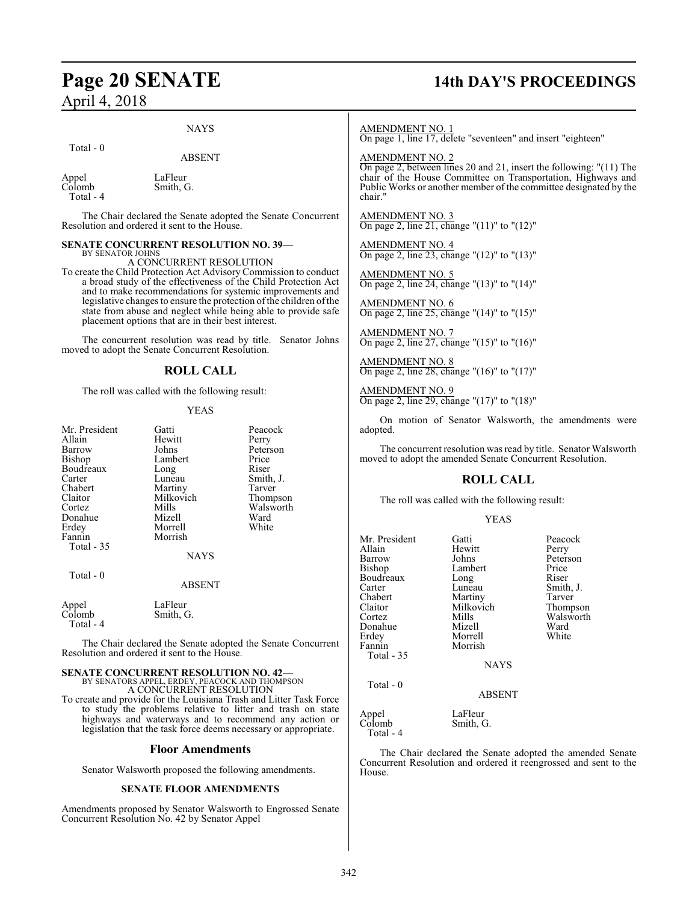## **Page 20 SENATE 14th DAY'S PROCEEDINGS**

#### NAYS

Total - 0

ABSENT

Appel LaFleur<br>Colomb Smith, C Smith, G. Total - 4

The Chair declared the Senate adopted the Senate Concurrent Resolution and ordered it sent to the House.

#### **SENATE CONCURRENT RESOLUTION NO. 39—** BY SENATOR JOHNS

A CONCURRENT RESOLUTION

To create the Child Protection Act Advisory Commission to conduct a broad study of the effectiveness of the Child Protection Act and to make recommendations for systemic improvements and legislative changes to ensure the protection of the children of the state from abuse and neglect while being able to provide safe placement options that are in their best interest.

The concurrent resolution was read by title. Senator Johns moved to adopt the Senate Concurrent Resolution.

### **ROLL CALL**

The roll was called with the following result:

#### YEAS

Peacock Perry Peterson<br>Price

Smith, J.<br>Tarver

Thompson Walsworth<br>Ward

| Mr. President | Gatti       | Peacoo |
|---------------|-------------|--------|
| Allain        | Hewitt      | Perry  |
| Barrow        | Johns       | Peters |
| Bishop        | Lambert     | Price  |
| Boudreaux     | Long        | Riser  |
| Carter        | Luneau      | Smith, |
| Chabert       | Martiny     | Tarver |
| Claitor       | Milkovich   | Thomp  |
| Cortez        | Mills       | Walsw  |
| Donahue       | Mizell      | Ward   |
| Erdey         | Morrell     | White  |
| Fannin        | Morrish     |        |
| Total - 35    |             |        |
|               | <b>NAYS</b> |        |
| Total - 0     |             |        |

#### ABSENT

Appel LaFleur<br>Colomb Smith, C Smith, G. Total - 4

The Chair declared the Senate adopted the Senate Concurrent Resolution and ordered it sent to the House.

## **SENATE CONCURRENT RESOLUTION NO. 42—** BY SENATORS APPEL, ERDEY, PEACOCK AND THOMPSON A CONCURRENT RESOLUTION

To create and provide for the Louisiana Trash and Litter Task Force to study the problems relative to litter and trash on state highways and waterways and to recommend any action or legislation that the task force deems necessary or appropriate.

#### **Floor Amendments**

Senator Walsworth proposed the following amendments.

#### **SENATE FLOOR AMENDMENTS**

Amendments proposed by Senator Walsworth to Engrossed Senate Concurrent Resolution No. 42 by Senator Appel

#### AMENDMENT NO. 1

On page 1, line 17, delete "seventeen" and insert "eighteen"

AMENDMENT NO. 2

On page 2, between lines 20 and 21, insert the following: "(11) The chair of the House Committee on Transportation, Highways and Public Works or another member of the committee designated by the chair."

AMENDMENT NO. 3 On page 2, line 21, change "(11)" to "(12)"

AMENDMENT NO. 4 On page 2, line 23, change "(12)" to "(13)"

AMENDMENT NO. 5 On page 2, line 24, change "(13)" to "(14)"

AMENDMENT NO. 6 On page 2, line 25, change "(14)" to "(15)"

AMENDMENT NO. 7 On page 2, line 27, change "(15)" to "(16)"

AMENDMENT NO. 8 On page 2, line 28, change "(16)" to "(17)"

AMENDMENT NO. 9 On page 2, line 29, change "(17)" to "(18)"

On motion of Senator Walsworth, the amendments were adopted.

The concurrent resolution was read by title. Senator Walsworth moved to adopt the amended Senate Concurrent Resolution.

### **ROLL CALL**

The roll was called with the following result:

#### YEAS

| Mr. President<br>Allain<br>Barrow<br>Bishop<br>Boudreaux<br>Carter<br>Chabert<br>Claitor<br>Cortez<br>Donahue<br>Erdey<br>Fannin<br>Total - 35 | Gatti<br>Hewitt<br>Johns<br>Lambert<br>Long<br>Luneau<br>Martiny<br>Milkovich<br>Mills<br>Mizell<br>Morrell<br>Morrish<br>NAYS | Peacock<br>Perry<br>Peterson<br>Price<br>Riser<br>Smith, J.<br>Tarver<br>Thompson<br>Walsworth<br>Ward<br>White |
|------------------------------------------------------------------------------------------------------------------------------------------------|--------------------------------------------------------------------------------------------------------------------------------|-----------------------------------------------------------------------------------------------------------------|
| Total $-0$                                                                                                                                     | <b>ABSENT</b>                                                                                                                  |                                                                                                                 |
| Appel<br>Colomb<br>Total - 4                                                                                                                   | LaFleur<br>Smith, G.                                                                                                           |                                                                                                                 |

The Chair declared the Senate adopted the amended Senate Concurrent Resolution and ordered it reengrossed and sent to the House.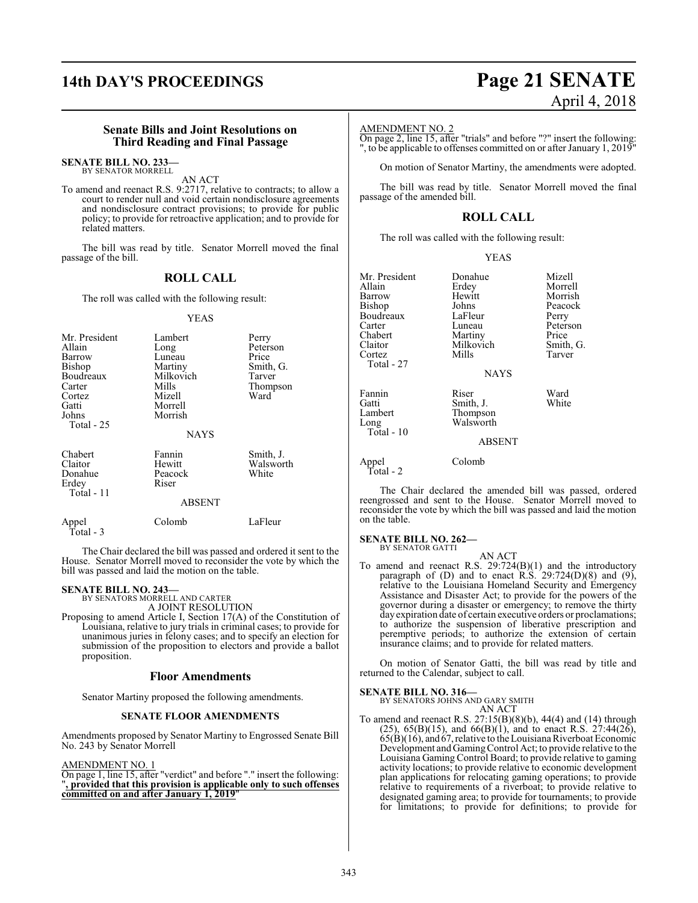# **14th DAY'S PROCEEDINGS Page 21 SENATE** April 4, 2018

#### **Senate Bills and Joint Resolutions on Third Reading and Final Passage**

#### **SENATE BILL NO. 233—** BY SENATOR MORRELL

AN ACT

To amend and reenact R.S. 9:2717, relative to contracts; to allow a court to render null and void certain nondisclosure agreements and nondisclosure contract provisions; to provide for public policy; to provide for retroactive application; and to provide for related matters.

The bill was read by title. Senator Morrell moved the final passage of the bill.

### **ROLL CALL**

The roll was called with the following result:

#### YEAS

| Mr. President<br>Allain<br>Barrow<br>Bishop<br>Boudreaux<br>Carter<br>Cortez<br>Gatti<br>Johns<br>Total - 25 | Lambert<br>Long<br>Luneau<br>Martiny<br>Milkovich<br>Mills<br>Mizell<br>Morrell<br>Morrish | Perry<br>Peterson<br>Price<br>Smith, G.<br>Tarver<br>Thompson<br>Ward |
|--------------------------------------------------------------------------------------------------------------|--------------------------------------------------------------------------------------------|-----------------------------------------------------------------------|
|                                                                                                              | <b>NAYS</b>                                                                                |                                                                       |
| Chabert<br>Claitor<br>Donahue<br>Erdey<br>Total - 11                                                         | Fannin<br>Hewitt<br>Peacock<br>Riser<br><b>ABSENT</b>                                      | Smith, J.<br>Walsworth<br>White                                       |

The Chair declared the bill was passed and ordered it sent to the House. Senator Morrell moved to reconsider the vote by which the

Appel Colomb LaFleur

bill was passed and laid the motion on the table.

#### **SENATE BILL NO. 243—**

Total - 3

BY SENATORS MORRELL AND CARTER A JOINT RESOLUTION

Proposing to amend Article I, Section 17(A) of the Constitution of Louisiana, relative to jury trials in criminal cases; to provide for unanimous juries in felony cases; and to specify an election for submission of the proposition to electors and provide a ballot proposition.

#### **Floor Amendments**

Senator Martiny proposed the following amendments.

#### **SENATE FLOOR AMENDMENTS**

Amendments proposed by Senator Martiny to Engrossed Senate Bill No. 243 by Senator Morrell

#### AMENDMENT NO. 1

On page 1, line 15, after "verdict" and before "." insert the following: "**, provided that this provision is applicable only to such offenses committed on and after January 1, 2019**"

#### AMENDMENT NO. 2

On page 2, line 15, after "trials" and before "?" insert the following: ", to be applicable to offenses committed on or after January 1, 2019"

On motion of Senator Martiny, the amendments were adopted.

The bill was read by title. Senator Morrell moved the final passage of the amended bill.

### **ROLL CALL**

The roll was called with the following result:

|  | v<br>I |
|--|--------|
|--|--------|

| Mr. President<br>Allain<br>Barrow<br>Bishop<br>Boudreaux<br>Carter<br>Chabert<br>Claitor<br>Cortez<br>Total - 27 | Donahue<br>Erdey<br>Hewitt<br>Johns<br>LaFleur<br>Luneau<br>Martiny<br>Milkovich<br>Mills<br><b>NAYS</b> | Mizell<br>Morrell<br>Morrish<br>Peacock<br>Perry<br>Peterson<br>Price<br>Smith, G.<br>Tarver |
|------------------------------------------------------------------------------------------------------------------|----------------------------------------------------------------------------------------------------------|----------------------------------------------------------------------------------------------|
| Fannin<br>Gatti<br>Lambert<br>Long<br>Total - $10$                                                               | Riser<br>Smith, J.<br>Thompson<br>Walsworth<br><b>ABSENT</b>                                             | Ward<br>White                                                                                |
| Appel                                                                                                            | Colomb                                                                                                   |                                                                                              |

Total - 2

The Chair declared the amended bill was passed, ordered reengrossed and sent to the House. Senator Morrell moved to reconsider the vote by which the bill was passed and laid the motion on the table.

#### **SENATE BILL NO. 262—**

BY SENATOR GATTI

AN ACT To amend and reenact R.S. 29:724(B)(1) and the introductory paragraph of  $(D)$  and to enact  $R.S.$  29:724 $(D)(8)$  and  $(9)$ , relative to the Louisiana Homeland Security and Emergency Assistance and Disaster Act; to provide for the powers of the governor during a disaster or emergency; to remove the thirty dayexpiration date of certain executive orders or proclamations; to authorize the suspension of liberative prescription and peremptive periods; to authorize the extension of certain insurance claims; and to provide for related matters.

On motion of Senator Gatti, the bill was read by title and returned to the Calendar, subject to call.

#### **SENATE BILL NO. 316—**

BY SENATORS JOHNS AND GARY SMITH AN ACT

To amend and reenact R.S. 27:15(B)(8)(b), 44(4) and (14) through  $(25)$ ,  $65(B)(15)$ , and  $66(B)(1)$ , and to enact R.S.  $27:44(26)$ ,  $65(B)(16)$ , and  $67$ , relative to the Louisiana Riverboat Economic Development and Gaming Control Act; to provide relative to the Louisiana Gaming Control Board; to provide relative to gaming activity locations; to provide relative to economic development plan applications for relocating gaming operations; to provide relative to requirements of a riverboat; to provide relative to designated gaming area; to provide for tournaments; to provide for limitations; to provide for definitions; to provide for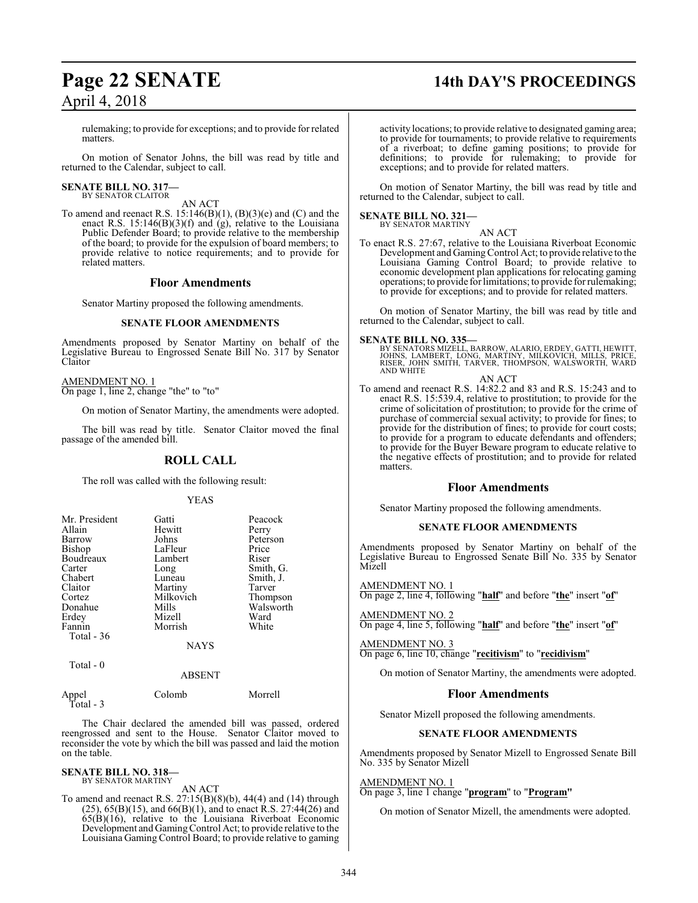## **Page 22 SENATE 14th DAY'S PROCEEDINGS**

rulemaking; to provide for exceptions; and to provide for related matters.

On motion of Senator Johns, the bill was read by title and returned to the Calendar, subject to call.

## **SENATE BILL NO. 317—** BY SENATOR CLAITOR

AN ACT

To amend and reenact R.S. 15:146(B)(1), (B)(3)(e) and (C) and the enact R.S. 15:146(B)(3)(f) and (g), relative to the Louisiana Public Defender Board; to provide relative to the membership of the board; to provide for the expulsion of board members; to provide relative to notice requirements; and to provide for related matters.

#### **Floor Amendments**

Senator Martiny proposed the following amendments.

#### **SENATE FLOOR AMENDMENTS**

Amendments proposed by Senator Martiny on behalf of the Legislative Bureau to Engrossed Senate Bill No. 317 by Senator Claitor

AMENDMENT NO. 1 On page 1, line 2, change "the" to "to"

On motion of Senator Martiny, the amendments were adopted.

The bill was read by title. Senator Claitor moved the final passage of the amended bill.

### **ROLL CALL**

The roll was called with the following result:

#### YEAS

| Mr. President | Gatti       | Peacock   |
|---------------|-------------|-----------|
| Allain        | Hewitt      | Perry     |
| Barrow        | Johns       | Peterson  |
| Bishop        | LaFleur     | Price     |
| Boudreaux     | Lambert     | Riser     |
| Carter        | Long        | Smith, G. |
| Chabert       | Luneau      | Smith, J. |
| Claitor       | Martiny     | Tarver    |
| Cortez        | Milkovich   | Thompson  |
| Donahue       | Mills       | Walsworth |
| Erdey         | Mizell      | Ward      |
| Fannin        | Morrish     | White     |
| Total - 36    |             |           |
|               | <b>NAYS</b> |           |

Total - 0

#### ABSENT

Appel Colomb Morrell Total - 3

The Chair declared the amended bill was passed, ordered reengrossed and sent to the House. Senator Claitor moved to reconsider the vote by which the bill was passed and laid the motion on the table.

#### **SENATE BILL NO. 318—** BY SENATOR MARTINY

AN ACT

To amend and reenact R.S. 27:15(B)(8)(b), 44(4) and (14) through  $(25)$ ,  $65(B)(15)$ , and  $66(B)(1)$ , and to enact R.S.  $27:44(26)$  and  $65(B)(16)$ , relative to the Louisiana Riverboat Economic Development and Gaming Control Act; to provide relative to the Louisiana Gaming Control Board; to provide relative to gaming

activity locations; to provide relative to designated gaming area; to provide for tournaments; to provide relative to requirements of a riverboat; to define gaming positions; to provide for definitions; to provide for rulemaking; to provide for exceptions; and to provide for related matters.

On motion of Senator Martiny, the bill was read by title and returned to the Calendar, subject to call.

#### **SENATE BILL NO. 321—** BY SENATOR MARTINY

AN ACT

To enact R.S. 27:67, relative to the Louisiana Riverboat Economic Development and Gaming Control Act; to provide relative to the Louisiana Gaming Control Board; to provide relative to economic development plan applications for relocating gaming operations; to provide for limitations; to provide for rulemaking; to provide for exceptions; and to provide for related matters.

On motion of Senator Martiny, the bill was read by title and returned to the Calendar, subject to call.

#### **SENATE BILL NO. 335—**

BY SENATORS MIZELL, BARROW, ALARIO, ERDEY, GATTI, HEWITT,<br>JOHNS, LAMBERT, LONG, MARTINY, MILKOVICH, MILLS, PRICE,<br>RISER, JOHN SMITH, TARVER, THOMPSON, WALSWORTH, WARD<br>AND WHITE

#### AN ACT To amend and reenact R.S. 14:82.2 and 83 and R.S. 15:243 and to enact R.S. 15:539.4, relative to prostitution; to provide for the crime of solicitation of prostitution; to provide for the crime of purchase of commercial sexual activity; to provide for fines; to provide for the distribution of fines; to provide for court costs; to provide for a program to educate defendants and offenders;

to provide for the Buyer Beware program to educate relative to the negative effects of prostitution; and to provide for related matters.

#### **Floor Amendments**

Senator Martiny proposed the following amendments.

#### **SENATE FLOOR AMENDMENTS**

Amendments proposed by Senator Martiny on behalf of the Legislative Bureau to Engrossed Senate Bill No. 335 by Senator Mizell

AMENDMENT NO. 1

On page 2, line 4, following "**half**" and before "**the**" insert "**of**"

#### AMENDMENT NO. 2

On page 4, line 5, following "**half**" and before "**the**" insert "**of**"

AMENDMENT NO. 3 On page 6, line 10, change "**recitivism**" to "**recidivism**"

On motion of Senator Martiny, the amendments were adopted.

#### **Floor Amendments**

Senator Mizell proposed the following amendments.

#### **SENATE FLOOR AMENDMENTS**

Amendments proposed by Senator Mizell to Engrossed Senate Bill No. 335 by Senator Mizell

#### AMENDMENT NO. 1

On page 3, line 1 change "**program**" to "**Program"**

On motion of Senator Mizell, the amendments were adopted.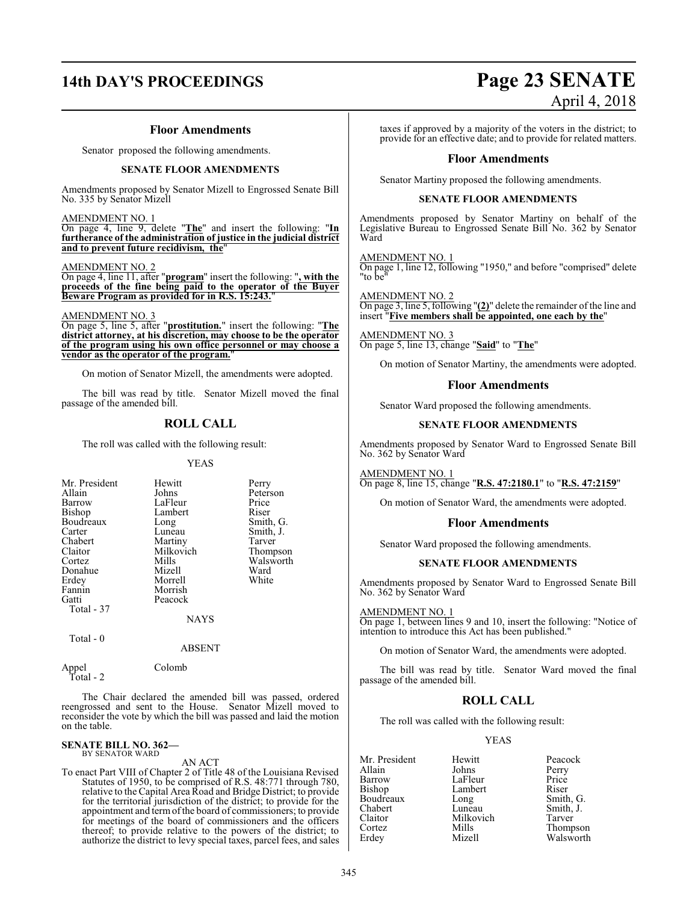#### **Floor Amendments**

Senator proposed the following amendments.

#### **SENATE FLOOR AMENDMENTS**

Amendments proposed by Senator Mizell to Engrossed Senate Bill No. 335 by Senator Mizell

AMENDMENT NO. 1

On page 4, line 9, delete "**The**" and insert the following: "**In furtherance of the administration of justice in the judicial district and to prevent future recidivism, the**"

#### AMENDMENT NO. 2

On page 4, line 11, after "**program**" insert the following: "**, with the proceeds of the fine being paid to the operator of the Buyer Beware Program as provided for in R.S. 15:243.**"

AMENDMENT NO. 3

On page 5, line 5, after "**prostitution.**" insert the following: "**The district attorney, at his discretion, may choose to be the operator of the program using his own office personnel or may choose a vendor as the operator of the program.**"

On motion of Senator Mizell, the amendments were adopted.

The bill was read by title. Senator Mizell moved the final passage of the amended bill.

## **ROLL CALL**

The roll was called with the following result:

#### YEAS

| Mr. President | Hewitt      | Perry     |
|---------------|-------------|-----------|
| Allain        | Johns       | Peterson  |
| Barrow        | LaFleur     | Price     |
| Bishop        | Lambert     | Riser     |
| Boudreaux     | Long        | Smith, G. |
| Carter        | Luneau      | Smith, J. |
| Chabert       | Martiny     | Tarver    |
| Claitor       | Milkovich   | Thompson  |
| Cortez        | Mills       | Walsworth |
| Donahue       | Mizell      | Ward      |
| Erdey         | Morrell     | White     |
| Fannin        | Morrish     |           |
| Gatti         | Peacock     |           |
| Total - 37    |             |           |
|               | <b>NAYS</b> |           |

Total - 0

#### ABSENT

Appel Colomb Total - 2

The Chair declared the amended bill was passed, ordered reengrossed and sent to the House. Senator Mizell moved to reconsider the vote by which the bill was passed and laid the motion on the table.

#### **SENATE BILL NO. 362—** BY SENATOR WARD

AN ACT

To enact Part VIII of Chapter 2 of Title 48 of the Louisiana Revised Statutes of 1950, to be comprised of R.S. 48:771 through 780, relative to the Capital Area Road and Bridge District; to provide for the territorial jurisdiction of the district; to provide for the appointment and termofthe board of commissioners; to provide for meetings of the board of commissioners and the officers thereof; to provide relative to the powers of the district; to authorize the district to levy special taxes, parcel fees, and sales

## **14th DAY'S PROCEEDINGS Page 23 SENATE** April 4, 2018

taxes if approved by a majority of the voters in the district; to provide for an effective date; and to provide for related matters.

#### **Floor Amendments**

Senator Martiny proposed the following amendments.

#### **SENATE FLOOR AMENDMENTS**

Amendments proposed by Senator Martiny on behalf of the Legislative Bureau to Engrossed Senate Bill No. 362 by Senator Ward

AMENDMENT NO. 1

On page 1, line 12, following "1950," and before "comprised" delete "to be"

AMENDMENT NO. 2 On page 3, line 5, following "**(2)**" delete the remainder of the line and insert "**Five members shall be appointed, one each by the**"

AMENDMENT NO. 3 On page 5, line 13, change "**Said**" to "**The**"

On motion of Senator Martiny, the amendments were adopted.

#### **Floor Amendments**

Senator Ward proposed the following amendments.

#### **SENATE FLOOR AMENDMENTS**

Amendments proposed by Senator Ward to Engrossed Senate Bill No. 362 by Senator Ward

AMENDMENT NO. 1

On page 8, line 15, change "**R.S. 47:2180.1**" to "**R.S. 47:2159**"

On motion of Senator Ward, the amendments were adopted.

#### **Floor Amendments**

Senator Ward proposed the following amendments.

#### **SENATE FLOOR AMENDMENTS**

Amendments proposed by Senator Ward to Engrossed Senate Bill No. 362 by Senator Ward

AMENDMENT NO. 1

On page 1, between lines 9 and 10, insert the following: "Notice of intention to introduce this Act has been published."

On motion of Senator Ward, the amendments were adopted.

The bill was read by title. Senator Ward moved the final passage of the amended bill.

#### **ROLL CALL**

The roll was called with the following result:

## YEAS

Mr. President Hewitt Peacock<br>Allain Johns Perry Allain Johns Perry Barrow LaFleur Price<br>Bishop Lambert Riser Bishop Lambert<br>Boudreaux Long Boudreaux Long Smith, G.<br>
Chabert Luneau Smith, J. Chabert Luneau Smith, J. Claitor Milkovich<br>Cortez Mills Cortez Mills Thompson

Walsworth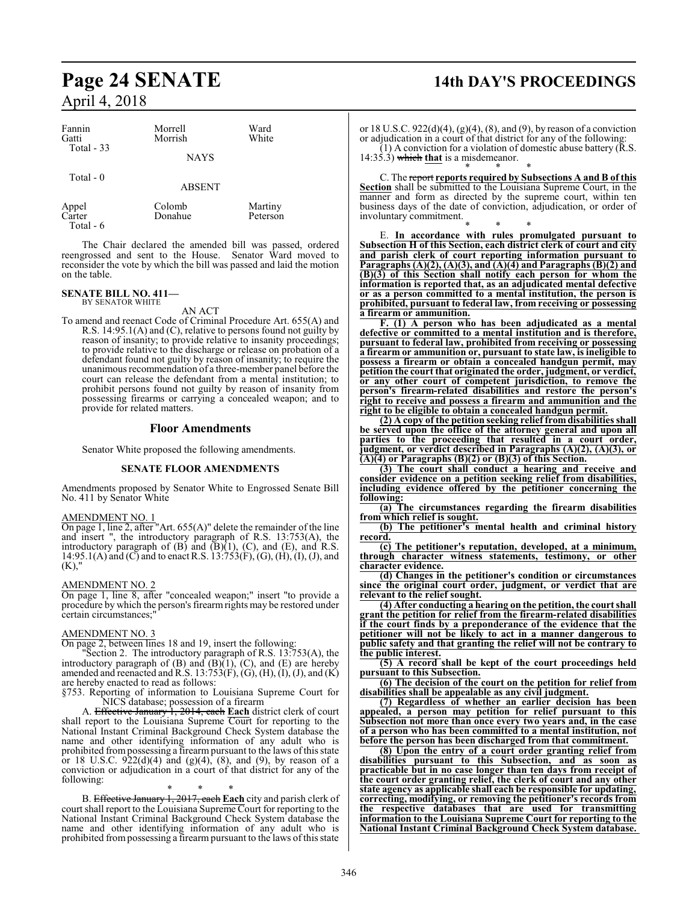#### Fannin Morrell Ward<br>Gatti Morrish White Morrish Total - 33 **NAYS**  Total - 0 ABSENT Appel Colomb Martiny<br>Carter Donahue Peterson Donahue Total - 6

The Chair declared the amended bill was passed, ordered reengrossed and sent to the House. Senator Ward moved to reconsider the vote by which the bill was passed and laid the motion on the table.

#### **SENATE BILL NO. 411—** BY SENATOR WHITE

AN ACT

To amend and reenact Code of Criminal Procedure Art. 655(A) and R.S. 14:95.1(A) and (C), relative to persons found not guilty by reason of insanity; to provide relative to insanity proceedings; to provide relative to the discharge or release on probation of a defendant found not guilty by reason of insanity; to require the unanimous recommendation of a three-member panel before the court can release the defendant from a mental institution; to prohibit persons found not guilty by reason of insanity from possessing firearms or carrying a concealed weapon; and to provide for related matters.

#### **Floor Amendments**

Senator White proposed the following amendments.

#### **SENATE FLOOR AMENDMENTS**

Amendments proposed by Senator White to Engrossed Senate Bill No. 411 by Senator White

#### AMENDMENT NO. 1

On page 1, line 2, after "Art. 655(A)" delete the remainder of the line and insert ", the introductory paragraph of R.S. 13:753(A), the introductory paragraph of  $(B)$  and  $(\overline{B})(1)$ ,  $(C)$ , and  $(E)$ , and R.S. 14:95.1(A) and (C) and to enact R.S. 13:753(F), (G), (H), (I), (J), and  $(K)$ ,"

#### AMENDMENT NO. 2

On page 1, line 8, after "concealed weapon;" insert "to provide a procedure by which the person's firearmrights may be restored under certain circumstances;

#### AMENDMENT NO. 3

On page 2, between lines 18 and 19, insert the following:

"Section 2. The introductory paragraph of R.S. 13:753(A), the introductory paragraph of  $(B)$  and  $(B)$  $(1)$ ,  $(C)$ , and  $(E)$  are hereby amended and reenacted and R.S. 13:753(F),  $(G)$ ,  $(H)$ ,  $(I)$ ,  $(J)$ , and  $(K)$ are hereby enacted to read as follows:

§753. Reporting of information to Louisiana Supreme Court for NICS database; possession of a firearm

A. Effective January 1, 2014, each **Each** district clerk of court shall report to the Louisiana Supreme Court for reporting to the National Instant Criminal Background Check System database the name and other identifying information of any adult who is prohibited frompossessing a firearm pursuant to the laws ofthis state or 18 U.S.C.  $922(d)(4)$  and  $(g)(4)$ ,  $(8)$ , and  $(9)$ , by reason of a conviction or adjudication in a court of that district for any of the following:

#### \* \* \*

B. Effective January 1, 2017, each **Each** city and parish clerk of court shall report to the Louisiana Supreme Court for reporting to the National Instant Criminal Background Check System database the name and other identifying information of any adult who is prohibited frompossessing a firearm pursuant to the laws of this state

## **Page 24 SENATE 14th DAY'S PROCEEDINGS**

or 18 U.S.C.  $922(d)(4)$ ,  $(g)(4)$ ,  $(8)$ , and  $(9)$ , by reason of a conviction or adjudication in a court of that district for any of the following:  $(1)$  A conviction for a violation of domestic abuse battery (R.S. 14:35.3) which **that** is a misdemeanor.

\* \* \* C. The report **reports required by Subsections A and B of this Section** shall be submitted to the Louisiana Supreme Court, in the manner and form as directed by the supreme court, within ten business days of the date of conviction, adjudication, or order of involuntary commitment.

\* \* \* E. **In accordance with rules promulgated pursuant to Subsection H of this Section, each district clerk of court and city and parish clerk of court reporting information pursuant to Paragraphs (A)(2), (A)(3), and (A)(4) and Paragraphs (B)(2) and (B)(3) of this Section shall notify each person for whom the information is reported that, as an adjudicated mental defective or as a person committed to a mental institution, the person is prohibited, pursuant to federal law, from receiving or possessing a firearm or ammunition.**

**F. (1) A person who has been adjudicated as a mental defective or committed to a mental institution and is therefore, pursuant to federal law, prohibited from receiving or possessing a firearm or ammunition or, pursuant to state law, is ineligible to possess a firearm or obtain a concealed handgun permit, may petition the court that originated the order, judgment, or verdict, or any other court of competent jurisdiction, to remove the person's firearm-related disabilities and restore the person's right to receive and possess a firearm and ammunition and the right to be eligible to obtain a concealed handgun permit.**

**(2) A copy of the petition seeking relief fromdisabilities shall be served upon the office of the attorney general and upon all parties to the proceeding that resulted in a court order, judgment, or verdict described in Paragraphs (A)(2), (A)(3), or (A)(4) or Paragraphs (B)(2) or (B)(3) of this Section.**

**(3) The court shall conduct a hearing and receive and consider evidence on a petition seeking relief from disabilities, including evidence offered by the petitioner concerning the following:**

**(a) The circumstances regarding the firearm disabilities from which relief is sought.**

**(b) The petitioner's mental health and criminal history record.**

**(c) The petitioner's reputation, developed, at a minimum, through character witness statements, testimony, or other character evidence.**

**(d) Changes in the petitioner's condition or circumstances since the original court order, judgment, or verdict that are relevant to the relief sought.**

**(4) After conducting a hearing on the petition, the court shall grant the petition for relief from the firearm-related disabilities if the court finds by a preponderance of the evidence that the petitioner will not be likely to act in a manner dangerous to public safety and that granting the relief will not be contrary to the public interest.**

**(5) A record shall be kept of the court proceedings held pursuant to this Subsection.**

**(6) The decision of the court on the petition for relief from disabilities shall be appealable as any civil judgment.**

**(7) Regardless of whether an earlier decision has been appealed, a person may petition for relief pursuant to this Subsection not more than once every two years and, in the case of a person who has been committed to a mental institution, not before the person has been discharged from that commitment.**

**(8) Upon the entry of a court order granting relief from disabilities pursuant to this Subsection, and as soon as practicable but in no case longer than ten days from receipt of the court order granting relief, the clerk of court and any other state agency as applicable shall each be responsible for updating, correcting, modifying, or removing the petitioner's records from the respective databases that are used for transmitting information to the Louisiana Supreme Court for reporting to the National Instant Criminal Background Check System database.**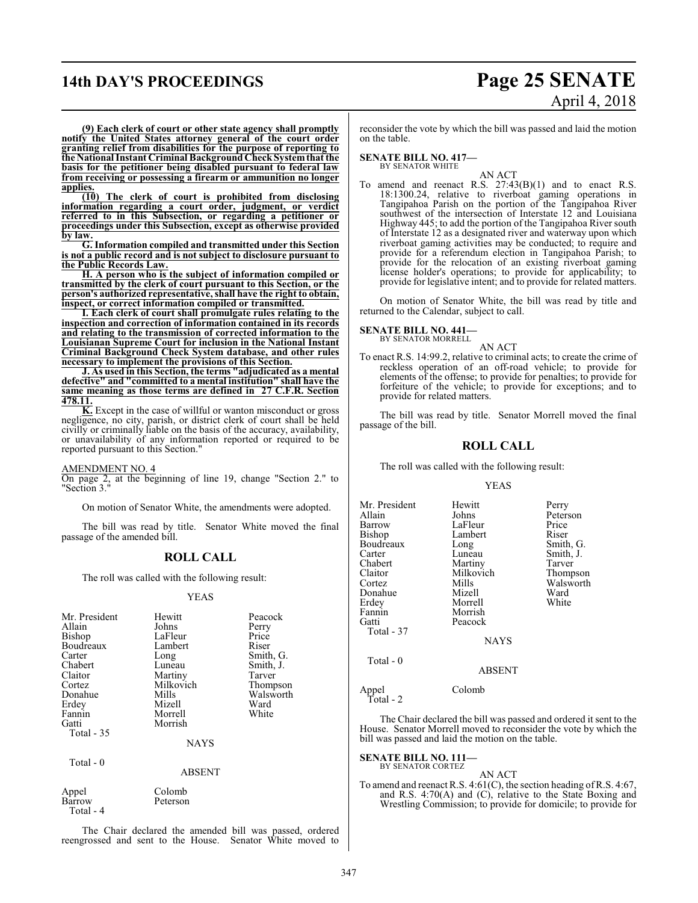## **14th DAY'S PROCEEDINGS Page 25 SENATE**

# April 4, 2018

**(9) Each clerk of court or other state agency shall promptly notify the United States attorney general of the court order granting relief from disabilities for the purpose of reporting to the National Instant Criminal Background CheckSystemthat the basis for the petitioner being disabled pursuant to federal law from receiving or possessing a firearm or ammunition no longer applies.**

**(10) The clerk of court is prohibited from disclosing information regarding a court order, judgment, or verdict referred to in this Subsection, or regarding a petitioner or proceedings under this Subsection, except as otherwise provided by law.**

**G. Information compiled and transmitted under this Section is not a public record and is not subject to disclosure pursuant to the Public Records Law.**

**H. A person who is the subject of information compiled or transmitted by the clerk of court pursuant to this Section, or the person's authorized representative, shall have the right to obtain, inspect, or correct information compiled or transmitted.**

**I. Each clerk of court shall promulgate rules relating to the inspection and correction of information contained in its records and relating to the transmission of corrected information to the Louisianan Supreme Court for inclusion in the National Instant Criminal Background Check System database, and other rules necessary to implement the provisions of this Section.**

**J. As used in this Section, the terms "adjudicated as a mental defective" and "committed to a mental institution" shall have the same meaning as those terms are defined in 27 C.F.R. Section 478.11.**

**K.** Except in the case of willful or wanton misconduct or gross negligence, no city, parish, or district clerk of court shall be held civilly or criminally liable on the basis of the accuracy, availability, or unavailability of any information reported or required to be reported pursuant to this Section."

#### AMENDMENT NO. 4

On page 2, at the beginning of line 19, change "Section 2." to "Section 3."

On motion of Senator White, the amendments were adopted.

The bill was read by title. Senator White moved the final passage of the amended bill.

#### **ROLL CALL**

The roll was called with the following result:

#### YEAS

| Mr. President<br>Allain<br>Bishop<br>Boudreaux<br>Carter<br>Chabert<br>Claitor<br>Cortez<br>Donahue<br>Erdey<br>Fannin<br>Gatti | Hewitt<br>Johns<br>LaFleur<br>Lambert<br>Long<br>Luneau<br>Martiny<br>Milkovich<br>Mills<br>Mizell<br>Morrell<br>Morrish | Peacock<br>Perry<br>Price<br>Riser<br>Smith, G.<br>Smith, J.<br>Tarver<br>Thompson<br>Walsworth<br>Ward<br>White |
|---------------------------------------------------------------------------------------------------------------------------------|--------------------------------------------------------------------------------------------------------------------------|------------------------------------------------------------------------------------------------------------------|
|                                                                                                                                 | <b>NAYS</b>                                                                                                              |                                                                                                                  |
| Total - 35                                                                                                                      |                                                                                                                          |                                                                                                                  |

Total - 0

ABSENT

Appel Colomb<br>Barrow Peterson **Barrow** Total - 4

The Chair declared the amended bill was passed, ordered reengrossed and sent to the House. Senator White moved to reconsider the vote by which the bill was passed and laid the motion on the table.

**SENATE BILL NO. 417—** BY SENATOR WHITE

AN ACT

To amend and reenact R.S. 27:43(B)(1) and to enact R.S. 18:1300.24, relative to riverboat gaming operations in Tangipahoa Parish on the portion of the Tangipahoa River southwest of the intersection of Interstate 12 and Louisiana Highway 445; to add the portion of the Tangipahoa River south of Interstate 12 as a designated river and waterway upon which riverboat gaming activities may be conducted; to require and provide for a referendum election in Tangipahoa Parish; to provide for the relocation of an existing riverboat gaming license holder's operations; to provide for applicability; to provide for legislative intent; and to provide for related matters.

On motion of Senator White, the bill was read by title and returned to the Calendar, subject to call.

#### **SENATE BILL NO. 441—** BY SENATOR MORRELL

AN ACT

To enact R.S. 14:99.2, relative to criminal acts; to create the crime of reckless operation of an off-road vehicle; to provide for elements of the offense; to provide for penalties; to provide for forfeiture of the vehicle; to provide for exceptions; and to provide for related matters.

The bill was read by title. Senator Morrell moved the final passage of the bill.

### **ROLL CALL**

The roll was called with the following result:

#### YEAS

| Mr. President<br>Allain<br>Barrow<br>Bishop<br>Boudreaux<br>Carter<br>Chabert<br>Claitor<br>Cortez<br>Donahue<br>Erdev<br>Fannin | Hewitt<br>Johns<br>LaFleur<br>Lambert<br>Long<br>Luneau<br>Martiny<br>Milkovich<br>Mills<br>Mizell<br>Morrell<br>Morrish | Perry<br>Peterson<br>Price<br>Riser<br>Smith, G.<br>Smith, J.<br>Tarver<br>Thompson<br>Walsworth<br>Ward<br>White |
|----------------------------------------------------------------------------------------------------------------------------------|--------------------------------------------------------------------------------------------------------------------------|-------------------------------------------------------------------------------------------------------------------|
| Gatti<br>Total - 37                                                                                                              | Peacock<br><b>NAYS</b>                                                                                                   |                                                                                                                   |
| Total - 0                                                                                                                        | <b>ABSENT</b>                                                                                                            |                                                                                                                   |
| Appel<br>Total - 2                                                                                                               | Colomb                                                                                                                   |                                                                                                                   |

The Chair declared the bill was passed and ordered it sent to the House. Senator Morrell moved to reconsider the vote by which the bill was passed and laid the motion on the table.

**SENATE BILL NO. 111—** BY SENATOR CORTEZ

AN ACT To amend and reenact R.S. 4:61(C), the section heading ofR.S. 4:67, and R.S. 4:70(A) and (C), relative to the State Boxing and Wrestling Commission; to provide for domicile; to provide for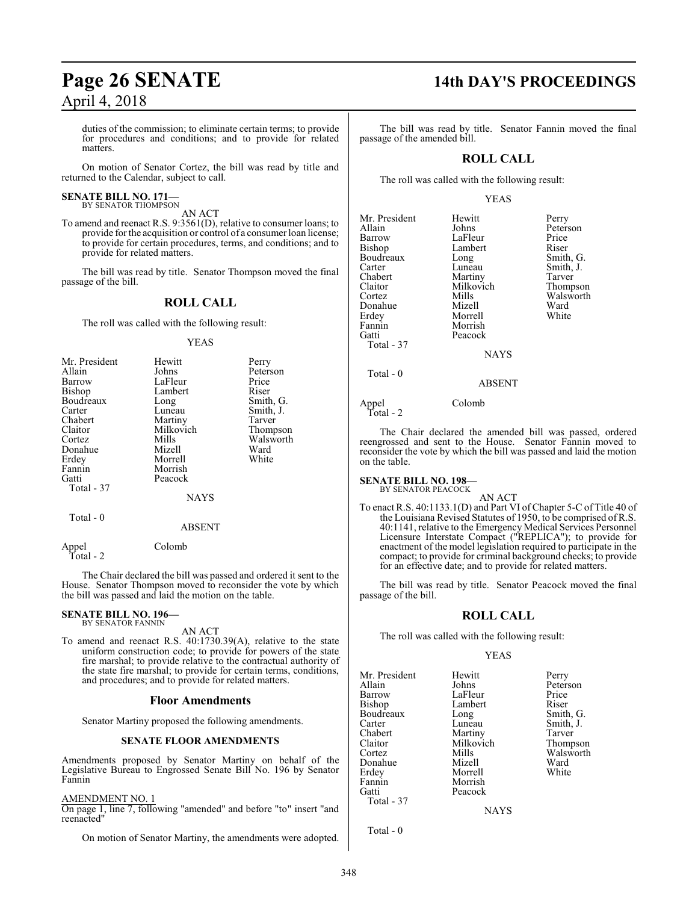duties of the commission; to eliminate certain terms; to provide for procedures and conditions; and to provide for related matters.

On motion of Senator Cortez, the bill was read by title and returned to the Calendar, subject to call.

#### **SENATE BILL NO. 171—** BY SENATOR THOMPSON

AN ACT

To amend and reenact R.S. 9:3561(D), relative to consumer loans; to provide forthe acquisition or control of a consumer loan license; to provide for certain procedures, terms, and conditions; and to provide for related matters.

The bill was read by title. Senator Thompson moved the final passage of the bill.

### **ROLL CALL**

The roll was called with the following result:

#### YEAS

| Mr. President | Hewitt      | Perry     |
|---------------|-------------|-----------|
| Allain        | Johns       | Peterson  |
| Barrow        | LaFleur     | Price     |
| Bishop        | Lambert     | Riser     |
| Boudreaux     | Long        | Smith, G. |
| Carter        | Luneau      | Smith, J. |
| Chabert       | Martiny     | Tarver    |
| Claitor       | Milkovich   | Thompson  |
| Cortez        | Mills       | Walsworth |
| Donahue       | Mizell      | Ward      |
| Erdey         | Morrell     | White     |
| Fannin        | Morrish     |           |
| Gatti         | Peacock     |           |
| Total - 37    |             |           |
|               | <b>NAYS</b> |           |
| — 1 a         |             |           |

Total - 0

ABSENT

Appel Colomb Total - 2

The Chair declared the bill was passed and ordered it sent to the House. Senator Thompson moved to reconsider the vote by which the bill was passed and laid the motion on the table.

## **SENATE BILL NO. 196—** BY SENATOR FANNIN

AN ACT

To amend and reenact R.S. 40:1730.39(A), relative to the state uniform construction code; to provide for powers of the state fire marshal; to provide relative to the contractual authority of the state fire marshal; to provide for certain terms, conditions, and procedures; and to provide for related matters.

#### **Floor Amendments**

Senator Martiny proposed the following amendments.

#### **SENATE FLOOR AMENDMENTS**

Amendments proposed by Senator Martiny on behalf of the Legislative Bureau to Engrossed Senate Bill No. 196 by Senator Fannin

### AMENDMENT NO. 1

On page 1, line 7, following "amended" and before "to" insert "and reenacted"

On motion of Senator Martiny, the amendments were adopted.

## **Page 26 SENATE 14th DAY'S PROCEEDINGS**

The bill was read by title. Senator Fannin moved the final passage of the amended bill.

#### **ROLL CALL**

The roll was called with the following result:

#### YEAS

| Mr. President | Hewitt      | Perry     |
|---------------|-------------|-----------|
| Allain        | Johns       | Peterson  |
| Barrow        | LaFleur     | Price     |
| <b>Bishop</b> | Lambert     | Riser     |
| Boudreaux     | Long        | Smith, G. |
| Carter        | Luneau      | Smith, J. |
| Chabert       | Martiny     | Tarver    |
| Claitor       | Milkovich   | Thompson  |
| Cortez        | Mills       | Walswort  |
| Donahue       | Mizell      | Ward      |
| Erdey         | Morrell     | White     |
| Fannin        | Morrish     |           |
| Gatti         | Peacock     |           |
| Total - 37    |             |           |
|               | <b>NAYS</b> |           |
| Total - 0     |             |           |

ABSENT

Appel Colomb Total - 2

The Chair declared the amended bill was passed, ordered reengrossed and sent to the House. Senator Fannin moved to reconsider the vote by which the bill was passed and laid the motion on the table.

#### **SENATE BILL NO. 198—** BY SENATOR PEACOCK

AN ACT

To enact R.S. 40:1133.1(D) and Part VI of Chapter 5-C of Title 40 of the Louisiana Revised Statutes of 1950, to be comprised of R.S. 40:1141, relative to the Emergency Medical Services Personnel Licensure Interstate Compact ("REPLICA"); to provide for enactment of the model legislation required to participate in the compact; to provide for criminal background checks; to provide for an effective date; and to provide for related matters.

The bill was read by title. Senator Peacock moved the final passage of the bill.

#### **ROLL CALL**

The roll was called with the following result:

#### YEAS

Mr. President Hewitt Perry<br>Allain Johns Peter Allain Johns Peterson<br>Barrow LaFleur Price Bishop Lamb<br>Boudreaux Long Carter Luneau Smith, J.<br>Chabert Martiny Tarver Chabert Martiny Tarver<br>
Claitor Milkovich Thompson Claitor Milkovich<br>Cortez Mills Donahue Mizell Ward<br>Erdey Morrell White Erdey Morrell<br>Fannin Morrish Fannin Morrish<br>Gatti Peacock Peacock Total - 37

LaFleur Price<br>Lambert Riser Smith, G. Mills Walsworth<br>Mizell Ward

**NAYS** 

Total - 0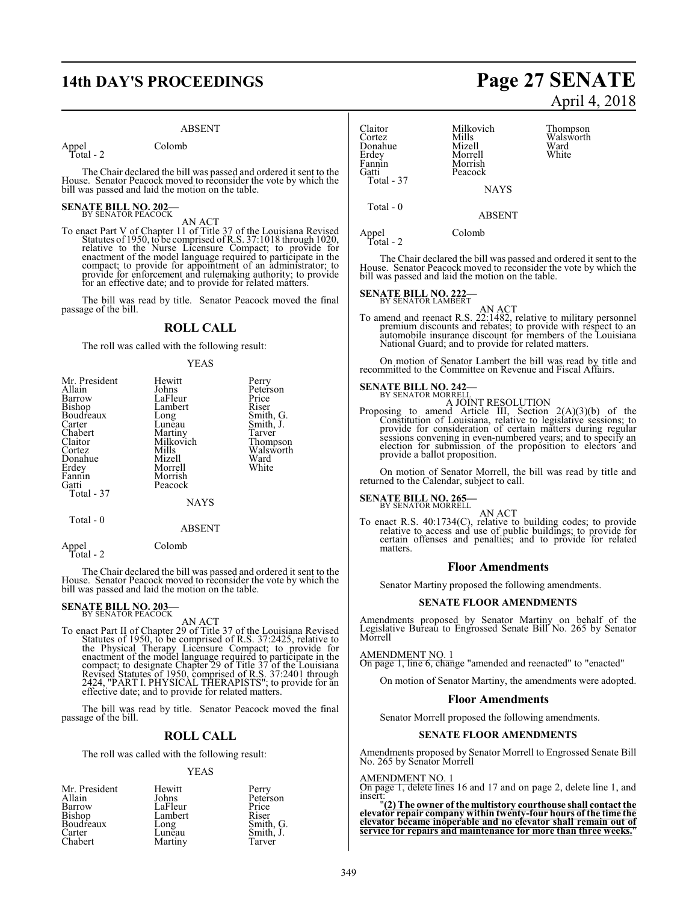## **14th DAY'S PROCEEDINGS Page 27 SENATE**

#### ABSENT

Appel Colomb Total - 2

The Chair declared the bill was passed and ordered it sent to the House. Senator Peacock moved to reconsider the vote by which the bill was passed and laid the motion on the table.

## **SENATE BILL NO. 202-**<br>BY SENATOR PEACOCK

AN ACT<br>To enact Part V of Chapter 11 of Title 37 of the Louisiana Revised<br>Statutes of 1950, to be comprised of R.S. 37:1018 through 1020, relative to the Nurse Licensure Compact; to provide for enactment of the model language required to participate in the compact; to provide for appointment of an administrator; to provide for enforcement and rulemaking authority; to provide for an effective date; and to provide for related matters.

The bill was read by title. Senator Peacock moved the final passage of the bill.

#### **ROLL CALL**

The roll was called with the following result:

#### YEAS

| Mr. President<br>Allain<br>Barrow<br>Bishop<br>Boudreaux<br>Carter<br>Chabert<br>Claitor<br>Cortez<br>Donahue<br>Erdey<br>Fannin<br>Gatti<br>Total - 37 | Hewitt<br>Johns<br>LaFleur<br>Lambert<br>Long<br>Luneau<br>Martiny<br>Milkovich<br>Mills<br>Mizell<br>Morrell<br>Morrish<br>Peacock<br><b>NAYS</b> | Perry<br>Peterson<br>Price<br>Riser<br>Smith, G.<br>Smith, J.<br>Tarver<br>Thompson<br>Walsworth<br>Ward<br>White |
|---------------------------------------------------------------------------------------------------------------------------------------------------------|----------------------------------------------------------------------------------------------------------------------------------------------------|-------------------------------------------------------------------------------------------------------------------|
| Total - 0                                                                                                                                               |                                                                                                                                                    |                                                                                                                   |

#### ABSENT

Appel Colomb Total - 2

The Chair declared the bill was passed and ordered it sent to the House. Senator Peacock moved to reconsider the vote by which the bill was passed and laid the motion on the table.

# **SENATE BILL NO. 203–**<br>BY SENATOR PEACOCK

AN ACT<br>AN ACT<br>Statutes of 1950, to be comprised of R.S. 37:2425, relative to<br>the Physical Therapy Licensure Compact; to provide for<br>enactment of the model language required to participate in the<br>compact; to designate Chapt effective date; and to provide for related matters.

The bill was read by title. Senator Peacock moved the final passage of the bill.

#### **ROLL CALL**

The roll was called with the following result:

#### YEAS

| Mr. President    | Hewitt  | Perry     |
|------------------|---------|-----------|
| Allain           | Johns   | Peterson  |
| Barrow           | LaFleur | Price     |
| Bishop           | Lambert | Riser     |
| <b>Boudreaux</b> | Long    | Smith, G. |
| Carter           | Luneau  | Smith, J. |
| Chabert          | Martiny | Tarver    |

# April 4, 2018

Claitor Milkovich Thompson<br>Cortez Mills Walsworth Mills Walsworth<br>
Mizell Ward Donahue Mizell Ward Erdey Morrell<br>Fannin Morrish Fannin Morrish<br>Gatti Peacock Peacock Total - 37

NAYS ABSENT

Total - 0

Appel Colomb

Total - 2

The Chair declared the bill was passed and ordered it sent to the House. Senator Peacock moved to reconsider the vote by which the bill was passed and laid the motion on the table.

## **SENATE BILL NO. 222-**<br>BY SENATOR LAMBERT

- AN ACT
- To amend and reenact R.S. 22:1482, relative to military personnel premium discounts and rebates; to provide with respect to an automobile insurance discount for members of the Louisiana National Guard; and to provide for related matters.

On motion of Senator Lambert the bill was read by title and recommitted to the Committee on Revenue and Fiscal Affairs.

## **SENATE BILL NO. 242-**<br>BY SENATOR MORRELL

A JOINT RESOLUTION

Proposing to amend Article III, Section 2(A)(3)(b) of the Constitution of Louisiana, relative to legislative sessions; to provide for consideration of certain matters during regular sessions convening in even-numbered years; and to specify an election for submission of the proposition to electors and provide a ballot proposition.

On motion of Senator Morrell, the bill was read by title and returned to the Calendar, subject to call.

## **SENATE BILL NO. 265—**<br>BY SENATOR MORRELL

AN ACT

To enact R.S. 40:1734(C), relative to building codes; to provide relative to access and use of public buildings; to provide for certain offenses and penalties; and to provide for related matters.

#### **Floor Amendments**

Senator Martiny proposed the following amendments.

#### **SENATE FLOOR AMENDMENTS**

Amendments proposed by Senator Martiny on behalf of the Legislative Bureau to Engrossed Senate Bill No. 265 by Senator Morrell

#### AMENDMENT NO. 1

On page 1, line 6, change "amended and reenacted" to "enacted"

On motion of Senator Martiny, the amendments were adopted.

#### **Floor Amendments**

Senator Morrell proposed the following amendments.

#### **SENATE FLOOR AMENDMENTS**

Amendments proposed by Senator Morrell to Engrossed Senate Bill No. 265 by Senator Morrell

#### AMENDMENT NO. 1

On page 1, delete lines 16 and 17 and on page 2, delete line 1, and

insert:<br>"(2) The owner of the multistory courthouse shall contact the<br>elevator repair company within twenty-four hours of the time the<br>elevator became inoperable and no elevator shall remain out of **service for repairs and maintenance for more than three weeks.**"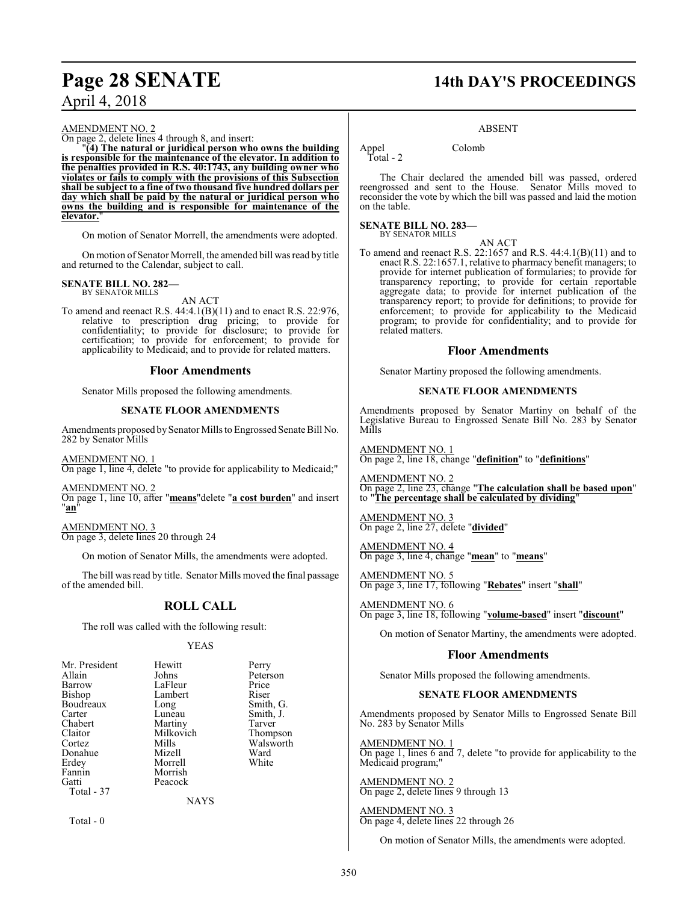#### AMENDMENT NO. 2

On page 2, delete lines 4 through 8, and insert:

"**(4) The natural or juridical person who owns the building is responsible for the maintenance of the elevator. In addition to the penalties provided in R.S. 40:1743, any building owner who violates or fails to comply with the provisions of this Subsection shall be subject to a fine of two thousand five hundred dollars per day which shall be paid by the natural or juridical person who owns the building and is responsible for maintenance of the elevator.**"

On motion of Senator Morrell, the amendments were adopted.

On motion of Senator Morrell, the amended bill was read by title and returned to the Calendar, subject to call.

# **SENATE BILL NO. 282—** BY SENATOR MILLS

#### AN ACT

To amend and reenact R.S. 44:4.1(B)(11) and to enact R.S. 22:976, relative to prescription drug pricing; to provide for confidentiality; to provide for disclosure; to provide for certification; to provide for enforcement; to provide for applicability to Medicaid; and to provide for related matters.

#### **Floor Amendments**

Senator Mills proposed the following amendments.

#### **SENATE FLOOR AMENDMENTS**

Amendments proposed by Senator Mills to Engrossed Senate Bill No. 282 by Senator Mills

AMENDMENT NO. 1 On page 1, line 4, delete "to provide for applicability to Medicaid;"

AMENDMENT NO. 2 On page 1, line 10, after "**means**"delete "**a cost burden**" and insert "**an**"

AMENDMENT NO. 3 On page 3, delete lines 20 through 24

On motion of Senator Mills, the amendments were adopted.

The bill was read by title. Senator Mills moved the final passage of the amended bill.

## **ROLL CALL**

The roll was called with the following result:

#### YEAS

| Mr. President | Hewitt    | Perry     |
|---------------|-----------|-----------|
| Allain        | Johns     | Peterson  |
| Barrow        | LaFleur   | Price     |
| Bishop        | Lambert   | Riser     |
| Boudreaux     | Long      | Smith, G. |
| Carter        | Luneau    | Smith, J. |
| Chabert       | Martiny   | Tarver    |
| Claitor       | Milkovich | Thompson  |
| Cortez        | Mills     | Walsworth |
| Donahue       | Mizell    | Ward      |
| Erdey         | Morrell   | White     |
| Fannin        | Morrish   |           |
| Gatti         | Peacock   |           |
| Total - 37    |           |           |
|               | NAYS      |           |

Total - 0

## **Page 28 SENATE 14th DAY'S PROCEEDINGS**

#### ABSENT

Appel Colomb

Total - 2

The Chair declared the amended bill was passed, ordered reengrossed and sent to the House. Senator Mills moved to reconsider the vote by which the bill was passed and laid the motion on the table.

#### **SENATE BILL NO. 283—** BY SENATOR MILLS

AN ACT

To amend and reenact R.S. 22:1657 and R.S. 44:4.1(B)(11) and to enact R.S. 22:1657.1, relative to pharmacy benefit managers; to provide for internet publication of formularies; to provide for transparency reporting; to provide for certain reportable aggregate data; to provide for internet publication of the transparency report; to provide for definitions; to provide for enforcement; to provide for applicability to the Medicaid program; to provide for confidentiality; and to provide for related matters.

#### **Floor Amendments**

Senator Martiny proposed the following amendments.

#### **SENATE FLOOR AMENDMENTS**

Amendments proposed by Senator Martiny on behalf of the Legislative Bureau to Engrossed Senate Bill No. 283 by Senator Mills

AMENDMENT NO. 1 On page 2, line 18, change "**definition**" to "**definitions**"

AMENDMENT NO. 2 On page 2, line 23, change "**The calculation shall be based upon**" to "**The percentage shall be calculated by dividing**"

AMENDMENT NO. 3 On page 2, line 27, delete "**divided**"

AMENDMENT NO. 4 On page 3, line 4, change "**mean**" to "**means**"

AMENDMENT NO. 5 On page 3, line 17, following "**Rebates**" insert "**shall**"

AMENDMENT NO. 6 On page 3, line 18, following "**volume-based**" insert "**discount**"

On motion of Senator Martiny, the amendments were adopted.

### **Floor Amendments**

Senator Mills proposed the following amendments.

#### **SENATE FLOOR AMENDMENTS**

Amendments proposed by Senator Mills to Engrossed Senate Bill No. 283 by Senator Mills

AMENDMENT NO. 1

On page 1, lines 6 and 7, delete "to provide for applicability to the Medicaid program;"

#### AMENDMENT NO. 2 On page 2, delete lines 9 through 13

AMENDMENT NO. 3 On page 4, delete lines 22 through 26

On motion of Senator Mills, the amendments were adopted.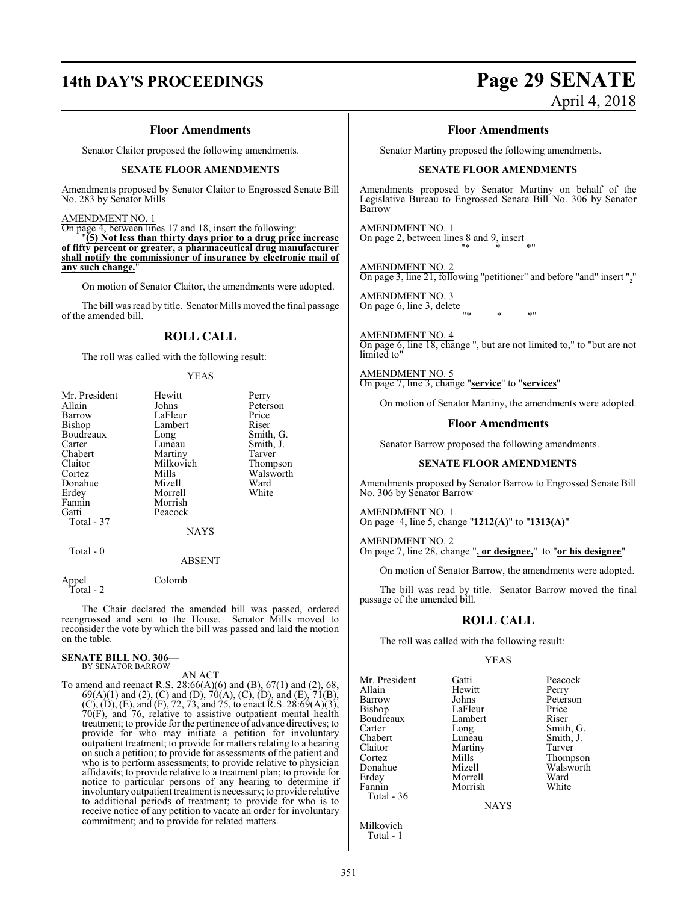## **14th DAY'S PROCEEDINGS Page 29 SENATE**

# April 4, 2018

#### **Floor Amendments**

Senator Claitor proposed the following amendments.

#### **SENATE FLOOR AMENDMENTS**

Amendments proposed by Senator Claitor to Engrossed Senate Bill No. 283 by Senator Mills

#### AMENDMENT NO. 1

On page 4, between lines 17 and 18, insert the following:

"**(5) Not less than thirty days prior to a drug price increase of fifty percent or greater, a pharmaceutical drug manufacturer shall notify the commissioner of insurance by electronic mail of** any such change.

On motion of Senator Claitor, the amendments were adopted.

The bill was read by title. Senator Mills moved the final passage of the amended bill.

### **ROLL CALL**

The roll was called with the following result:

YEAS

| Mr. President | Hewitt        | Perry     |
|---------------|---------------|-----------|
| Allain        | Johns         | Peterson  |
| Barrow        | LaFleur       | Price     |
| Bishop        | Lambert       | Riser     |
| Boudreaux     | Long          | Smith, G. |
| Carter        | Luneau        | Smith, J. |
| Chabert       | Martiny       | Tarver    |
| Claitor       | Milkovich     | Thompson  |
| Cortez        | Mills         | Walsworth |
| Donahue       | Mizell        | Ward      |
| Erdey         | Morrell       | White     |
| Fannin        | Morrish       |           |
| Gatti         | Peacock       |           |
| Total - 37    |               |           |
|               | <b>NAYS</b>   |           |
| Total - 0     |               |           |
|               | <b>ABSENT</b> |           |

Appel Colomb Total - 2

The Chair declared the amended bill was passed, ordered reengrossed and sent to the House. Senator Mills moved to reconsider the vote by which the bill was passed and laid the motion on the table.

#### **SENATE BILL NO. 306—** BY SENATOR BARROW

AN ACT

To amend and reenact R.S. 28:66(A)(6) and (B), 67(1) and (2), 68, 69(A)(1) and (2), (C) and (D), 70(A), (C), (D), and (E), 71(B),  $(C)$ ,  $(D)$ ,  $(E)$ , and  $(F)$ , 72, 73, and 75, to enact R.S. 28:69(A)(3), 70(F), and 76, relative to assistive outpatient mental health treatment; to provide for the pertinence of advance directives; to provide for who may initiate a petition for involuntary outpatient treatment; to provide for matters relating to a hearing on such a petition; to provide for assessments of the patient and who is to perform assessments; to provide relative to physician affidavits; to provide relative to a treatment plan; to provide for notice to particular persons of any hearing to determine if involuntary outpatient treatment is necessary; to provide relative to additional periods of treatment; to provide for who is to receive notice of any petition to vacate an order for involuntary commitment; and to provide for related matters.

#### **Floor Amendments**

Senator Martiny proposed the following amendments.

#### **SENATE FLOOR AMENDMENTS**

Amendments proposed by Senator Martiny on behalf of the Legislative Bureau to Engrossed Senate Bill No. 306 by Senator Barrow

AMENDMENT NO. 1 On page 2, between lines 8 and 9, insert "\* \* \*"

AMENDMENT NO. 2 On page 3, line 21, following "petitioner" and before "and" insert ","

AMENDMENT NO. 3 On page 6, line 3, delete "\* \* \*"

AMENDMENT NO. 4 On page 6, line 18, change ", but are not limited to," to "but are not limited to"

AMENDMENT NO. 5 On page 7, line 3, change "**service**" to "**services**"

On motion of Senator Martiny, the amendments were adopted.

#### **Floor Amendments**

Senator Barrow proposed the following amendments.

#### **SENATE FLOOR AMENDMENTS**

Amendments proposed by Senator Barrow to Engrossed Senate Bill No. 306 by Senator Barrow

AMENDMENT NO. 1 On page 4, line 5, change "**1212(A)**" to "**1313(A)**"

AMENDMENT NO. 2 On page 7, line 28, change "**, or designee,**" to "**or his designee**"

On motion of Senator Barrow, the amendments were adopted.

The bill was read by title. Senator Barrow moved the final passage of the amended bill.

#### **ROLL CALL**

The roll was called with the following result:

Morrish

#### YEAS

Mr. President Gatti Peacock Barrow Johns Peters<br>Bishop LaFleur Price Boudreaux Lamb<br>Carter Long Carter Long Smith, G.<br>
Chabert Luneau Smith, J. Chabert Luneau Smith, J.<br>Claitor Martiny Tarver Claitor Martiny<br>Cortez Mills Cortez Mills Thompson Donahue Mizell Walsworth Erdey Morrell Ward Total - 36

Hewitt Perry<br>Johns Peterson LaFleur Price<br>
Lambert Riser

**NAYS** 

Milkovich Total - 1

351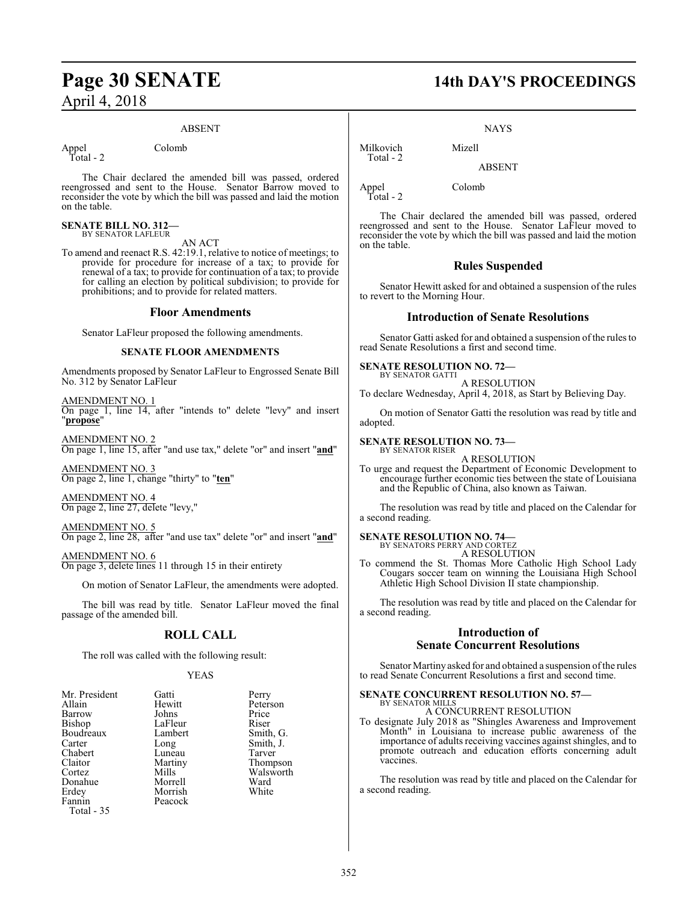#### ABSENT

Appel Colomb Total - 2

The Chair declared the amended bill was passed, ordered reengrossed and sent to the House. Senator Barrow moved to reconsider the vote by which the bill was passed and laid the motion on the table.

#### **SENATE BILL NO. 312—** BY SENATOR LAFLEUR

AN ACT

To amend and reenact R.S. 42:19.1, relative to notice of meetings; to provide for procedure for increase of a tax; to provide for renewal of a tax; to provide for continuation of a tax; to provide for calling an election by political subdivision; to provide for prohibitions; and to provide for related matters.

#### **Floor Amendments**

Senator LaFleur proposed the following amendments.

#### **SENATE FLOOR AMENDMENTS**

Amendments proposed by Senator LaFleur to Engrossed Senate Bill No. 312 by Senator LaFleur

AMENDMENT NO. 1 On page 1, line 14, after "intends to" delete "levy" and insert "**propose**"

AMENDMENT NO. 2 On page 1, line 15, after "and use tax," delete "or" and insert "**and**"

AMENDMENT NO. 3 On page 2, line 1, change "thirty" to "**ten**"

AMENDMENT NO. 4 On page 2, line 27, delete "levy,"

AMENDMENT NO. 5 On page 2, line 28, after "and use tax" delete "or" and insert "**and**"

#### AMENDMENT NO. 6

On page 3, delete lines 11 through 15 in their entirety

On motion of Senator LaFleur, the amendments were adopted.

The bill was read by title. Senator LaFleur moved the final passage of the amended bill.

#### **ROLL CALL**

The roll was called with the following result:

#### YEAS

| Mr. President | Gatti   | Perry     |
|---------------|---------|-----------|
| Allain        | Hewitt  | Peterson  |
| Barrow        | Johns   | Price     |
| Bishop        | LaFleur | Riser     |
| Boudreaux     | Lambert | Smith, G. |
| Carter        | Long    | Smith, J. |
| Chabert       | Luneau  | Tarver    |
| Claitor       | Martiny | Thompson  |
| Cortez        | Mills   | Walsworth |
| Donahue       | Morrell | Ward      |
| Erdey         | Morrish | White     |
| Fannin        | Peacock |           |
| Total - 35    |         |           |
|               |         |           |

**Page 30 SENATE 14th DAY'S PROCEEDINGS**

#### **NAYS**

ABSENT

Milkovich Mizell Total - 2

Appel Colomb Total - 2

The Chair declared the amended bill was passed, ordered reengrossed and sent to the House. Senator LaFleur moved to reconsider the vote by which the bill was passed and laid the motion on the table.

#### **Rules Suspended**

Senator Hewitt asked for and obtained a suspension of the rules to revert to the Morning Hour.

#### **Introduction of Senate Resolutions**

Senator Gatti asked for and obtained a suspension of the rules to read Senate Resolutions a first and second time.

#### **SENATE RESOLUTION NO. 72—** BY SENATOR GATTI

A RESOLUTION To declare Wednesday, April 4, 2018, as Start by Believing Day.

On motion of Senator Gatti the resolution was read by title and adopted.

#### **SENATE RESOLUTION NO. 73—** BY SENATOR RISER

A RESOLUTION

To urge and request the Department of Economic Development to encourage further economic ties between the state of Louisiana and the Republic of China, also known as Taiwan.

The resolution was read by title and placed on the Calendar for a second reading.

## **SENATE RESOLUTION NO. 74—**<br>BY SENATORS PERRY AND CORTEZ

A RESOLUTION

To commend the St. Thomas More Catholic High School Lady Cougars soccer team on winning the Louisiana High School Athletic High School Division II state championship.

The resolution was read by title and placed on the Calendar for a second reading.

### **Introduction of Senate Concurrent Resolutions**

Senator Martiny asked for and obtained a suspension of the rules to read Senate Concurrent Resolutions a first and second time.

#### **SENATE CONCURRENT RESOLUTION NO. 57—** BY SENATOR MILLS

#### A CONCURRENT RESOLUTION

To designate July 2018 as "Shingles Awareness and Improvement Month" in Louisiana to increase public awareness of the importance of adults receiving vaccines against shingles, and to promote outreach and education efforts concerning adult vaccines.

The resolution was read by title and placed on the Calendar for a second reading.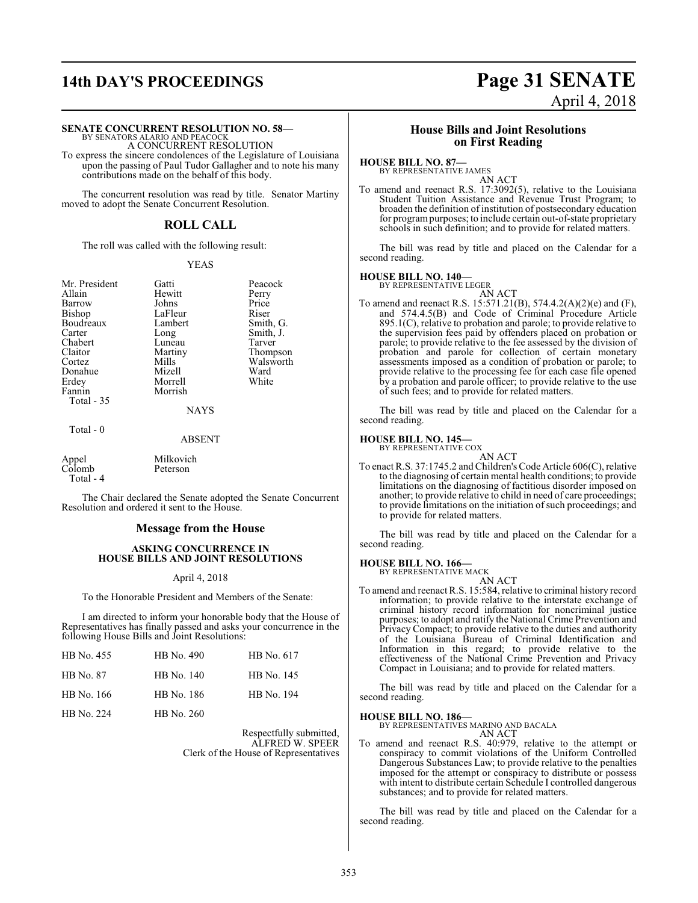## **14th DAY'S PROCEEDINGS Page 31 SENATE** April 4, 2018

#### **SENATE CONCURRENT RESOLUTION NO. 58—**

BY SENATORS ALARIO AND PEACOCK A CONCURRENT RESOLUTION

To express the sincere condolences of the Legislature of Louisiana upon the passing of Paul Tudor Gallagher and to note his many contributions made on the behalf of this body.

The concurrent resolution was read by title. Senator Martiny moved to adopt the Senate Concurrent Resolution.

### **ROLL CALL**

The roll was called with the following result:

#### YEAS

Mr. President Gatti Peacock<br>Allain Hewitt Perry Barrow Johns Price<br>Bishop LaFleur Riser Boudreaux Lamb<br>Carter Long Carter Long Smith, J.<br>Chabert Luneau Tarver Chabert Luneau<br>Claitor Martiny Claitor Martiny Thompson<br>Cortez Mills Walsworth Donahue Mizell Ward<br>Erdey Morrell White Erdey Morrell<br>Fannin Morrish Total - 35

Hewitt Perry<br>Johns Price LaFleur Riser<br>Lambert Smith, G. Mills Walsworth<br>
Mizell Ward Morrish

NAYS

#### Total - 0

ABSENT

|                 | Milkovich |
|-----------------|-----------|
| Appel<br>Colomb | Peterson  |
| Total - 4       |           |

The Chair declared the Senate adopted the Senate Concurrent Resolution and ordered it sent to the House.

#### **Message from the House**

#### **ASKING CONCURRENCE IN HOUSE BILLS AND JOINT RESOLUTIONS**

#### April 4, 2018

To the Honorable President and Members of the Senate:

I am directed to inform your honorable body that the House of Representatives has finally passed and asks your concurrence in the following House Bills and Joint Resolutions:

| HB No. 455 | HB No. 490 | HB No. 617 |
|------------|------------|------------|
| HB No. 87  | HB No. 140 | HB No. 145 |
| HB No. 166 | HB No. 186 | HB No. 194 |
| HB No. 224 | HB No. 260 |            |

Respectfully submitted, ALFRED W. SPEER Clerk of the House of Representatives

#### **House Bills and Joint Resolutions on First Reading**

#### **HOUSE BILL NO. 87—**

BY REPRESENTATIVE JAMES AN ACT

To amend and reenact R.S. 17:3092(5), relative to the Louisiana Student Tuition Assistance and Revenue Trust Program; to broaden the definition of institution of postsecondary education for programpurposes; to include certain out-of-state proprietary schools in such definition; and to provide for related matters.

The bill was read by title and placed on the Calendar for a second reading.

#### **HOUSE BILL NO. 140—**

BY REPRESENTATIVE LEGER AN ACT

To amend and reenact R.S. 15:571.21(B), 574.4.2(A)(2)(e) and (F), and 574.4.5(B) and Code of Criminal Procedure Article 895.1(C), relative to probation and parole; to provide relative to the supervision fees paid by offenders placed on probation or parole; to provide relative to the fee assessed by the division of probation and parole for collection of certain monetary assessments imposed as a condition of probation or parole; to provide relative to the processing fee for each case file opened by a probation and parole officer; to provide relative to the use of such fees; and to provide for related matters.

The bill was read by title and placed on the Calendar for a second reading.

#### **HOUSE BILL NO. 145—**

BY REPRESENTATIVE COX

AN ACT To enact R.S. 37:1745.2 and Children's Code Article 606(C), relative to the diagnosing of certain mental health conditions; to provide limitations on the diagnosing of factitious disorder imposed on another; to provide relative to child in need of care proceedings; to provide limitations on the initiation of such proceedings; and to provide for related matters.

The bill was read by title and placed on the Calendar for a second reading.

## **HOUSE BILL NO. 166—** BY REPRESENTATIVE MACK

AN ACT

To amend and reenact R.S. 15:584, relative to criminal history record information; to provide relative to the interstate exchange of criminal history record information for noncriminal justice purposes; to adopt and ratify the National Crime Prevention and Privacy Compact; to provide relative to the duties and authority of the Louisiana Bureau of Criminal Identification and Information in this regard; to provide relative to the effectiveness of the National Crime Prevention and Privacy Compact in Louisiana; and to provide for related matters.

The bill was read by title and placed on the Calendar for a second reading.

#### **HOUSE BILL NO. 186—**

BY REPRESENTATIVES MARINO AND BACALA

AN ACT

To amend and reenact R.S. 40:979, relative to the attempt or conspiracy to commit violations of the Uniform Controlled Dangerous Substances Law; to provide relative to the penalties imposed for the attempt or conspiracy to distribute or possess with intent to distribute certain Schedule I controlled dangerous substances; and to provide for related matters.

The bill was read by title and placed on the Calendar for a second reading.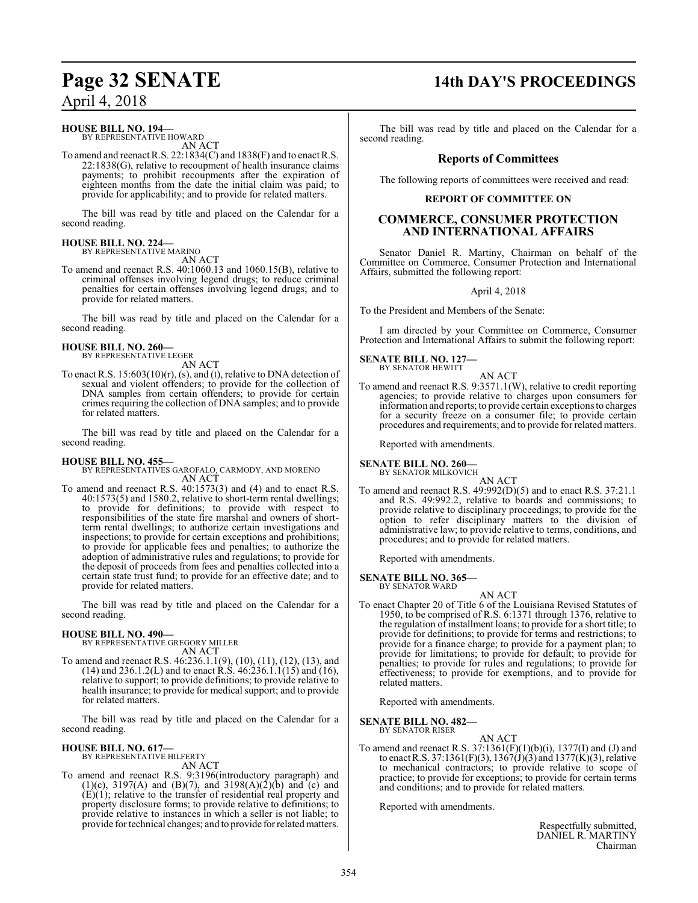#### **HOUSE BILL NO. 194—**

BY REPRESENTATIVE HOWARD AN ACT

To amend and reenact R.S. 22:1834(C) and 1838(F) and to enact R.S. 22:1838(G), relative to recoupment of health insurance claims payments; to prohibit recoupments after the expiration of eighteen months from the date the initial claim was paid; to provide for applicability; and to provide for related matters.

The bill was read by title and placed on the Calendar for a second reading.

#### **HOUSE BILL NO. 224—** BY REPRESENTATIVE MARINO

AN ACT

To amend and reenact R.S. 40:1060.13 and 1060.15(B), relative to criminal offenses involving legend drugs; to reduce criminal penalties for certain offenses involving legend drugs; and to provide for related matters.

The bill was read by title and placed on the Calendar for a second reading.

## **HOUSE BILL NO. 260—** BY REPRESENTATIVE LEGER

AN ACT

To enact R.S. 15:603(10)(r), (s), and (t), relative to DNA detection of sexual and violent offenders; to provide for the collection of DNA samples from certain offenders; to provide for certain crimes requiring the collection of DNA samples; and to provide for related matters.

The bill was read by title and placed on the Calendar for a second reading.

#### **HOUSE BILL NO. 455—**

BY REPRESENTATIVES GAROFALO, CARMODY, AND MORENO AN ACT

To amend and reenact R.S. 40:1573(3) and (4) and to enact R.S. 40:1573(5) and 1580.2, relative to short-term rental dwellings; to provide for definitions; to provide with respect to responsibilities of the state fire marshal and owners of shortterm rental dwellings; to authorize certain investigations and inspections; to provide for certain exceptions and prohibitions; to provide for applicable fees and penalties; to authorize the adoption of administrative rules and regulations; to provide for the deposit of proceeds from fees and penalties collected into a certain state trust fund; to provide for an effective date; and to provide for related matters.

The bill was read by title and placed on the Calendar for a second reading.

#### **HOUSE BILL NO. 490—**

BY REPRESENTATIVE GREGORY MILLER AN ACT

To amend and reenact R.S. 46:236.1.1(9), (10), (11), (12), (13), and (14) and 236.1.2(L) and to enact R.S. 46:236.1.1(15) and (16), relative to support; to provide definitions; to provide relative to health insurance; to provide for medical support; and to provide for related matters.

The bill was read by title and placed on the Calendar for a second reading.

#### **HOUSE BILL NO. 617—** BY REPRESENTATIVE HILFERTY

AN ACT

To amend and reenact R.S. 9:3196(introductory paragraph) and (1)(c), 3197(A) and (B)(7), and 3198(A)(2)(b) and (c) and (E)(1); relative to the transfer of residential real property and property disclosure forms; to provide relative to definitions; to provide relative to instances in which a seller is not liable; to provide for technical changes; and to provide for related matters.

## **Page 32 SENATE 14th DAY'S PROCEEDINGS**

The bill was read by title and placed on the Calendar for a second reading.

## **Reports of Committees**

The following reports of committees were received and read:

#### **REPORT OF COMMITTEE ON**

### **COMMERCE, CONSUMER PROTECTION AND INTERNATIONAL AFFAIRS**

Senator Daniel R. Martiny, Chairman on behalf of the Committee on Commerce, Consumer Protection and International Affairs, submitted the following report:

#### April 4, 2018

To the President and Members of the Senate:

I am directed by your Committee on Commerce, Consumer Protection and International Affairs to submit the following report:

**SENATE BILL NO. 127—** BY SENATOR HEWITT

AN ACT

To amend and reenact R.S. 9:3571.1(W), relative to credit reporting agencies; to provide relative to charges upon consumers for information and reports; to provide certain exceptions to charges for a security freeze on a consumer file; to provide certain procedures and requirements; and to provide for related matters.

Reported with amendments.

### **SENATE BILL NO. 260—**

BY SENATOR MILKOVICH AN ACT

To amend and reenact R.S. 49:992(D)(5) and to enact R.S. 37:21.1 and R.S. 49:992.2, relative to boards and commissions; to provide relative to disciplinary proceedings; to provide for the option to refer disciplinary matters to the division of administrative law; to provide relative to terms, conditions, and procedures; and to provide for related matters.

Reported with amendments.

#### **SENATE BILL NO. 365—** BY SENATOR WARD

AN ACT To enact Chapter 20 of Title 6 of the Louisiana Revised Statutes of 1950, to be comprised of R.S. 6:1371 through 1376, relative to the regulation of installment loans; to provide for a short title; to provide for definitions; to provide for terms and restrictions; to provide for a finance charge; to provide for a payment plan; to provide for limitations; to provide for default; to provide for penalties; to provide for rules and regulations; to provide for effectiveness; to provide for exemptions, and to provide for related matters.

Reported with amendments.

**SENATE BILL NO. 482—** BY SENATOR RISER

AN ACT

To amend and reenact R.S. 37:1361(F)(1)(b)(i), 1377(I) and (J) and to enact R.S. 37:1361(F)(3), 1367(J)(3) and 1377(K)(3), relative to mechanical contractors; to provide relative to scope of practice; to provide for exceptions; to provide for certain terms and conditions; and to provide for related matters.

Reported with amendments.

Respectfully submitted, DANIEL R. MARTINY Chairman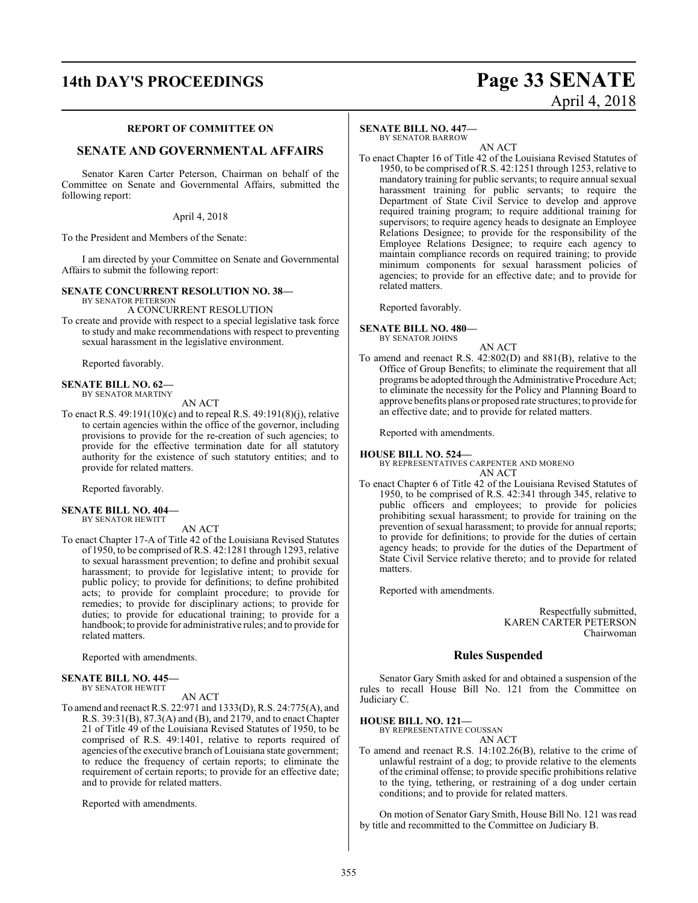# **14th DAY'S PROCEEDINGS Page 33 SENATE** April 4, 2018

#### **REPORT OF COMMITTEE ON**

### **SENATE AND GOVERNMENTAL AFFAIRS**

Senator Karen Carter Peterson, Chairman on behalf of the Committee on Senate and Governmental Affairs, submitted the following report:

April 4, 2018

To the President and Members of the Senate:

I am directed by your Committee on Senate and Governmental Affairs to submit the following report:

#### **SENATE CONCURRENT RESOLUTION NO. 38—**

BY SENATOR PETERSON A CONCURRENT RESOLUTION

To create and provide with respect to a special legislative task force to study and make recommendations with respect to preventing sexual harassment in the legislative environment.

Reported favorably.

#### **SENATE BILL NO. 62—** BY SENATOR MARTINY

AN ACT

To enact R.S. 49:191(10)(c) and to repeal R.S. 49:191(8)(j), relative to certain agencies within the office of the governor, including provisions to provide for the re-creation of such agencies; to provide for the effective termination date for all statutory authority for the existence of such statutory entities; and to provide for related matters.

Reported favorably.

#### **SENATE BILL NO. 404—** BY SENATOR HEWITT

#### AN ACT

To enact Chapter 17-A of Title 42 of the Louisiana Revised Statutes of 1950, to be comprised of R.S. 42:1281 through 1293, relative to sexual harassment prevention; to define and prohibit sexual harassment; to provide for legislative intent; to provide for public policy; to provide for definitions; to define prohibited acts; to provide for complaint procedure; to provide for remedies; to provide for disciplinary actions; to provide for duties; to provide for educational training; to provide for a handbook; to provide for administrative rules; and to provide for related matters.

Reported with amendments.

#### **SENATE BILL NO. 445—**

BY SENATOR HEWITT

AN ACT

To amend and reenact R.S. 22:971 and 1333(D), R.S. 24:775(A), and R.S. 39:31(B), 87.3(A) and (B), and 2179, and to enact Chapter 21 of Title 49 of the Louisiana Revised Statutes of 1950, to be comprised of R.S. 49:1401, relative to reports required of agencies of the executive branch of Louisiana state government; to reduce the frequency of certain reports; to eliminate the requirement of certain reports; to provide for an effective date; and to provide for related matters.

Reported with amendments.

#### **SENATE BILL NO. 447—**

BY SENATOR BARROW

AN ACT To enact Chapter 16 of Title 42 of the Louisiana Revised Statutes of 1950, to be comprised ofR.S. 42:1251 through 1253, relative to mandatory training for public servants; to require annual sexual harassment training for public servants; to require the Department of State Civil Service to develop and approve required training program; to require additional training for supervisors; to require agency heads to designate an Employee Relations Designee; to provide for the responsibility of the Employee Relations Designee; to require each agency to maintain compliance records on required training; to provide minimum components for sexual harassment policies of agencies; to provide for an effective date; and to provide for related matters.

Reported favorably.

#### **SENATE BILL NO. 480—** BY SENATOR JOHNS

AN ACT

To amend and reenact R.S. 42:802(D) and 881(B), relative to the Office of Group Benefits; to eliminate the requirement that all programs be adopted through the Administrative Procedure Act; to eliminate the necessity for the Policy and Planning Board to approve benefits plans or proposed rate structures; to provide for an effective date; and to provide for related matters.

Reported with amendments.

#### **HOUSE BILL NO. 524—**

BY REPRESENTATIVES CARPENTER AND MORENO AN ACT

To enact Chapter 6 of Title 42 of the Louisiana Revised Statutes of 1950, to be comprised of R.S. 42:341 through 345, relative to public officers and employees; to provide for policies prohibiting sexual harassment; to provide for training on the prevention of sexual harassment; to provide for annual reports; to provide for definitions; to provide for the duties of certain agency heads; to provide for the duties of the Department of State Civil Service relative thereto; and to provide for related matters.

Reported with amendments.

Respectfully submitted, KAREN CARTER PETERSON Chairwoman

#### **Rules Suspended**

Senator Gary Smith asked for and obtained a suspension of the rules to recall House Bill No. 121 from the Committee on Judiciary C.

**HOUSE BILL NO. 121—**

BY REPRESENTATIVE COUSSAN AN ACT

To amend and reenact R.S. 14:102.26(B), relative to the crime of unlawful restraint of a dog; to provide relative to the elements of the criminal offense; to provide specific prohibitions relative to the tying, tethering, or restraining of a dog under certain conditions; and to provide for related matters.

On motion of Senator Gary Smith, House Bill No. 121 was read by title and recommitted to the Committee on Judiciary B.